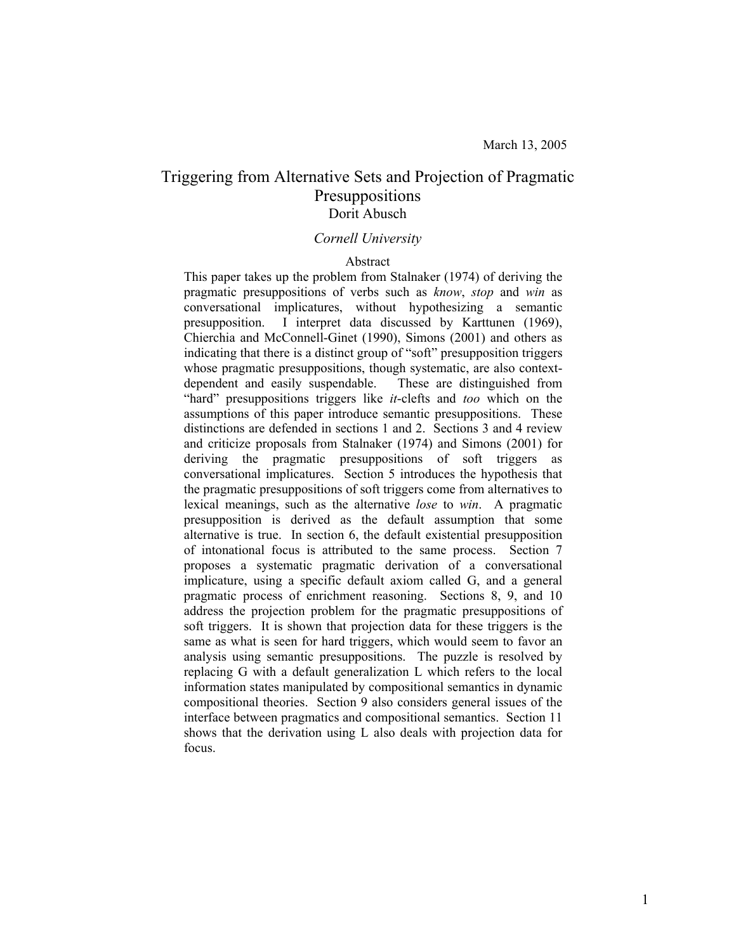# Triggering from Alternative Sets and Projection of Pragmatic Presuppositions Dorit Abusch

#### *Cornell University*

#### Abstract

This paper takes up the problem from Stalnaker (1974) of deriving the pragmatic presuppositions of verbs such as *know*, *stop* and *win* as conversational implicatures, without hypothesizing a semantic presupposition. I interpret data discussed by Karttunen (1969), Chierchia and McConnell-Ginet (1990), Simons (2001) and others as indicating that there is a distinct group of "soft" presupposition triggers whose pragmatic presuppositions, though systematic, are also contextdependent and easily suspendable. These are distinguished from "hard" presuppositions triggers like *it*-clefts and *too* which on the assumptions of this paper introduce semantic presuppositions. These distinctions are defended in sections 1 and 2. Sections 3 and 4 review and criticize proposals from Stalnaker (1974) and Simons (2001) for deriving the pragmatic presuppositions of soft triggers as conversational implicatures. Section 5 introduces the hypothesis that the pragmatic presuppositions of soft triggers come from alternatives to lexical meanings, such as the alternative *lose* to *win*. A pragmatic presupposition is derived as the default assumption that some alternative is true. In section 6, the default existential presupposition of intonational focus is attributed to the same process. Section 7 proposes a systematic pragmatic derivation of a conversational implicature, using a specific default axiom called G, and a general pragmatic process of enrichment reasoning. Sections 8, 9, and 10 address the projection problem for the pragmatic presuppositions of soft triggers. It is shown that projection data for these triggers is the same as what is seen for hard triggers, which would seem to favor an analysis using semantic presuppositions. The puzzle is resolved by replacing G with a default generalization L which refers to the local information states manipulated by compositional semantics in dynamic compositional theories. Section 9 also considers general issues of the interface between pragmatics and compositional semantics. Section 11 shows that the derivation using L also deals with projection data for focus.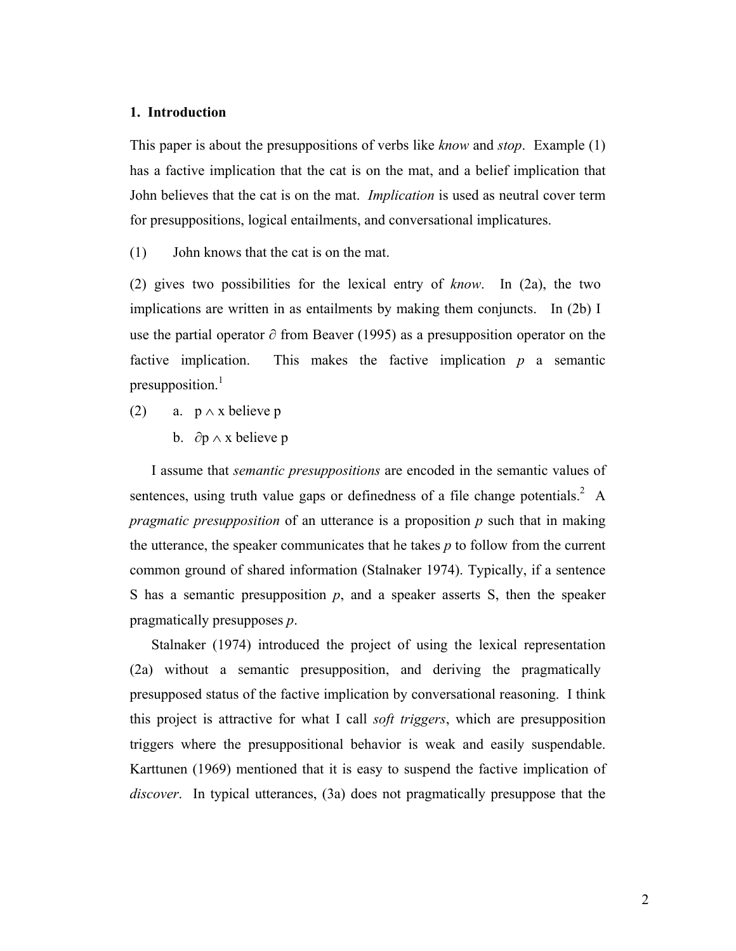# **1. Introduction**

This paper is about the presuppositions of verbs like *know* and *stop*. Example (1) has a factive implication that the cat is on the mat, and a belief implication that John believes that the cat is on the mat. *Implication* is used as neutral cover term for presuppositions, logical entailments, and conversational implicatures.

(1) John knows that the cat is on the mat.

(2) gives two possibilities for the lexical entry of *know*. In (2a), the two implications are written in as entailments by making them conjuncts. In (2b) I use the partial operator ∂ from Beaver (1995) as a presupposition operator on the factive implication. This makes the factive implication *p* a semantic presupposition.<sup>1</sup>

- (2) a.  $p \wedge x$  believe p
	- b.  $\partial p \wedge x$  believe p

I assume that *semantic presuppositions* are encoded in the semantic values of sentences, using truth value gaps or definedness of a file change potentials.<sup>2</sup> A *pragmatic presupposition* of an utterance is a proposition *p* such that in making the utterance, the speaker communicates that he takes *p* to follow from the current common ground of shared information (Stalnaker 1974). Typically, if a sentence S has a semantic presupposition  $p$ , and a speaker asserts S, then the speaker pragmatically presupposes *p*.

Stalnaker (1974) introduced the project of using the lexical representation (2a) without a semantic presupposition, and deriving the pragmatically presupposed status of the factive implication by conversational reasoning. I think this project is attractive for what I call *soft triggers*, which are presupposition triggers where the presuppositional behavior is weak and easily suspendable. Karttunen (1969) mentioned that it is easy to suspend the factive implication of *discover*. In typical utterances, (3a) does not pragmatically presuppose that the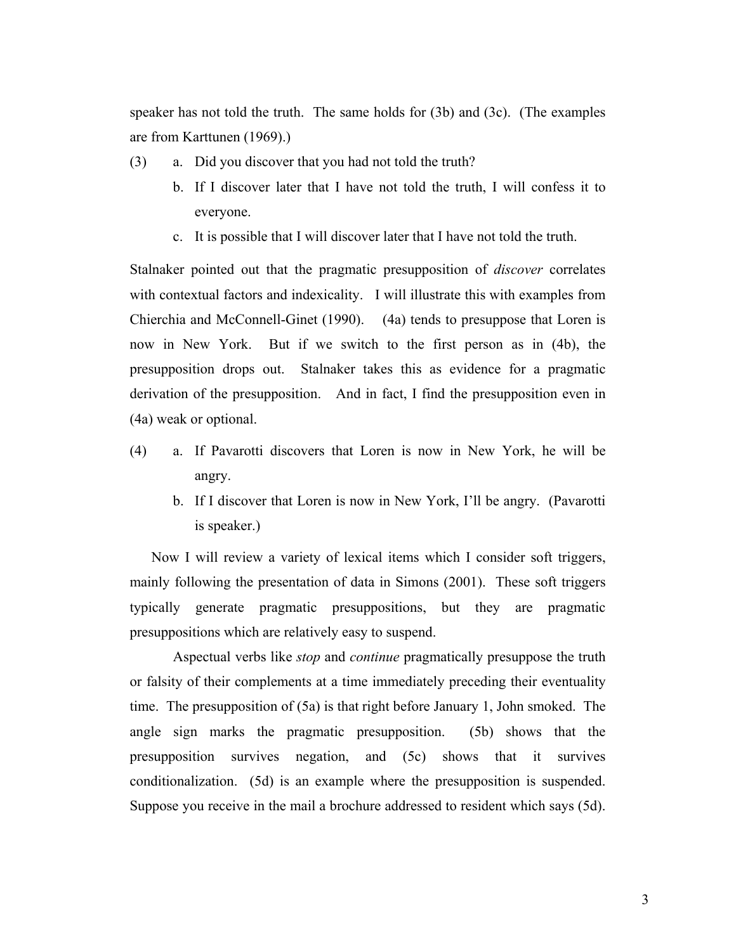speaker has not told the truth. The same holds for (3b) and (3c). (The examples are from Karttunen (1969).)

- (3) a. Did you discover that you had not told the truth?
	- b. If I discover later that I have not told the truth, I will confess it to everyone.
	- c. It is possible that I will discover later that I have not told the truth.

Stalnaker pointed out that the pragmatic presupposition of *discover* correlates with contextual factors and indexicality. I will illustrate this with examples from Chierchia and McConnell-Ginet (1990). (4a) tends to presuppose that Loren is now in New York. But if we switch to the first person as in (4b), the presupposition drops out. Stalnaker takes this as evidence for a pragmatic derivation of the presupposition. And in fact, I find the presupposition even in (4a) weak or optional.

- (4) a. If Pavarotti discovers that Loren is now in New York, he will be angry.
	- b. If I discover that Loren is now in New York, I'll be angry. (Pavarotti is speaker.)

Now I will review a variety of lexical items which I consider soft triggers, mainly following the presentation of data in Simons (2001). These soft triggers typically generate pragmatic presuppositions, but they are pragmatic presuppositions which are relatively easy to suspend.

Aspectual verbs like *stop* and *continue* pragmatically presuppose the truth or falsity of their complements at a time immediately preceding their eventuality time. The presupposition of (5a) is that right before January 1, John smoked. The angle sign marks the pragmatic presupposition. (5b) shows that the presupposition survives negation, and (5c) shows that it survives conditionalization. (5d) is an example where the presupposition is suspended. Suppose you receive in the mail a brochure addressed to resident which says (5d).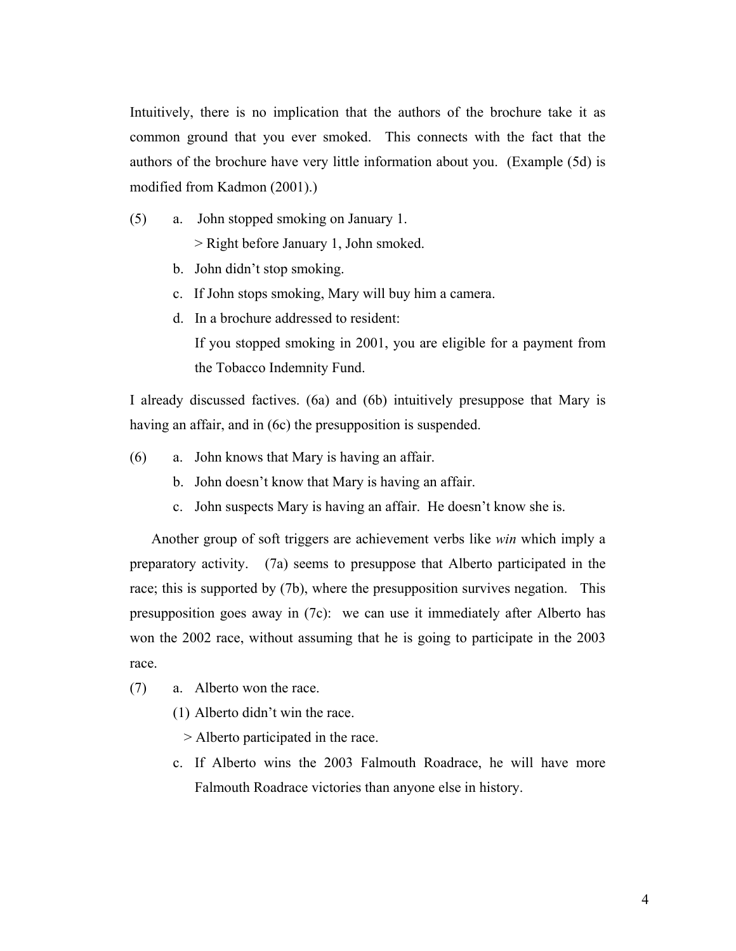Intuitively, there is no implication that the authors of the brochure take it as common ground that you ever smoked. This connects with the fact that the authors of the brochure have very little information about you. (Example (5d) is modified from Kadmon (2001).)

(5) a. John stopped smoking on January 1.

> Right before January 1, John smoked.

- b. John didn't stop smoking.
- c. If John stops smoking, Mary will buy him a camera.
- d. In a brochure addressed to resident: If you stopped smoking in 2001, you are eligible for a payment from

the Tobacco Indemnity Fund.

I already discussed factives. (6a) and (6b) intuitively presuppose that Mary is having an affair, and in (6c) the presupposition is suspended.

- (6) a. John knows that Mary is having an affair.
	- b. John doesn't know that Mary is having an affair.
	- c. John suspects Mary is having an affair. He doesn't know she is.

Another group of soft triggers are achievement verbs like *win* which imply a preparatory activity. (7a) seems to presuppose that Alberto participated in the race; this is supported by (7b), where the presupposition survives negation. This presupposition goes away in (7c): we can use it immediately after Alberto has won the 2002 race, without assuming that he is going to participate in the 2003 race.

- (7) a. Alberto won the race.
	- (1) Alberto didn't win the race.
		- > Alberto participated in the race.
	- c. If Alberto wins the 2003 Falmouth Roadrace, he will have more Falmouth Roadrace victories than anyone else in history.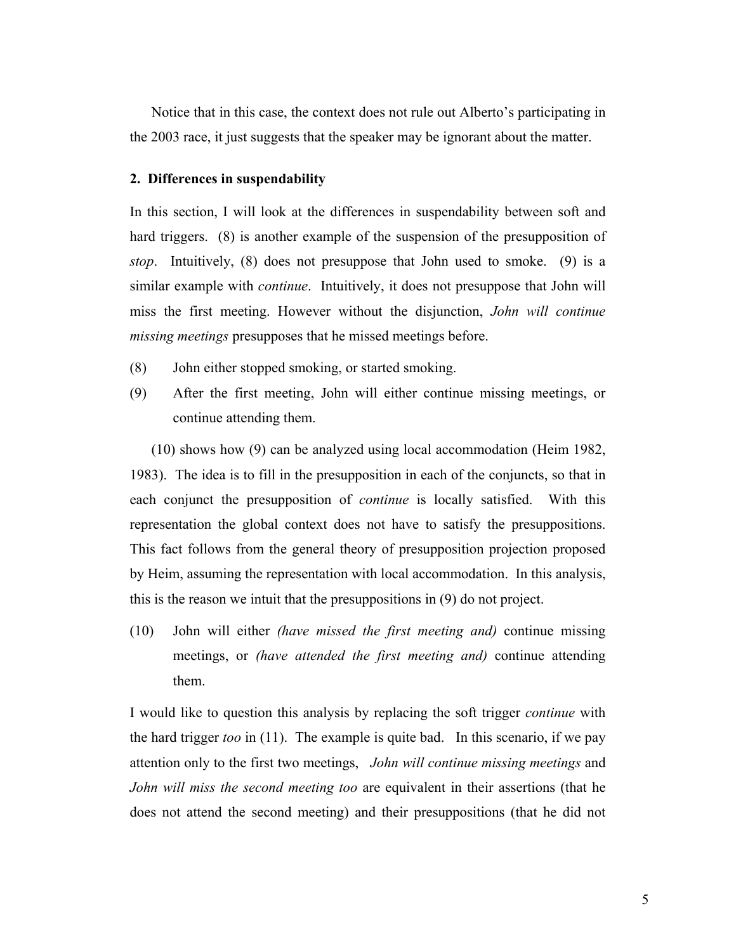Notice that in this case, the context does not rule out Alberto's participating in the 2003 race, it just suggests that the speaker may be ignorant about the matter.

### **2. Differences in suspendability**

In this section, I will look at the differences in suspendability between soft and hard triggers. (8) is another example of the suspension of the presupposition of *stop*. Intuitively, (8) does not presuppose that John used to smoke. (9) is a similar example with *continue*. Intuitively, it does not presuppose that John will miss the first meeting. However without the disjunction, *John will continue missing meetings* presupposes that he missed meetings before.

- (8) John either stopped smoking, or started smoking.
- (9) After the first meeting, John will either continue missing meetings, or continue attending them.

(10) shows how (9) can be analyzed using local accommodation (Heim 1982, 1983). The idea is to fill in the presupposition in each of the conjuncts, so that in each conjunct the presupposition of *continue* is locally satisfied. With this representation the global context does not have to satisfy the presuppositions. This fact follows from the general theory of presupposition projection proposed by Heim, assuming the representation with local accommodation. In this analysis, this is the reason we intuit that the presuppositions in (9) do not project.

(10) John will either *(have missed the first meeting and)* continue missing meetings, or *(have attended the first meeting and)* continue attending them.

I would like to question this analysis by replacing the soft trigger *continue* with the hard trigger *too* in (11). The example is quite bad. In this scenario, if we pay attention only to the first two meetings, *John will continue missing meetings* and *John will miss the second meeting too* are equivalent in their assertions (that he does not attend the second meeting) and their presuppositions (that he did not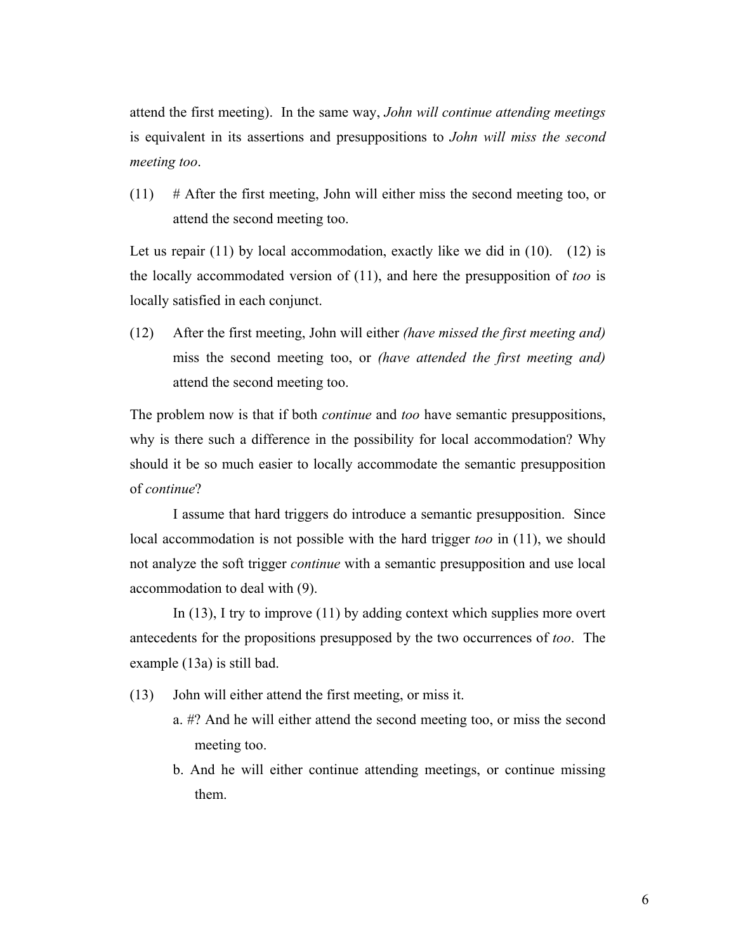attend the first meeting). In the same way, *John will continue attending meetings* is equivalent in its assertions and presuppositions to *John will miss the second meeting too*.

 $(11)$  # After the first meeting, John will either miss the second meeting too, or attend the second meeting too.

Let us repair  $(11)$  by local accommodation, exactly like we did in  $(10)$ .  $(12)$  is the locally accommodated version of (11), and here the presupposition of *too* is locally satisfied in each conjunct.

(12) After the first meeting, John will either *(have missed the first meeting and)* miss the second meeting too, or *(have attended the first meeting and)*  attend the second meeting too.

The problem now is that if both *continue* and *too* have semantic presuppositions, why is there such a difference in the possibility for local accommodation? Why should it be so much easier to locally accommodate the semantic presupposition of *continue*?

I assume that hard triggers do introduce a semantic presupposition. Since local accommodation is not possible with the hard trigger *too* in (11), we should not analyze the soft trigger *continue* with a semantic presupposition and use local accommodation to deal with (9).

In  $(13)$ , I try to improve  $(11)$  by adding context which supplies more overt antecedents for the propositions presupposed by the two occurrences of *too*. The example (13a) is still bad.

- (13) John will either attend the first meeting, or miss it.
	- a. #? And he will either attend the second meeting too, or miss the second meeting too.
	- b. And he will either continue attending meetings, or continue missing them.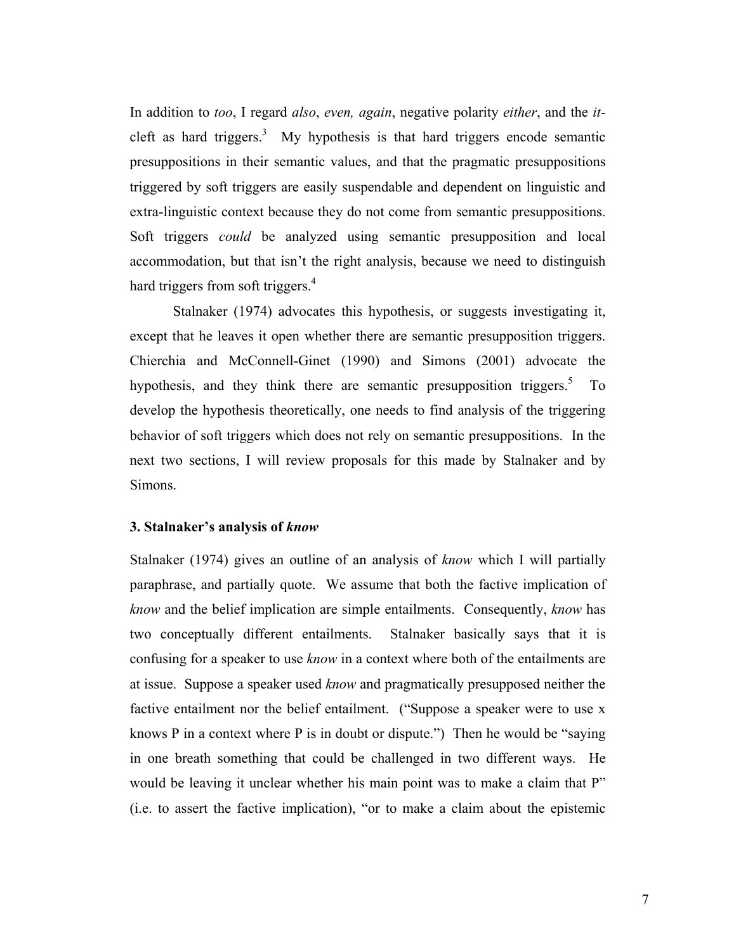In addition to *too*, I regard *also*, *even, again*, negative polarity *either*, and the *it*cleft as hard triggers.<sup>3</sup> My hypothesis is that hard triggers encode semantic presuppositions in their semantic values, and that the pragmatic presuppositions triggered by soft triggers are easily suspendable and dependent on linguistic and extra-linguistic context because they do not come from semantic presuppositions. Soft triggers *could* be analyzed using semantic presupposition and local accommodation, but that isn't the right analysis, because we need to distinguish hard triggers from soft triggers. $4$ 

Stalnaker (1974) advocates this hypothesis, or suggests investigating it, except that he leaves it open whether there are semantic presupposition triggers. Chierchia and McConnell-Ginet (1990) and Simons (2001) advocate the hypothesis, and they think there are semantic presupposition triggers.<sup>5</sup> To develop the hypothesis theoretically, one needs to find analysis of the triggering behavior of soft triggers which does not rely on semantic presuppositions. In the next two sections, I will review proposals for this made by Stalnaker and by Simons.

#### **3. Stalnaker's analysis of** *know*

Stalnaker (1974) gives an outline of an analysis of *know* which I will partially paraphrase, and partially quote. We assume that both the factive implication of *know* and the belief implication are simple entailments. Consequently, *know* has two conceptually different entailments. Stalnaker basically says that it is confusing for a speaker to use *know* in a context where both of the entailments are at issue. Suppose a speaker used *know* and pragmatically presupposed neither the factive entailment nor the belief entailment. ("Suppose a speaker were to use x knows P in a context where P is in doubt or dispute.") Then he would be "saying in one breath something that could be challenged in two different ways. He would be leaving it unclear whether his main point was to make a claim that P" (i.e. to assert the factive implication), "or to make a claim about the epistemic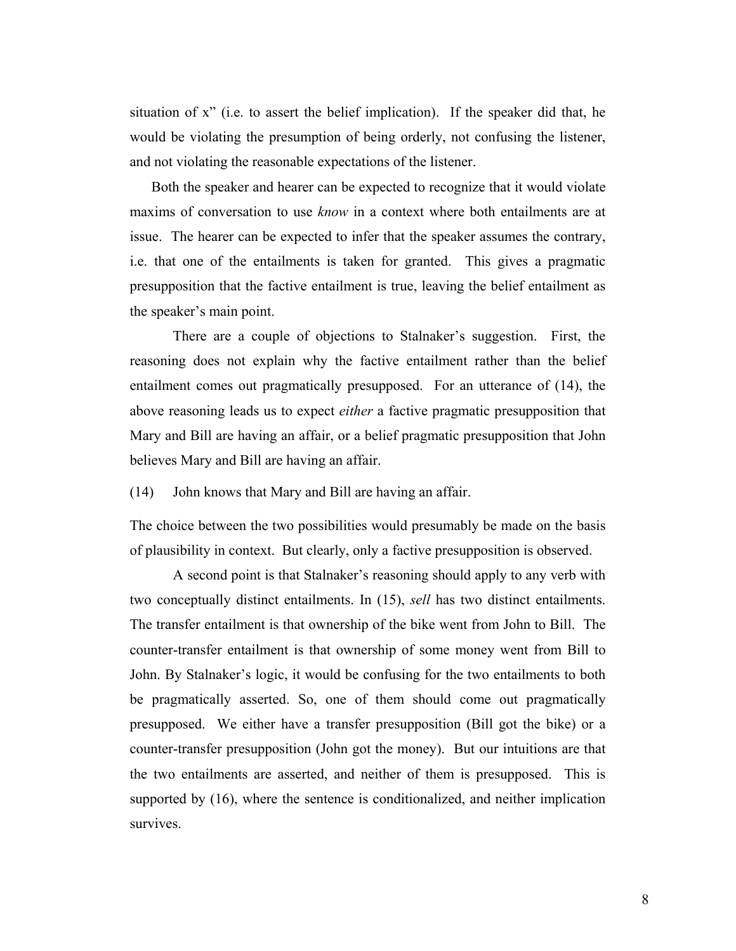situation of x" (i.e. to assert the belief implication). If the speaker did that, he would be violating the presumption of being orderly, not confusing the listener, and not violating the reasonable expectations of the listener.

Both the speaker and hearer can be expected to recognize that it would violate maxims of conversation to use *know* in a context where both entailments are at issue. The hearer can be expected to infer that the speaker assumes the contrary, i.e. that one of the entailments is taken for granted. This gives a pragmatic presupposition that the factive entailment is true, leaving the belief entailment as the speaker's main point.

There are a couple of objections to Stalnaker's suggestion. First, the reasoning does not explain why the factive entailment rather than the belief entailment comes out pragmatically presupposed. For an utterance of (14), the above reasoning leads us to expect *either* a factive pragmatic presupposition that Mary and Bill are having an affair, or a belief pragmatic presupposition that John believes Mary and Bill are having an affair.

(14) John knows that Mary and Bill are having an affair.

The choice between the two possibilities would presumably be made on the basis of plausibility in context. But clearly, only a factive presupposition is observed.

A second point is that Stalnaker's reasoning should apply to any verb with two conceptually distinct entailments. In (15), *sell* has two distinct entailments. The transfer entailment is that ownership of the bike went from John to Bill. The counter-transfer entailment is that ownership of some money went from Bill to John. By Stalnaker's logic, it would be confusing for the two entailments to both be pragmatically asserted. So, one of them should come out pragmatically presupposed. We either have a transfer presupposition (Bill got the bike) or a counter-transfer presupposition (John got the money). But our intuitions are that the two entailments are asserted, and neither of them is presupposed. This is supported by (16), where the sentence is conditionalized, and neither implication survives.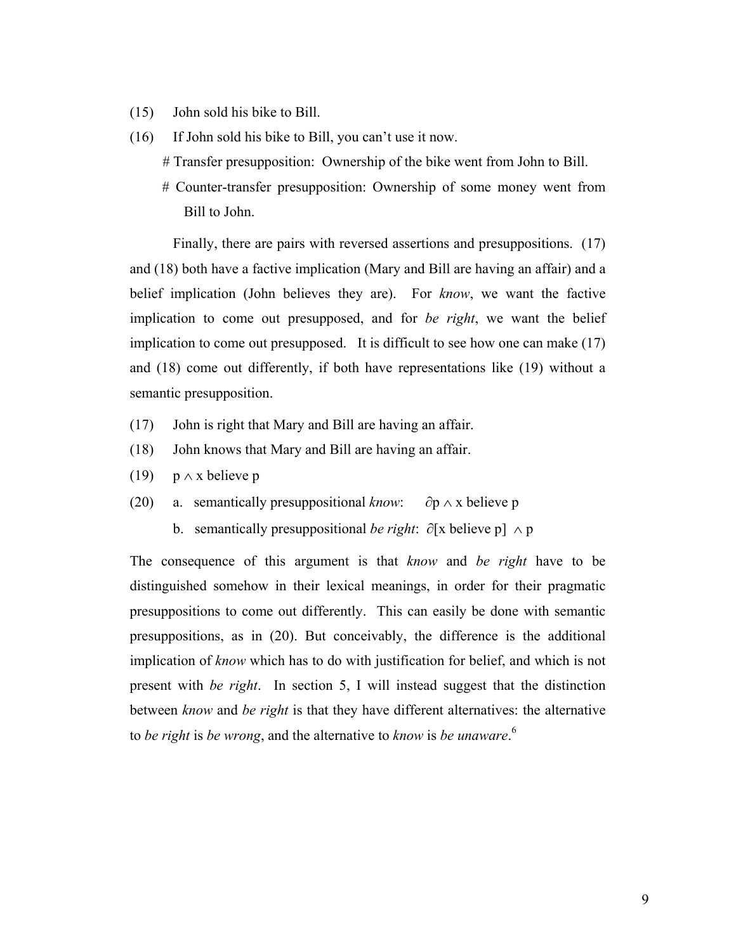- (15) John sold his bike to Bill.
- (16) If John sold his bike to Bill, you can't use it now.
	- # Transfer presupposition: Ownership of the bike went from John to Bill.
	- # Counter-transfer presupposition: Ownership of some money went from Bill to John.

Finally, there are pairs with reversed assertions and presuppositions. (17) and (18) both have a factive implication (Mary and Bill are having an affair) and a belief implication (John believes they are). For *know*, we want the factive implication to come out presupposed, and for *be right*, we want the belief implication to come out presupposed. It is difficult to see how one can make (17) and (18) come out differently, if both have representations like (19) without a semantic presupposition.

- (17) John is right that Mary and Bill are having an affair.
- (18) John knows that Mary and Bill are having an affair.
- (19)  $p \wedge x$  believe p
- (20) a. semantically presuppositional *know*: ∂p ∧ x believe p
	- b. semantically presuppositional *be right*: ∂[x believe p] ∧ p

The consequence of this argument is that *know* and *be right* have to be distinguished somehow in their lexical meanings, in order for their pragmatic presuppositions to come out differently. This can easily be done with semantic presuppositions, as in (20). But conceivably, the difference is the additional implication of *know* which has to do with justification for belief, and which is not present with *be right*. In section 5, I will instead suggest that the distinction between *know* and *be right* is that they have different alternatives: the alternative to *be right* is *be wrong*, and the alternative to *know* is *be unaware*. 6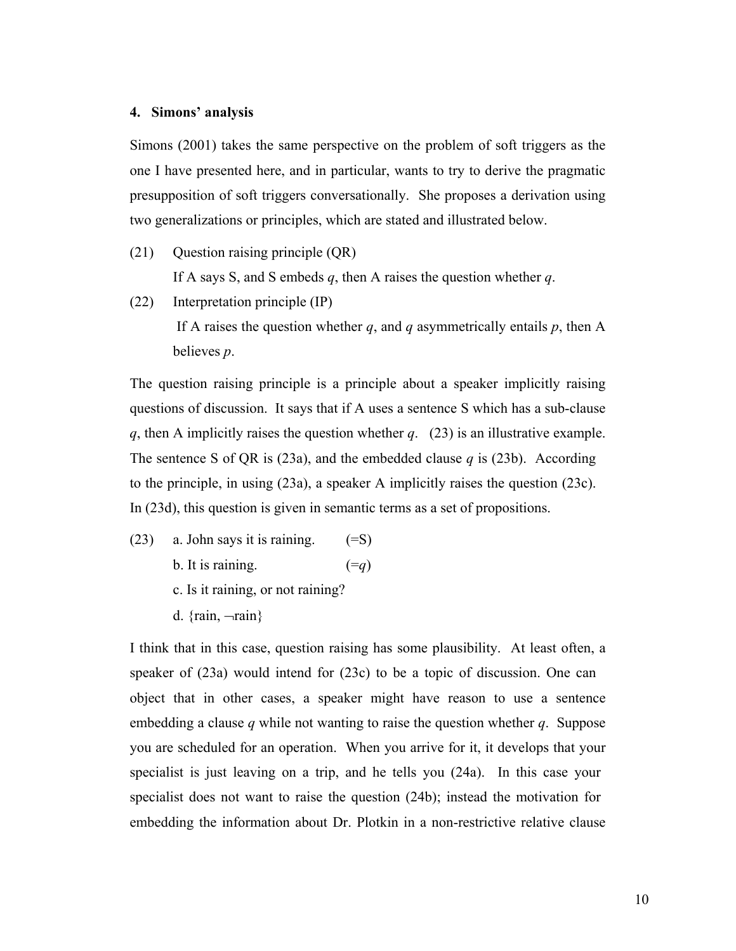### **4. Simons' analysis**

Simons (2001) takes the same perspective on the problem of soft triggers as the one I have presented here, and in particular, wants to try to derive the pragmatic presupposition of soft triggers conversationally. She proposes a derivation using two generalizations or principles, which are stated and illustrated below.

(21) Question raising principle (QR)

If A says S, and S embeds *q*, then A raises the question whether *q*.

(22) Interpretation principle (IP)

If A raises the question whether  $q$ , and  $q$  asymmetrically entails  $p$ , then A believes *p*.

The question raising principle is a principle about a speaker implicitly raising questions of discussion. It says that if A uses a sentence S which has a sub-clause *q*, then A implicitly raises the question whether *q*. (23) is an illustrative example. The sentence S of QR is (23a), and the embedded clause *q* is (23b). According to the principle, in using (23a), a speaker A implicitly raises the question (23c). In (23d), this question is given in semantic terms as a set of propositions.

- (23) a. John says it is raining.  $(=S)$ 
	- b. It is raining.  $(=q)$
	- c. Is it raining, or not raining?
	- d.  $\{rain, \neg rain\}$

I think that in this case, question raising has some plausibility. At least often, a speaker of (23a) would intend for (23c) to be a topic of discussion. One can object that in other cases, a speaker might have reason to use a sentence embedding a clause *q* while not wanting to raise the question whether *q*. Suppose you are scheduled for an operation. When you arrive for it, it develops that your specialist is just leaving on a trip, and he tells you (24a). In this case your specialist does not want to raise the question (24b); instead the motivation for embedding the information about Dr. Plotkin in a non-restrictive relative clause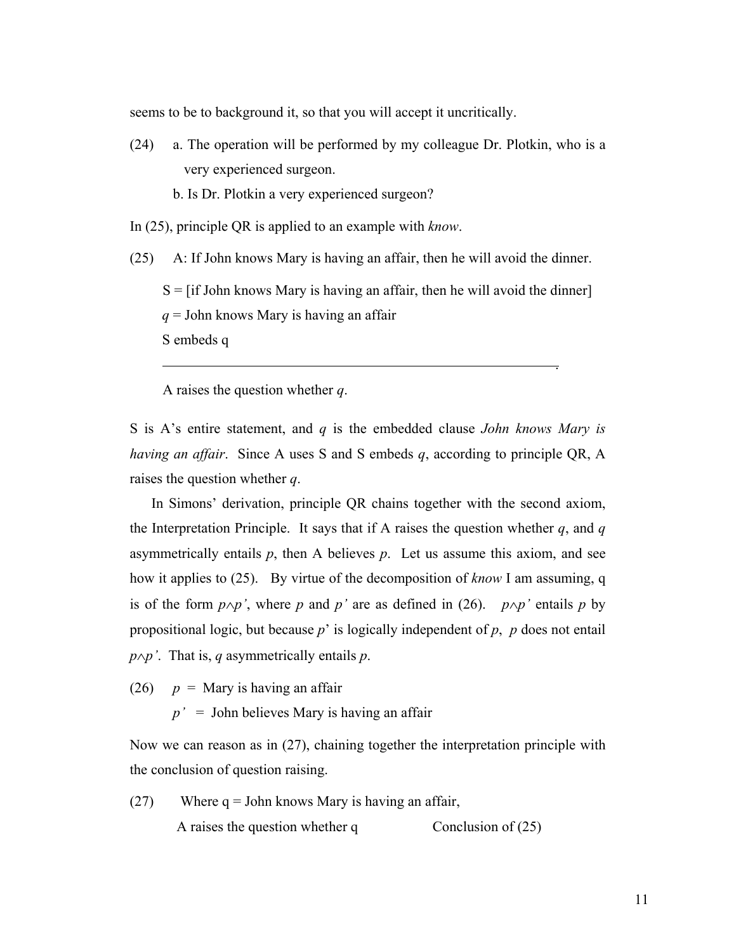seems to be to background it, so that you will accept it uncritically.

- (24) a. The operation will be performed by my colleague Dr. Plotkin, who is a very experienced surgeon.
	- b. Is Dr. Plotkin a very experienced surgeon?
- In (25), principle QR is applied to an example with *know*.

(25) A: If John knows Mary is having an affair, then he will avoid the dinner.

.

 $S = [if John knows Mary is having an affair, then he will avoid the dinner]$ *q* = John knows Mary is having an affair

S embeds q

A raises the question whether *q*.

S is A's entire statement, and *q* is the embedded clause *John knows Mary is having an affair*. Since A uses S and S embeds *q*, according to principle QR, A raises the question whether *q*.

In Simons' derivation, principle QR chains together with the second axiom, the Interpretation Principle. It says that if A raises the question whether  $q$ , and  $q$ asymmetrically entails  $p$ , then A believes  $p$ . Let us assume this axiom, and see how it applies to (25). By virtue of the decomposition of *know* I am assuming, q is of the form  $p \land p'$ , where *p* and *p'* are as defined in (26).  $p \land p'$  entails *p* by propositional logic, but because *p*' is logically independent of *p*, *p* does not entail *p*∧*p'*. That is, *q* asymmetrically entails *p*.

(26)  $p =$  Mary is having an affair

 $p' =$  John believes Mary is having an affair

Now we can reason as in (27), chaining together the interpretation principle with the conclusion of question raising.

 $(27)$  Where q = John knows Mary is having an affair, A raises the question whether q  $\qquad \qquad$  Conclusion of (25)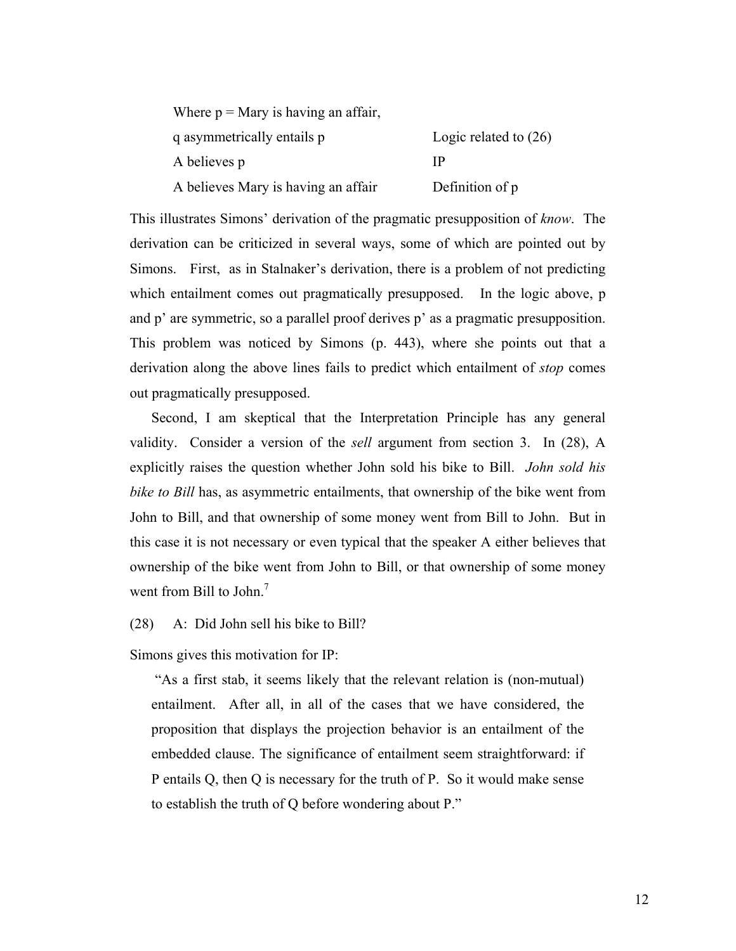| Where $p =$ Mary is having an affair, |                         |
|---------------------------------------|-------------------------|
| q asymmetrically entails p            | Logic related to $(26)$ |
| A believes p                          | IP                      |
| A believes Mary is having an affair   | Definition of p         |

This illustrates Simons' derivation of the pragmatic presupposition of *know*. The derivation can be criticized in several ways, some of which are pointed out by Simons. First, as in Stalnaker's derivation, there is a problem of not predicting which entailment comes out pragmatically presupposed. In the logic above, p and p' are symmetric, so a parallel proof derives p' as a pragmatic presupposition. This problem was noticed by Simons (p. 443), where she points out that a derivation along the above lines fails to predict which entailment of *stop* comes out pragmatically presupposed.

Second, I am skeptical that the Interpretation Principle has any general validity. Consider a version of the *sell* argument from section 3. In (28), A explicitly raises the question whether John sold his bike to Bill. *John sold his bike to Bill* has, as asymmetric entailments, that ownership of the bike went from John to Bill, and that ownership of some money went from Bill to John. But in this case it is not necessary or even typical that the speaker A either believes that ownership of the bike went from John to Bill, or that ownership of some money went from Bill to John. $<sup>7</sup>$ </sup>

## (28) A: Did John sell his bike to Bill?

Simons gives this motivation for IP:

 "As a first stab, it seems likely that the relevant relation is (non-mutual) entailment. After all, in all of the cases that we have considered, the proposition that displays the projection behavior is an entailment of the embedded clause. The significance of entailment seem straightforward: if P entails Q, then Q is necessary for the truth of P. So it would make sense to establish the truth of Q before wondering about P."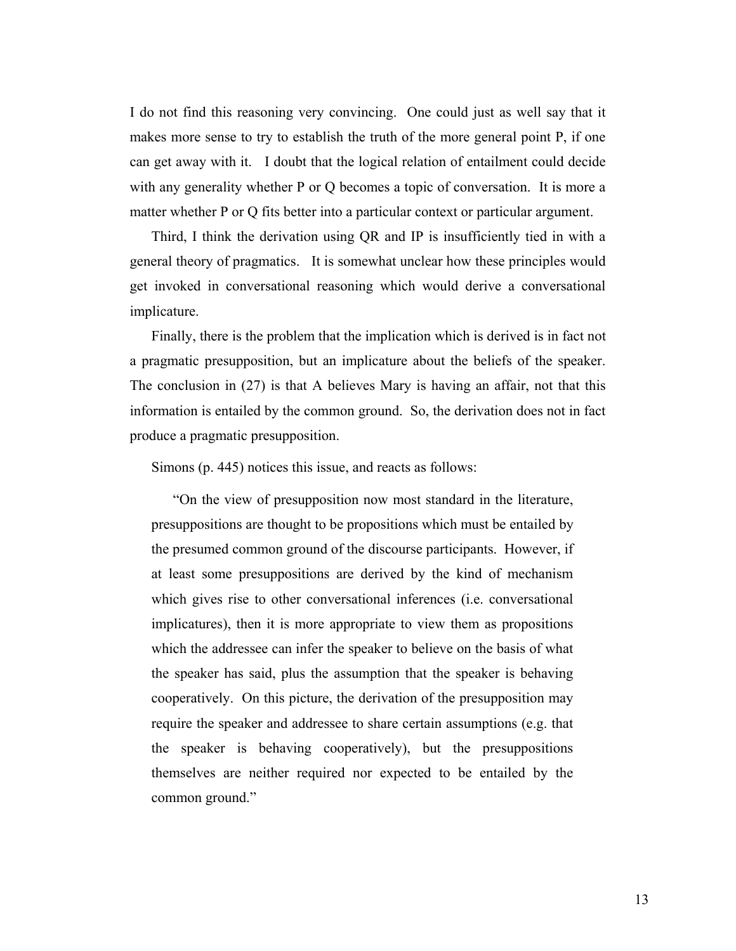I do not find this reasoning very convincing. One could just as well say that it makes more sense to try to establish the truth of the more general point P, if one can get away with it. I doubt that the logical relation of entailment could decide with any generality whether P or Q becomes a topic of conversation. It is more a matter whether P or Q fits better into a particular context or particular argument.

Third, I think the derivation using QR and IP is insufficiently tied in with a general theory of pragmatics. It is somewhat unclear how these principles would get invoked in conversational reasoning which would derive a conversational implicature.

Finally, there is the problem that the implication which is derived is in fact not a pragmatic presupposition, but an implicature about the beliefs of the speaker. The conclusion in (27) is that A believes Mary is having an affair, not that this information is entailed by the common ground. So, the derivation does not in fact produce a pragmatic presupposition.

Simons (p. 445) notices this issue, and reacts as follows:

"On the view of presupposition now most standard in the literature, presuppositions are thought to be propositions which must be entailed by the presumed common ground of the discourse participants. However, if at least some presuppositions are derived by the kind of mechanism which gives rise to other conversational inferences (i.e. conversational implicatures), then it is more appropriate to view them as propositions which the addressee can infer the speaker to believe on the basis of what the speaker has said, plus the assumption that the speaker is behaving cooperatively. On this picture, the derivation of the presupposition may require the speaker and addressee to share certain assumptions (e.g. that the speaker is behaving cooperatively), but the presuppositions themselves are neither required nor expected to be entailed by the common ground."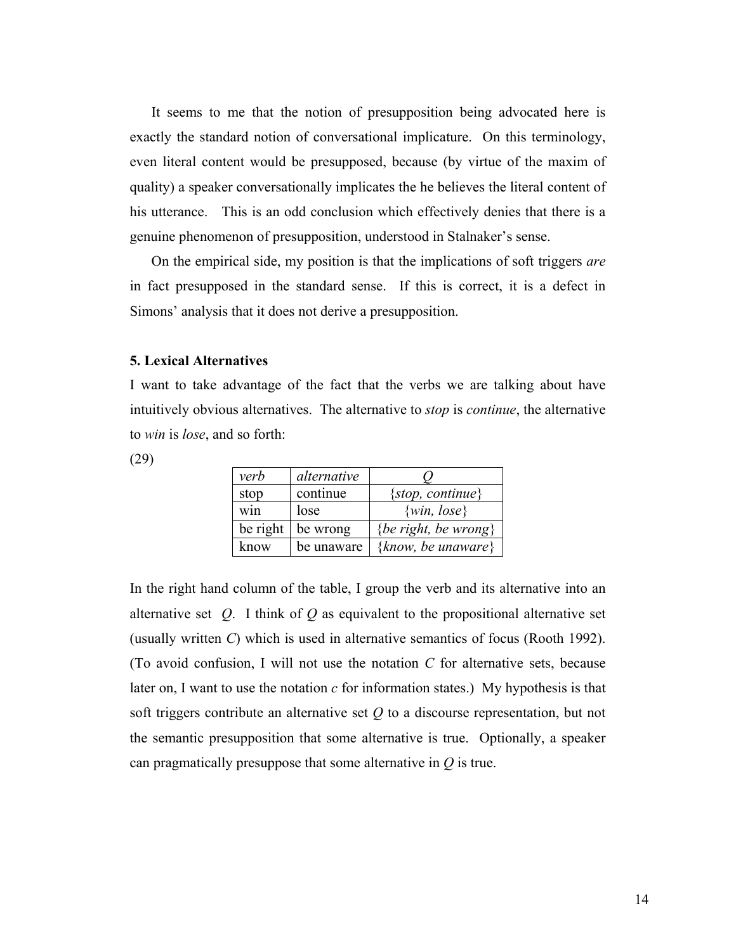It seems to me that the notion of presupposition being advocated here is exactly the standard notion of conversational implicature. On this terminology, even literal content would be presupposed, because (by virtue of the maxim of quality) a speaker conversationally implicates the he believes the literal content of his utterance. This is an odd conclusion which effectively denies that there is a genuine phenomenon of presupposition, understood in Stalnaker's sense.

On the empirical side, my position is that the implications of soft triggers *are* in fact presupposed in the standard sense. If this is correct, it is a defect in Simons' analysis that it does not derive a presupposition.

### **5. Lexical Alternatives**

I want to take advantage of the fact that the verbs we are talking about have intuitively obvious alternatives. The alternative to *stop* is *continue*, the alternative to *win* is *lose*, and so forth:

(29)

| verb     | alternative |                        |
|----------|-------------|------------------------|
| stop     | continue    | {stop, continue}       |
| win      | lose        | $\{win, lose\}$        |
| be right | be wrong    | {be right, be wrong}   |
| know     | be unaware  | $\{know, be unaware\}$ |

In the right hand column of the table, I group the verb and its alternative into an alternative set *Q*. I think of *Q* as equivalent to the propositional alternative set (usually written *C*) which is used in alternative semantics of focus (Rooth 1992). (To avoid confusion, I will not use the notation *C* for alternative sets, because later on, I want to use the notation *c* for information states.) My hypothesis is that soft triggers contribute an alternative set *Q* to a discourse representation, but not the semantic presupposition that some alternative is true. Optionally, a speaker can pragmatically presuppose that some alternative in *Q* is true.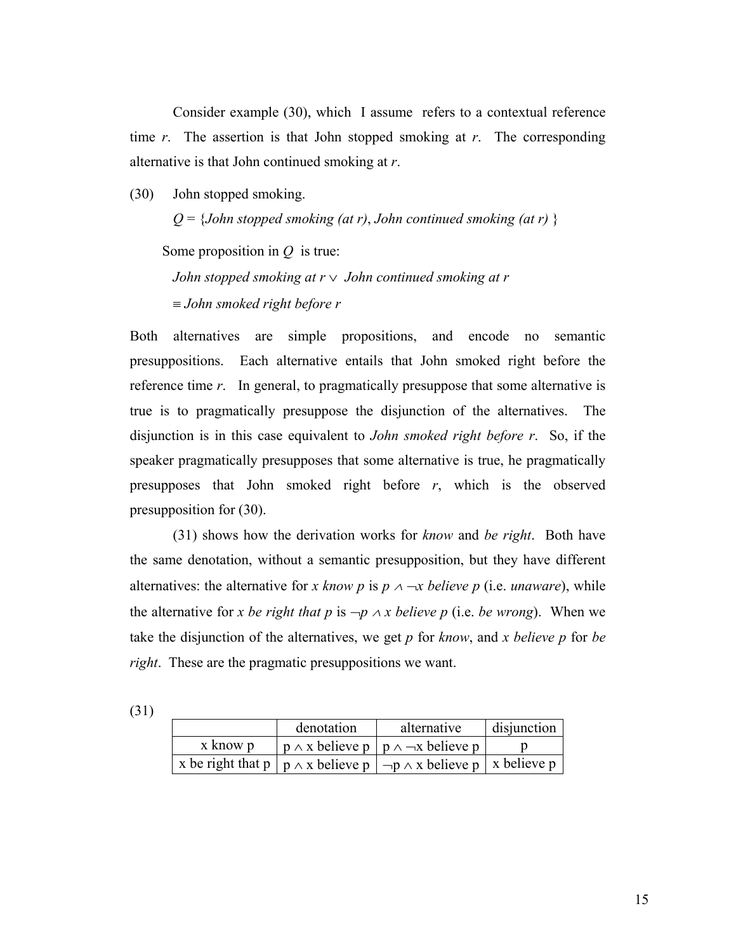Consider example (30), which I assume refers to a contextual reference time *r*. The assertion is that John stopped smoking at *r*. The corresponding alternative is that John continued smoking at *r*.

(30) John stopped smoking.

*Q* = {*John stopped smoking (at r)*, *John continued smoking (at r)* }

Some proposition in *Q* is true:

*John stopped smoking at r* ∨ *John continued smoking at r*  ≡ *John smoked right before r* 

Both alternatives are simple propositions, and encode no semantic presuppositions. Each alternative entails that John smoked right before the reference time *r*. In general, to pragmatically presuppose that some alternative is true is to pragmatically presuppose the disjunction of the alternatives. The disjunction is in this case equivalent to *John smoked right before r*. So, if the speaker pragmatically presupposes that some alternative is true, he pragmatically presupposes that John smoked right before *r*, which is the observed presupposition for (30).

(31) shows how the derivation works for *know* and *be right*. Both have the same denotation, without a semantic presupposition, but they have different alternatives: the alternative for *x* know *p* is  $p \land \neg x$  believe *p* (i.e. *unaware*), while the alternative for *x* be right that p is  $\neg p \land x$  believe p (i.e. be wrong). When we take the disjunction of the alternatives, we get *p* for *know*, and *x believe p* for *be right*. These are the pragmatic presuppositions we want.

(31)

|          | denotation | alternative                                                                                | disjunction |
|----------|------------|--------------------------------------------------------------------------------------------|-------------|
| x know p |            | $ p \wedge x$ believe $p   p \wedge \neg x$ believe p                                      |             |
|          |            | x be right that $p   p \wedge x$ believe $p   \neg p \wedge x$ believe $p   x$ believe $p$ |             |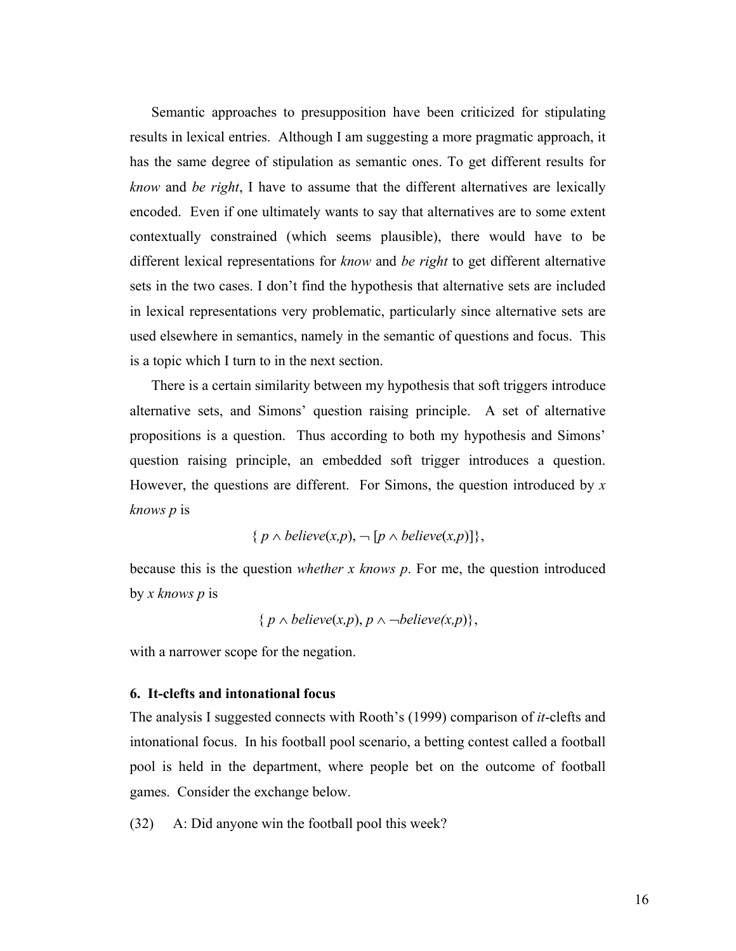Semantic approaches to presupposition have been criticized for stipulating results in lexical entries. Although I am suggesting a more pragmatic approach, it has the same degree of stipulation as semantic ones. To get different results for *know* and *be right*, I have to assume that the different alternatives are lexically encoded. Even if one ultimately wants to say that alternatives are to some extent contextually constrained (which seems plausible), there would have to be different lexical representations for *know* and *be right* to get different alternative sets in the two cases. I don't find the hypothesis that alternative sets are included in lexical representations very problematic, particularly since alternative sets are used elsewhere in semantics, namely in the semantic of questions and focus. This is a topic which I turn to in the next section.

There is a certain similarity between my hypothesis that soft triggers introduce alternative sets, and Simons' question raising principle. A set of alternative propositions is a question. Thus according to both my hypothesis and Simons' question raising principle, an embedded soft trigger introduces a question. However, the questions are different. For Simons, the question introduced by *x knows p* is

$$
\{p \wedge believe(x,p), \neg [p \wedge believe(x,p)]\},\
$$

because this is the question *whether x knows p*. For me, the question introduced by *x knows p* is

{
$$
p \land \text{believe}(x, p), p \land \neg \text{believe}(x, p)
$$
},

with a narrower scope for the negation.

# **6. It-clefts and intonational focus**

The analysis I suggested connects with Rooth's (1999) comparison of *it*-clefts and intonational focus. In his football pool scenario, a betting contest called a football pool is held in the department, where people bet on the outcome of football games. Consider the exchange below.

(32) A: Did anyone win the football pool this week?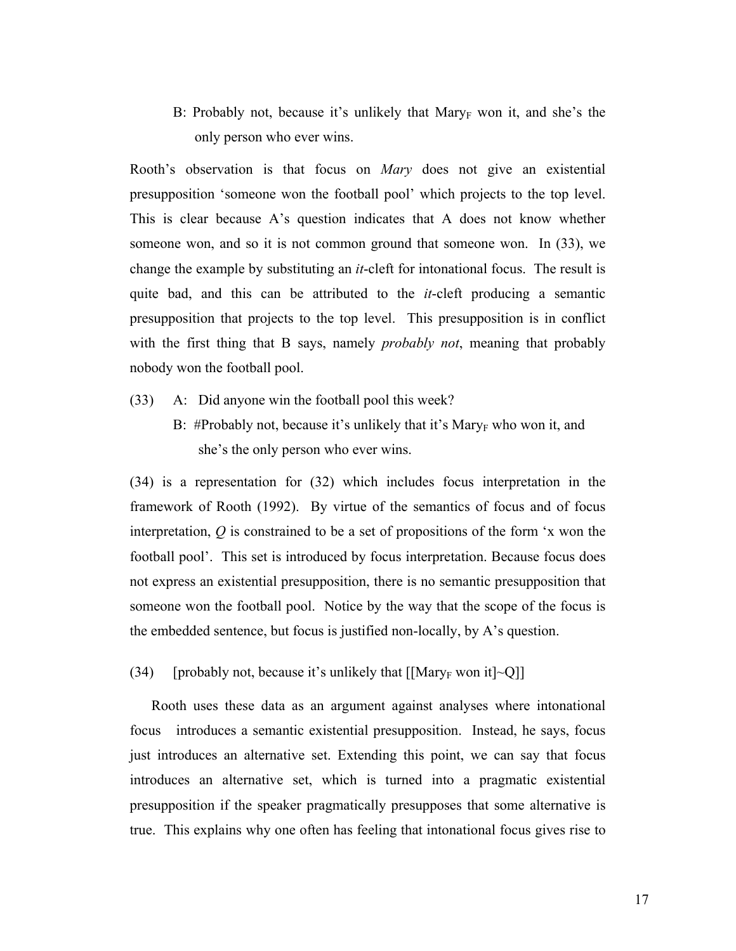B: Probably not, because it's unlikely that Mary<sub>F</sub> won it, and she's the only person who ever wins.

Rooth's observation is that focus on *Mary* does not give an existential presupposition 'someone won the football pool' which projects to the top level. This is clear because A's question indicates that A does not know whether someone won, and so it is not common ground that someone won. In (33), we change the example by substituting an *it*-cleft for intonational focus. The result is quite bad, and this can be attributed to the *it*-cleft producing a semantic presupposition that projects to the top level. This presupposition is in conflict with the first thing that B says, namely *probably not*, meaning that probably nobody won the football pool.

- (33) A: Did anyone win the football pool this week?
	- B: #Probably not, because it's unlikely that it's Mary<sub>F</sub> who won it, and she's the only person who ever wins.

(34) is a representation for (32) which includes focus interpretation in the framework of Rooth (1992). By virtue of the semantics of focus and of focus interpretation, *Q* is constrained to be a set of propositions of the form 'x won the football pool'. This set is introduced by focus interpretation. Because focus does not express an existential presupposition, there is no semantic presupposition that someone won the football pool. Notice by the way that the scope of the focus is the embedded sentence, but focus is justified non-locally, by A's question.

(34) [probably not, because it's unlikely that  $[[\text{Mary}_F \text{ won it}] \sim Q]]$ 

Rooth uses these data as an argument against analyses where intonational focus introduces a semantic existential presupposition. Instead, he says, focus just introduces an alternative set. Extending this point, we can say that focus introduces an alternative set, which is turned into a pragmatic existential presupposition if the speaker pragmatically presupposes that some alternative is true. This explains why one often has feeling that intonational focus gives rise to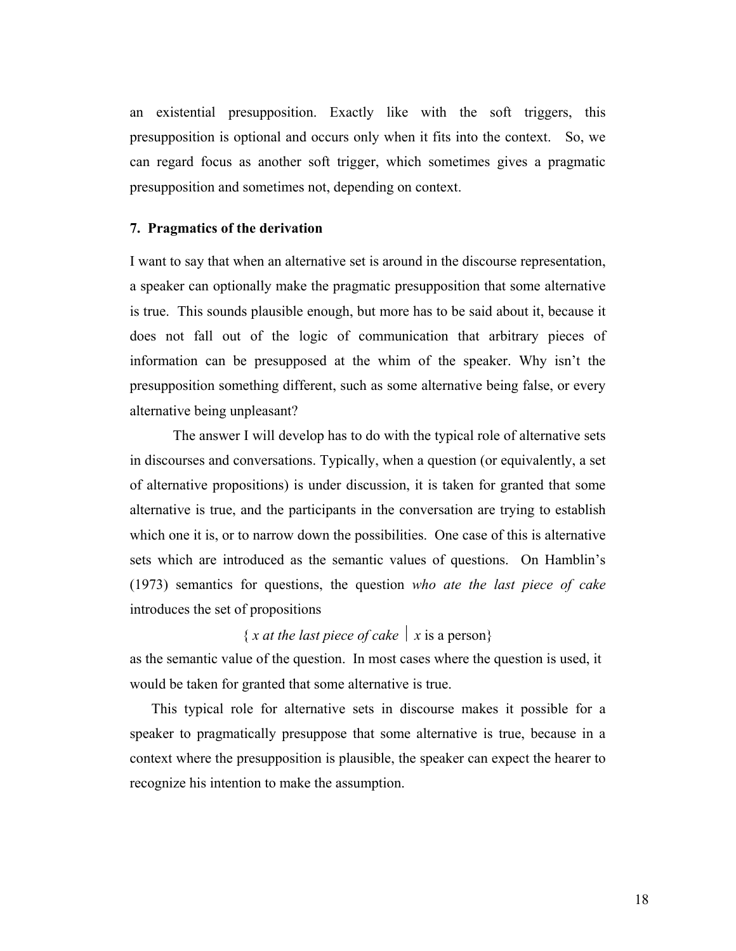an existential presupposition. Exactly like with the soft triggers, this presupposition is optional and occurs only when it fits into the context. So, we can regard focus as another soft trigger, which sometimes gives a pragmatic presupposition and sometimes not, depending on context.

#### **7. Pragmatics of the derivation**

I want to say that when an alternative set is around in the discourse representation, a speaker can optionally make the pragmatic presupposition that some alternative is true. This sounds plausible enough, but more has to be said about it, because it does not fall out of the logic of communication that arbitrary pieces of information can be presupposed at the whim of the speaker. Why isn't the presupposition something different, such as some alternative being false, or every alternative being unpleasant?

The answer I will develop has to do with the typical role of alternative sets in discourses and conversations. Typically, when a question (or equivalently, a set of alternative propositions) is under discussion, it is taken for granted that some alternative is true, and the participants in the conversation are trying to establish which one it is, or to narrow down the possibilities. One case of this is alternative sets which are introduced as the semantic values of questions. On Hamblin's (1973) semantics for questions, the question *who ate the last piece of cake* introduces the set of propositions

# { *x at the last piece of cake*  $|x|$  *x* is a person}

as the semantic value of the question. In most cases where the question is used, it would be taken for granted that some alternative is true.

This typical role for alternative sets in discourse makes it possible for a speaker to pragmatically presuppose that some alternative is true, because in a context where the presupposition is plausible, the speaker can expect the hearer to recognize his intention to make the assumption.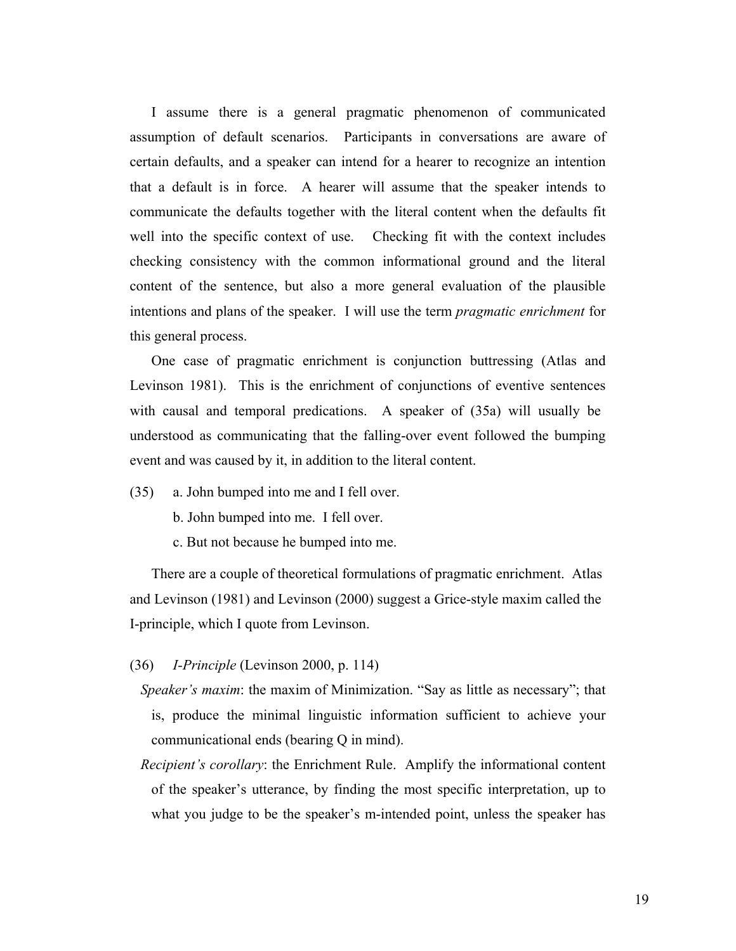I assume there is a general pragmatic phenomenon of communicated assumption of default scenarios. Participants in conversations are aware of certain defaults, and a speaker can intend for a hearer to recognize an intention that a default is in force. A hearer will assume that the speaker intends to communicate the defaults together with the literal content when the defaults fit well into the specific context of use. Checking fit with the context includes checking consistency with the common informational ground and the literal content of the sentence, but also a more general evaluation of the plausible intentions and plans of the speaker. I will use the term *pragmatic enrichment* for this general process.

One case of pragmatic enrichment is conjunction buttressing (Atlas and Levinson 1981). This is the enrichment of conjunctions of eventive sentences with causal and temporal predications. A speaker of  $(35a)$  will usually be understood as communicating that the falling-over event followed the bumping event and was caused by it, in addition to the literal content.

- (35) a. John bumped into me and I fell over.
	- b. John bumped into me. I fell over.
	- c. But not because he bumped into me.

There are a couple of theoretical formulations of pragmatic enrichment. Atlas and Levinson (1981) and Levinson (2000) suggest a Grice-style maxim called the I-principle, which I quote from Levinson.

- (36) *I-Principle* (Levinson 2000, p. 114)
	- *Speaker's maxim*: the maxim of Minimization. "Say as little as necessary"; that is, produce the minimal linguistic information sufficient to achieve your communicational ends (bearing Q in mind).
	- *Recipient's corollary*: the Enrichment Rule. Amplify the informational content of the speaker's utterance, by finding the most specific interpretation, up to what you judge to be the speaker's m-intended point, unless the speaker has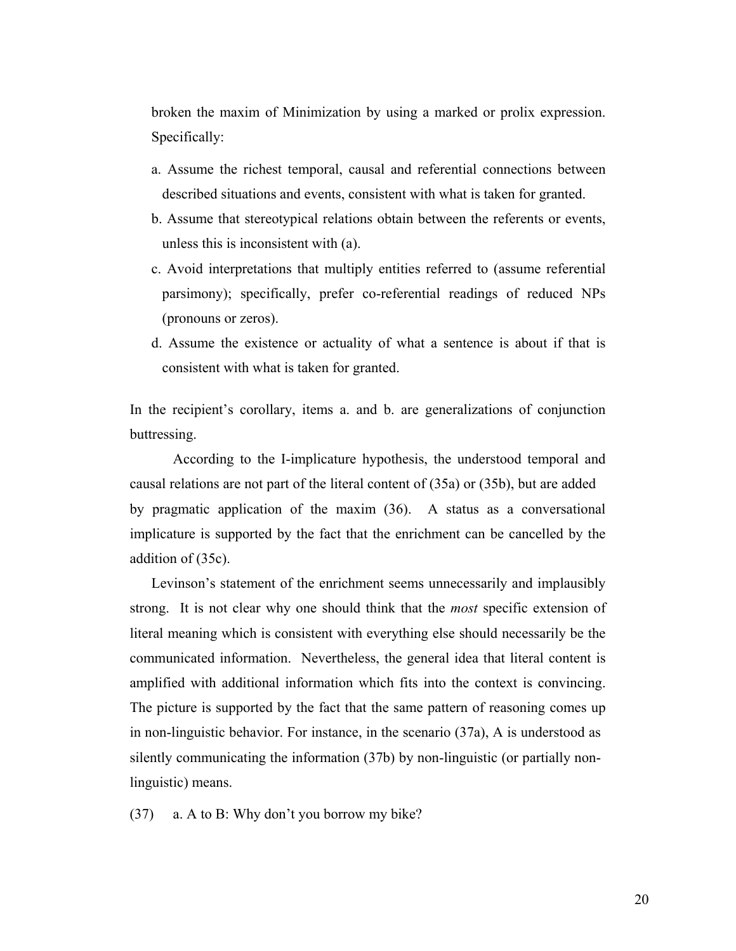broken the maxim of Minimization by using a marked or prolix expression. Specifically:

- a. Assume the richest temporal, causal and referential connections between described situations and events, consistent with what is taken for granted.
- b. Assume that stereotypical relations obtain between the referents or events, unless this is inconsistent with (a).
- c. Avoid interpretations that multiply entities referred to (assume referential parsimony); specifically, prefer co-referential readings of reduced NPs (pronouns or zeros).
- d. Assume the existence or actuality of what a sentence is about if that is consistent with what is taken for granted.

In the recipient's corollary, items a. and b. are generalizations of conjunction buttressing.

According to the I-implicature hypothesis, the understood temporal and causal relations are not part of the literal content of (35a) or (35b), but are added by pragmatic application of the maxim (36). A status as a conversational implicature is supported by the fact that the enrichment can be cancelled by the addition of (35c).

Levinson's statement of the enrichment seems unnecessarily and implausibly strong. It is not clear why one should think that the *most* specific extension of literal meaning which is consistent with everything else should necessarily be the communicated information. Nevertheless, the general idea that literal content is amplified with additional information which fits into the context is convincing. The picture is supported by the fact that the same pattern of reasoning comes up in non-linguistic behavior. For instance, in the scenario (37a), A is understood as silently communicating the information (37b) by non-linguistic (or partially nonlinguistic) means.

(37) a. A to B: Why don't you borrow my bike?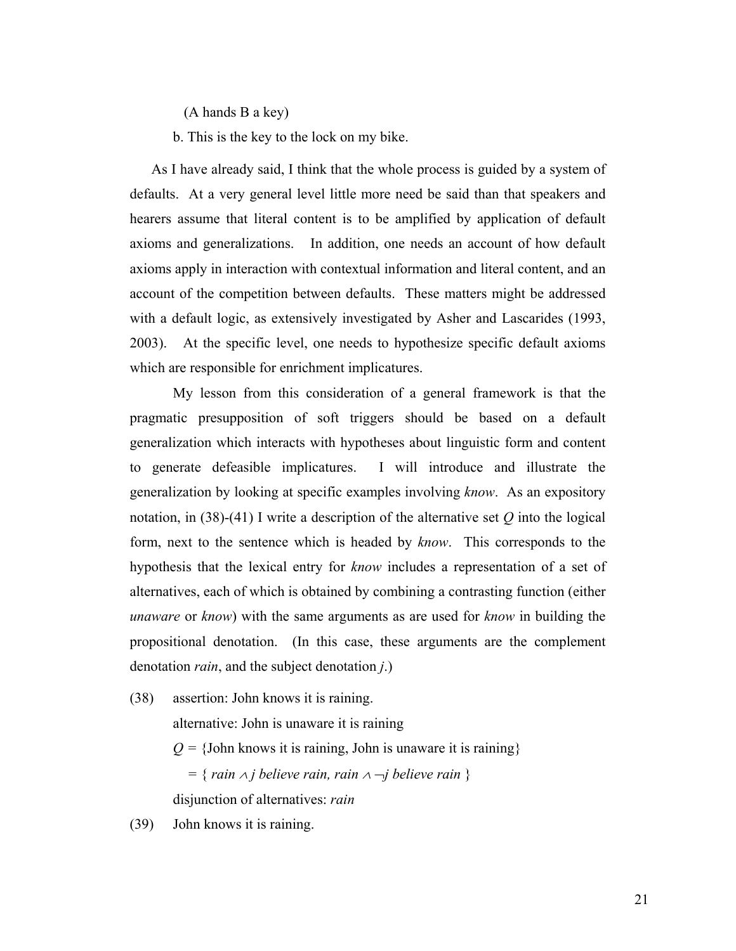(A hands B a key)

b. This is the key to the lock on my bike.

As I have already said, I think that the whole process is guided by a system of defaults. At a very general level little more need be said than that speakers and hearers assume that literal content is to be amplified by application of default axioms and generalizations. In addition, one needs an account of how default axioms apply in interaction with contextual information and literal content, and an account of the competition between defaults. These matters might be addressed with a default logic, as extensively investigated by Asher and Lascarides (1993, 2003). At the specific level, one needs to hypothesize specific default axioms which are responsible for enrichment implicatures.

My lesson from this consideration of a general framework is that the pragmatic presupposition of soft triggers should be based on a default generalization which interacts with hypotheses about linguistic form and content to generate defeasible implicatures. I will introduce and illustrate the generalization by looking at specific examples involving *know*. As an expository notation, in  $(38)-(41)$  I write a description of the alternative set *Q* into the logical form, next to the sentence which is headed by *know*. This corresponds to the hypothesis that the lexical entry for *know* includes a representation of a set of alternatives, each of which is obtained by combining a contrasting function (either *unaware* or *know*) with the same arguments as are used for *know* in building the propositional denotation. (In this case, these arguments are the complement denotation *rain*, and the subject denotation *j*.)

(38) assertion: John knows it is raining.

alternative: John is unaware it is raining

 $Q = \{John knows it is raining, John is unaware it is raining\}$ 

 *=* { *rain* ∧ *j believe rain, rain* <sup>∧</sup> ¬*j believe rain* } disjunction of alternatives: *rain*

(39) John knows it is raining.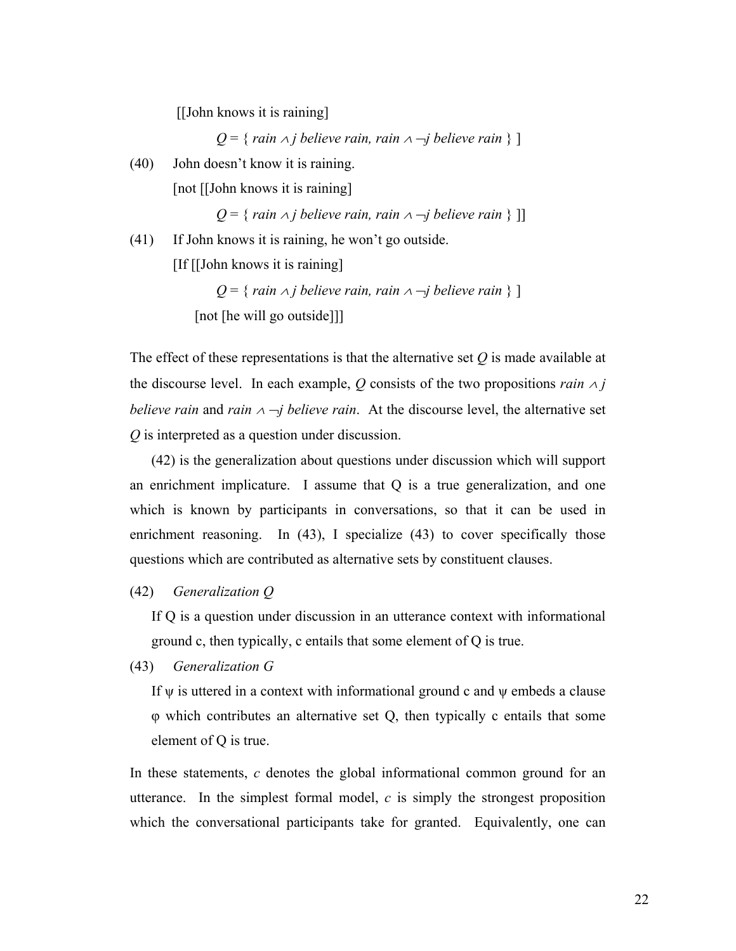[[John knows it is raining]

*Q* = { *rain*  $\land$  *j believe rain, rain*  $\land$   $\neg$ *j believe rain* } ]

(40) John doesn't know it is raining. [not [[John knows it is raining]

*Q* = { *rain* ∧ *j believe rain, rain* <sup>∧</sup> ¬*j believe rain* } ]]

(41) If John knows it is raining, he won't go outside.

[If [[John knows it is raining]

*Q* = { *rain*  $\land$  *j believe rain, rain*  $\land$   $\neg$ *j believe rain* } ] [not [he will go outside]]]

The effect of these representations is that the alternative set *Q* is made available at the discourse level. In each example,  $Q$  consists of the two propositions *rain*  $\land$  *j believe rain* and *rain*  $\land \neg j$  *believe rain*. At the discourse level, the alternative set *Q* is interpreted as a question under discussion.

(42) is the generalization about questions under discussion which will support an enrichment implicature. I assume that Q is a true generalization, and one which is known by participants in conversations, so that it can be used in enrichment reasoning. In (43), I specialize (43) to cover specifically those questions which are contributed as alternative sets by constituent clauses.

# (42) *Generalization Q*

If Q is a question under discussion in an utterance context with informational ground c, then typically, c entails that some element of Q is true.

(43) *Generalization G*

If  $\psi$  is uttered in a context with informational ground c and  $\psi$  embeds a clause φ which contributes an alternative set Q, then typically c entails that some element of Q is true.

In these statements, *c* denotes the global informational common ground for an utterance. In the simplest formal model, *c* is simply the strongest proposition which the conversational participants take for granted. Equivalently, one can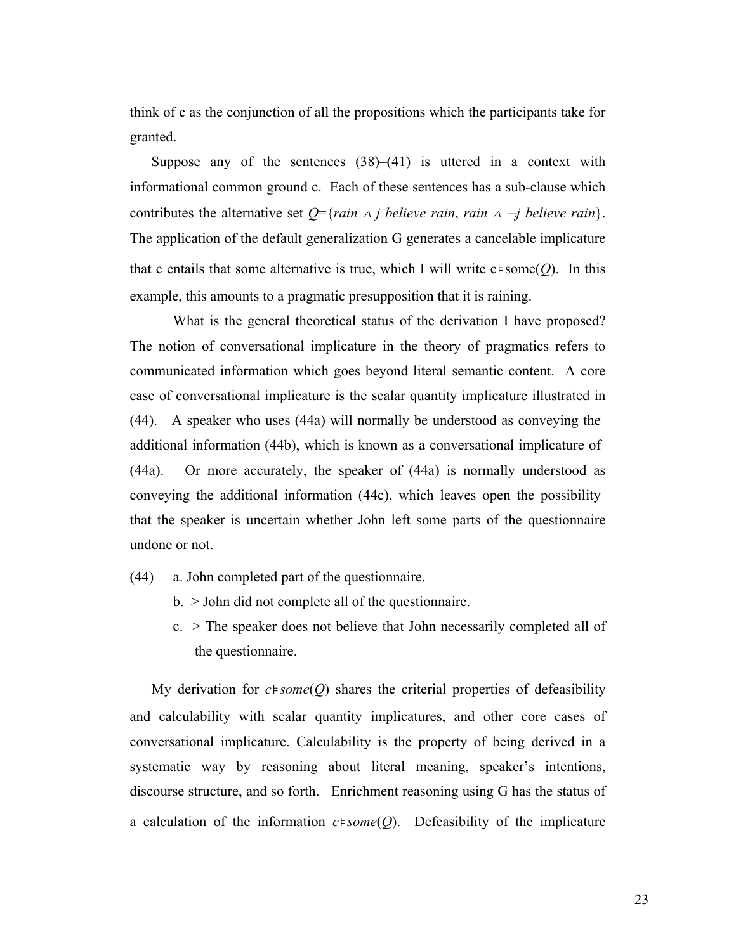think of c as the conjunction of all the propositions which the participants take for granted.

Suppose any of the sentences  $(38)$ – $(41)$  is uttered in a context with informational common ground c. Each of these sentences has a sub-clause which contributes the alternative set  $Q = \{rain \land j \}$  believe rain, rain  $\land \neg j \}$  believe rain $\}$ . The application of the default generalization G generates a cancelable implicature that c entails that some alternative is true, which I will write c⊧some(*Q*). In this example, this amounts to a pragmatic presupposition that it is raining.

What is the general theoretical status of the derivation I have proposed? The notion of conversational implicature in the theory of pragmatics refers to communicated information which goes beyond literal semantic content. A core case of conversational implicature is the scalar quantity implicature illustrated in (44). A speaker who uses (44a) will normally be understood as conveying the additional information (44b), which is known as a conversational implicature of (44a). Or more accurately, the speaker of (44a) is normally understood as conveying the additional information (44c), which leaves open the possibility that the speaker is uncertain whether John left some parts of the questionnaire undone or not.

- (44) a. John completed part of the questionnaire.
	- b. > John did not complete all of the questionnaire.
	- c. > The speaker does not believe that John necessarily completed all of the questionnaire.

My derivation for *c*⊧*some*(*Q*) shares the criterial properties of defeasibility and calculability with scalar quantity implicatures, and other core cases of conversational implicature. Calculability is the property of being derived in a systematic way by reasoning about literal meaning, speaker's intentions, discourse structure, and so forth. Enrichment reasoning using G has the status of a calculation of the information *c*⊧*some*(*Q*). Defeasibility of the implicature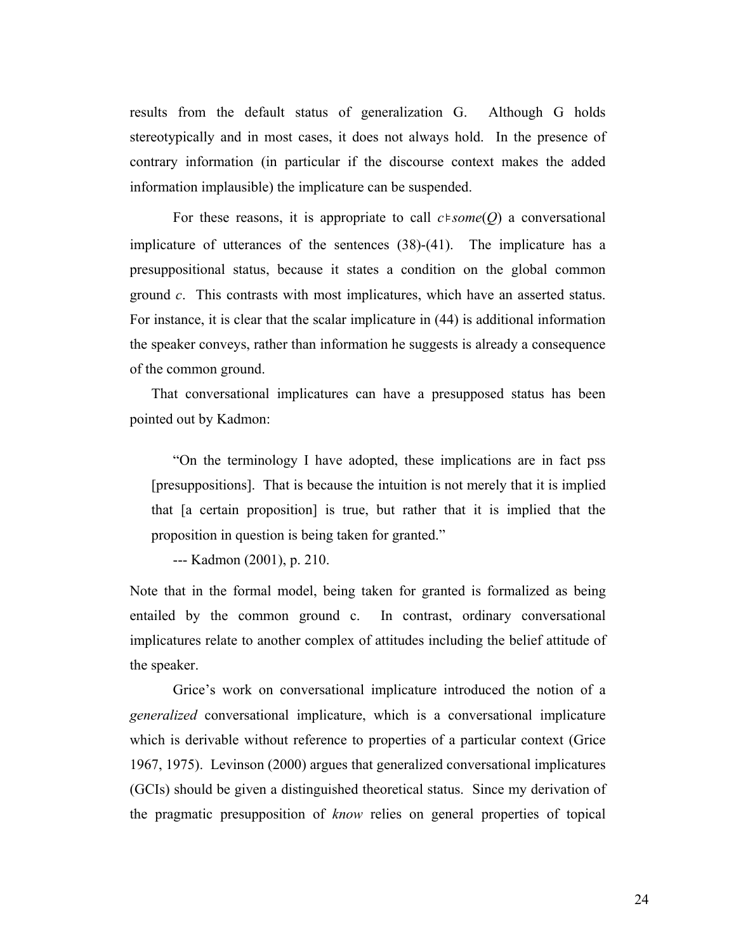results from the default status of generalization G. Although G holds stereotypically and in most cases, it does not always hold. In the presence of contrary information (in particular if the discourse context makes the added information implausible) the implicature can be suspended.

For these reasons, it is appropriate to call *c*⊧*some*(*Q*) a conversational implicature of utterances of the sentences (38)-(41). The implicature has a presuppositional status, because it states a condition on the global common ground *c*. This contrasts with most implicatures, which have an asserted status. For instance, it is clear that the scalar implicature in (44) is additional information the speaker conveys, rather than information he suggests is already a consequence of the common ground.

That conversational implicatures can have a presupposed status has been pointed out by Kadmon:

"On the terminology I have adopted, these implications are in fact pss [presuppositions]. That is because the intuition is not merely that it is implied that [a certain proposition] is true, but rather that it is implied that the proposition in question is being taken for granted."

--- Kadmon (2001), p. 210.

Note that in the formal model, being taken for granted is formalized as being entailed by the common ground c. In contrast, ordinary conversational implicatures relate to another complex of attitudes including the belief attitude of the speaker.

Grice's work on conversational implicature introduced the notion of a *generalized* conversational implicature, which is a conversational implicature which is derivable without reference to properties of a particular context (Grice 1967, 1975). Levinson (2000) argues that generalized conversational implicatures (GCIs) should be given a distinguished theoretical status. Since my derivation of the pragmatic presupposition of *know* relies on general properties of topical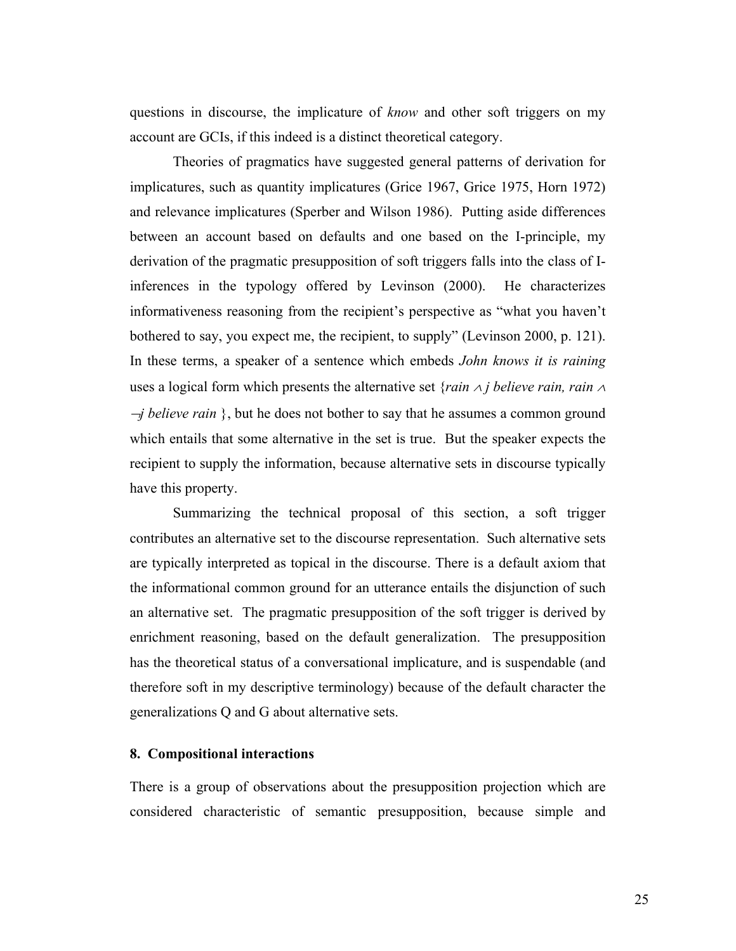questions in discourse, the implicature of *know* and other soft triggers on my account are GCIs, if this indeed is a distinct theoretical category.

Theories of pragmatics have suggested general patterns of derivation for implicatures, such as quantity implicatures (Grice 1967, Grice 1975, Horn 1972) and relevance implicatures (Sperber and Wilson 1986). Putting aside differences between an account based on defaults and one based on the I-principle, my derivation of the pragmatic presupposition of soft triggers falls into the class of Iinferences in the typology offered by Levinson (2000). He characterizes informativeness reasoning from the recipient's perspective as "what you haven't bothered to say, you expect me, the recipient, to supply" (Levinson 2000, p. 121). In these terms, a speaker of a sentence which embeds *John knows it is raining* uses a logical form which presents the alternative set {*rain* ∧ *j believe rain, rain* <sup>∧</sup> <sup>¬</sup>*j believe rain* }, but he does not bother to say that he assumes a common ground which entails that some alternative in the set is true. But the speaker expects the recipient to supply the information, because alternative sets in discourse typically have this property.

Summarizing the technical proposal of this section, a soft trigger contributes an alternative set to the discourse representation. Such alternative sets are typically interpreted as topical in the discourse. There is a default axiom that the informational common ground for an utterance entails the disjunction of such an alternative set. The pragmatic presupposition of the soft trigger is derived by enrichment reasoning, based on the default generalization. The presupposition has the theoretical status of a conversational implicature, and is suspendable (and therefore soft in my descriptive terminology) because of the default character the generalizations Q and G about alternative sets.

# **8. Compositional interactions**

There is a group of observations about the presupposition projection which are considered characteristic of semantic presupposition, because simple and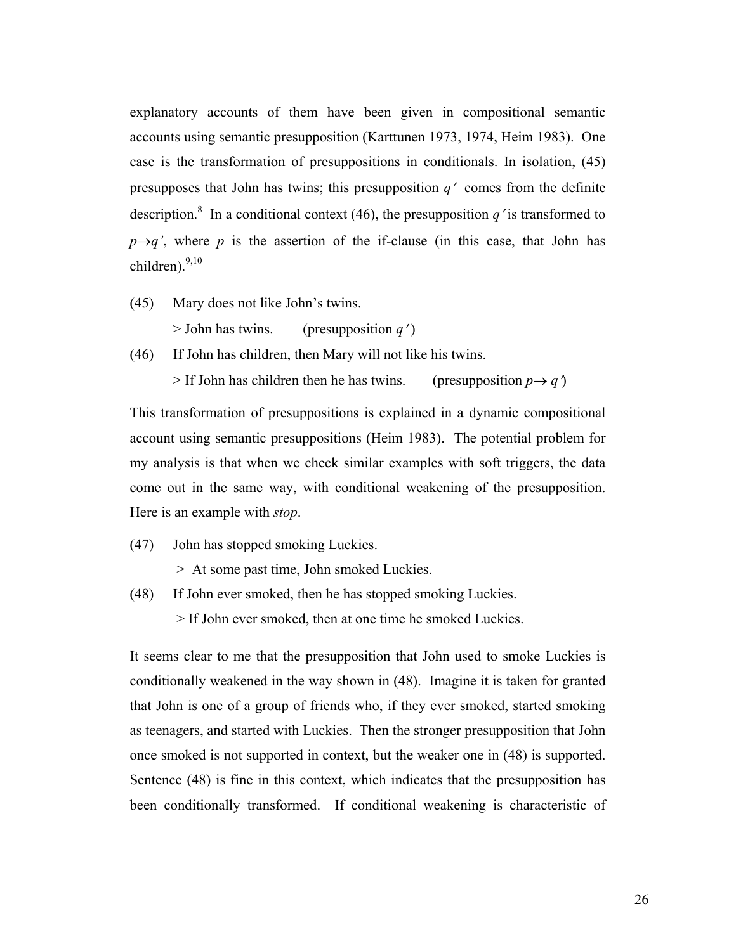explanatory accounts of them have been given in compositional semantic accounts using semantic presupposition (Karttunen 1973, 1974, Heim 1983). One case is the transformation of presuppositions in conditionals. In isolation, (45) presupposes that John has twins; this presupposition *q*′ comes from the definite description.<sup>8</sup> In a conditional context (46), the presupposition  $q'$  is transformed to  $p \rightarrow q'$ , where p is the assertion of the if-clause (in this case, that John has children). $9,10$ 

(45) Mary does not like John's twins.

 $>$  John has twins. (presupposition *q'*)

(46) If John has children, then Mary will not like his twins.

 $>$  If John has children then he has twins. (presupposition  $p \rightarrow q$ )

This transformation of presuppositions is explained in a dynamic compositional account using semantic presuppositions (Heim 1983). The potential problem for my analysis is that when we check similar examples with soft triggers, the data come out in the same way, with conditional weakening of the presupposition. Here is an example with *stop*.

(47) John has stopped smoking Luckies.

> At some past time, John smoked Luckies.

(48) If John ever smoked, then he has stopped smoking Luckies.

> If John ever smoked, then at one time he smoked Luckies.

It seems clear to me that the presupposition that John used to smoke Luckies is conditionally weakened in the way shown in (48). Imagine it is taken for granted that John is one of a group of friends who, if they ever smoked, started smoking as teenagers, and started with Luckies. Then the stronger presupposition that John once smoked is not supported in context, but the weaker one in (48) is supported. Sentence (48) is fine in this context, which indicates that the presupposition has been conditionally transformed. If conditional weakening is characteristic of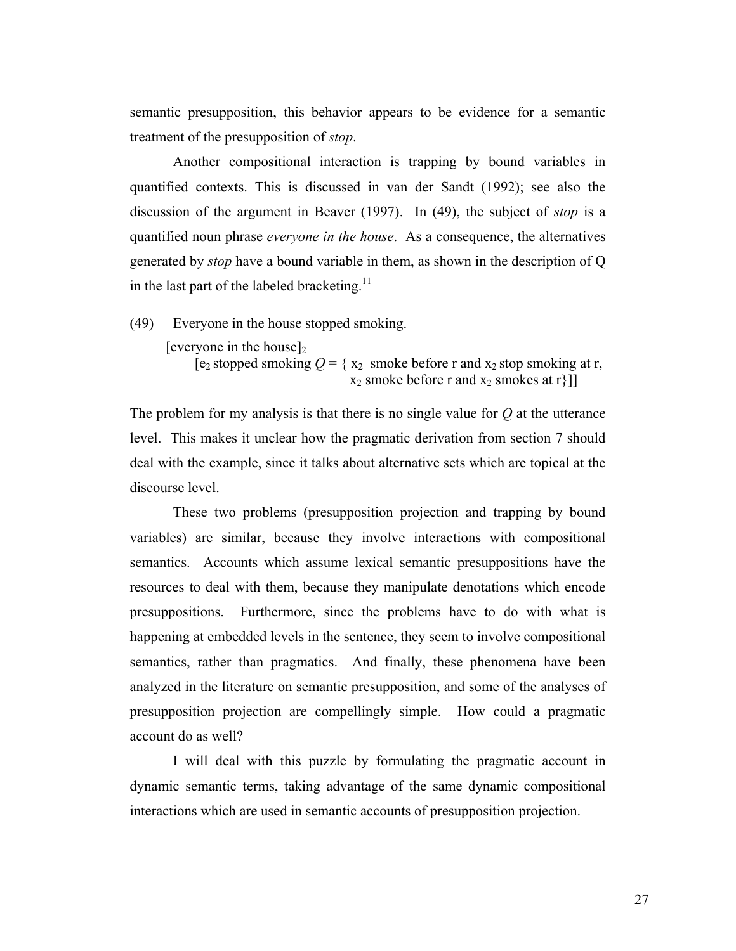semantic presupposition, this behavior appears to be evidence for a semantic treatment of the presupposition of *stop*.

Another compositional interaction is trapping by bound variables in quantified contexts. This is discussed in van der Sandt (1992); see also the discussion of the argument in Beaver (1997). In (49), the subject of *stop* is a quantified noun phrase *everyone in the house*. As a consequence, the alternatives generated by *stop* have a bound variable in them, as shown in the description of Q in the last part of the labeled bracketing.<sup>11</sup>

(49) Everyone in the house stopped smoking.

 $[everyone in the house]$ 

[e<sub>2</sub> stopped smoking  $Q = \{x_2 \text{ smoke before } r \text{ and } x_2 \text{ stop smoking at } r\}$ ,  $x_2$  smoke before r and  $x_2$  smokes at r}]

The problem for my analysis is that there is no single value for *Q* at the utterance level. This makes it unclear how the pragmatic derivation from section 7 should deal with the example, since it talks about alternative sets which are topical at the discourse level.

These two problems (presupposition projection and trapping by bound variables) are similar, because they involve interactions with compositional semantics. Accounts which assume lexical semantic presuppositions have the resources to deal with them, because they manipulate denotations which encode presuppositions. Furthermore, since the problems have to do with what is happening at embedded levels in the sentence, they seem to involve compositional semantics, rather than pragmatics. And finally, these phenomena have been analyzed in the literature on semantic presupposition, and some of the analyses of presupposition projection are compellingly simple. How could a pragmatic account do as well?

I will deal with this puzzle by formulating the pragmatic account in dynamic semantic terms, taking advantage of the same dynamic compositional interactions which are used in semantic accounts of presupposition projection.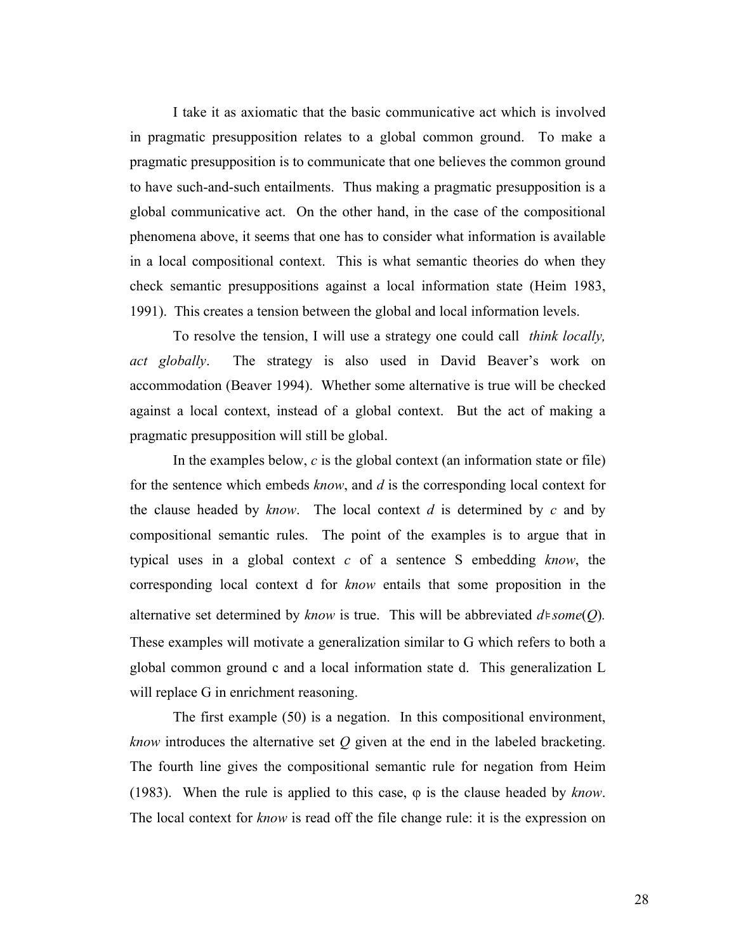I take it as axiomatic that the basic communicative act which is involved in pragmatic presupposition relates to a global common ground. To make a pragmatic presupposition is to communicate that one believes the common ground to have such-and-such entailments. Thus making a pragmatic presupposition is a global communicative act. On the other hand, in the case of the compositional phenomena above, it seems that one has to consider what information is available in a local compositional context. This is what semantic theories do when they check semantic presuppositions against a local information state (Heim 1983, 1991). This creates a tension between the global and local information levels.

To resolve the tension, I will use a strategy one could call *think locally, act globally*. The strategy is also used in David Beaver's work on accommodation (Beaver 1994). Whether some alternative is true will be checked against a local context, instead of a global context. But the act of making a pragmatic presupposition will still be global.

In the examples below, *c* is the global context (an information state or file) for the sentence which embeds *know*, and *d* is the corresponding local context for the clause headed by *know*. The local context *d* is determined by *c* and by compositional semantic rules. The point of the examples is to argue that in typical uses in a global context *c* of a sentence S embedding *know*, the corresponding local context d for *know* entails that some proposition in the alternative set determined by *know* is true. This will be abbreviated *d*⊧*some*(*Q*)*.*  These examples will motivate a generalization similar to G which refers to both a global common ground c and a local information state d. This generalization L will replace G in enrichment reasoning.

The first example (50) is a negation. In this compositional environment, *know* introduces the alternative set *Q* given at the end in the labeled bracketing. The fourth line gives the compositional semantic rule for negation from Heim (1983). When the rule is applied to this case,  $\varphi$  is the clause headed by *know*. The local context for *know* is read off the file change rule: it is the expression on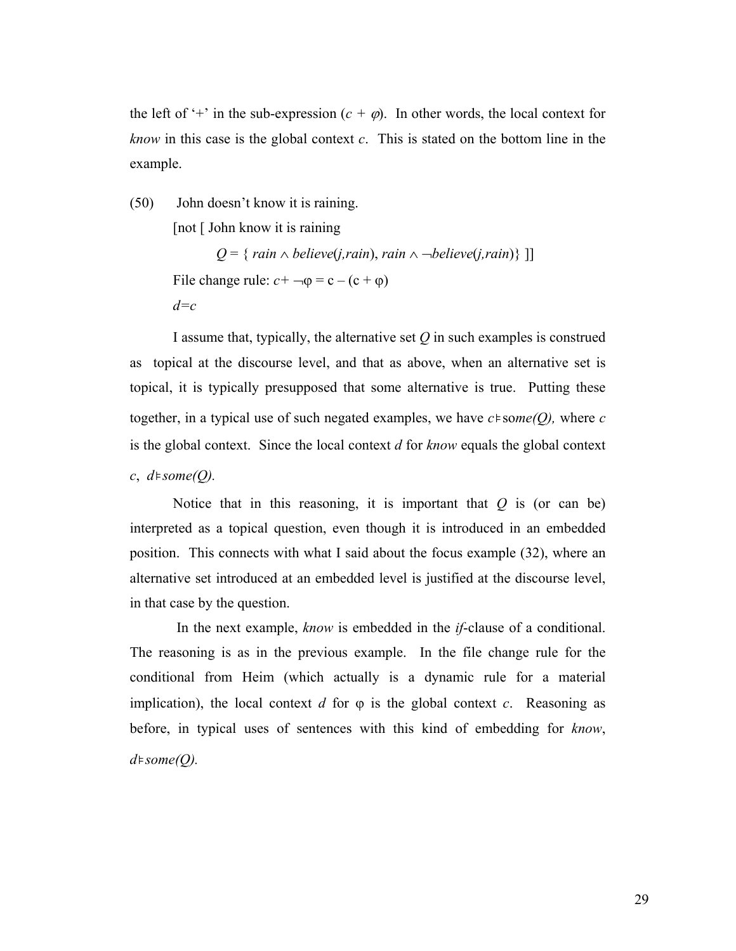the left of '+' in the sub-expression  $(c + \varphi)$ . In other words, the local context for *know* in this case is the global context *c*. This is stated on the bottom line in the example.

(50) John doesn't know it is raining.

[not [ John know it is raining

*Q* = { *rain*  $\land$  *believe*(*j,rain*), *rain*  $\land$   $\neg$ *believe*(*j,rain*)} ]] File change rule:  $c + \neg \phi = c - (c + \phi)$ *d=c*

I assume that, typically, the alternative set *Q* in such examples is construed as topical at the discourse level, and that as above, when an alternative set is topical, it is typically presupposed that some alternative is true. Putting these together, in a typical use of such negated examples, we have *c*⊧so*me(Q),* where *c* is the global context. Since the local context *d* for *know* equals the global context *c*, *d*⊧*some(Q).*

Notice that in this reasoning, it is important that  $Q$  is (or can be) interpreted as a topical question, even though it is introduced in an embedded position. This connects with what I said about the focus example (32), where an alternative set introduced at an embedded level is justified at the discourse level, in that case by the question.

 In the next example, *know* is embedded in the *if*-clause of a conditional. The reasoning is as in the previous example. In the file change rule for the conditional from Heim (which actually is a dynamic rule for a material implication), the local context *d* for  $\varphi$  is the global context *c*. Reasoning as before, in typical uses of sentences with this kind of embedding for *know*, *d*⊧*some(Q).*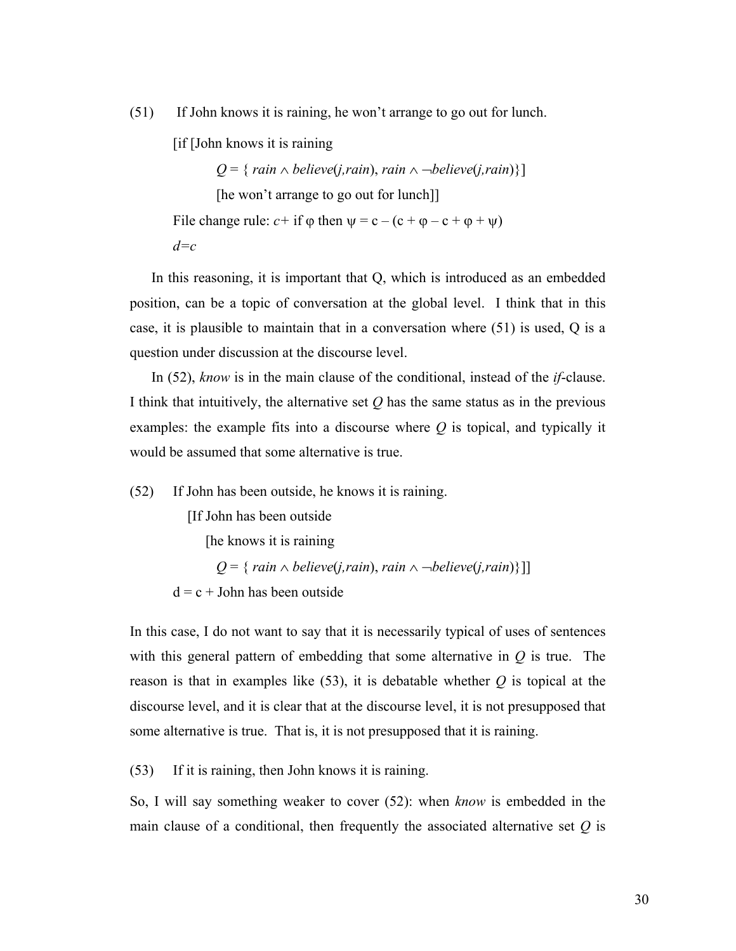(51) If John knows it is raining, he won't arrange to go out for lunch.

[if [John knows it is raining

*Q* = { *rain* ∧ *believe*(*j,rain*), *rain* ∧  $\neg$ *believe*(*j,rain*)}] [he won't arrange to go out for lunch]] File change rule:  $c+$  if  $\varphi$  then  $\psi = c - (c + \varphi - c + \varphi + \psi)$ *d=c*

In this reasoning, it is important that Q, which is introduced as an embedded position, can be a topic of conversation at the global level. I think that in this case, it is plausible to maintain that in a conversation where (51) is used, Q is a question under discussion at the discourse level.

In (52), *know* is in the main clause of the conditional, instead of the *if*-clause. I think that intuitively, the alternative set *Q* has the same status as in the previous examples: the example fits into a discourse where *Q* is topical, and typically it would be assumed that some alternative is true.

(52) If John has been outside, he knows it is raining.

[If John has been outside

[he knows it is raining

 $Q = \{ rain \land believe(j, rain), rain \land \neg believe(j, rain) \}$ ]]

 $d = c + John$  has been outside

In this case, I do not want to say that it is necessarily typical of uses of sentences with this general pattern of embedding that some alternative in *Q* is true. The reason is that in examples like (53), it is debatable whether *Q* is topical at the discourse level, and it is clear that at the discourse level, it is not presupposed that some alternative is true. That is, it is not presupposed that it is raining.

(53) If it is raining, then John knows it is raining.

So, I will say something weaker to cover (52): when *know* is embedded in the main clause of a conditional, then frequently the associated alternative set *Q* is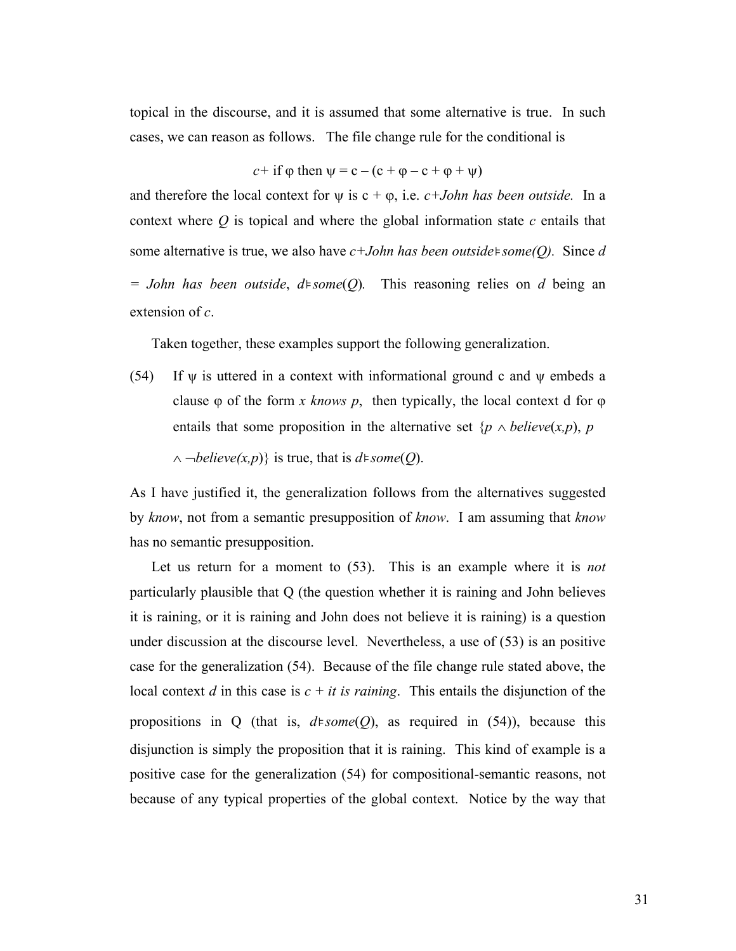topical in the discourse, and it is assumed that some alternative is true. In such cases, we can reason as follows. The file change rule for the conditional is

*c*+ if  $\varphi$  then  $\Psi = c - (c + \varphi - c + \varphi + \psi)$ 

and therefore the local context for  $\psi$  is  $c + \varphi$ , i.e.  $c + John$  has been outside. In a context where *Q* is topical and where the global information state *c* entails that some alternative is true, we also have *c+John has been outside*⊧*some(Q).* Since *d = John has been outside*, *d*⊧*some*(*Q*)*.* This reasoning relies on *d* being an extension of *c*.

Taken together, these examples support the following generalization.

(54) If  $\psi$  is uttered in a context with informational ground c and  $\psi$  embeds a clause φ of the form *x knows p*, then typically, the local context d for φ entails that some proposition in the alternative set  $\{p \land \text{believe}(x, p), p\}$ ∧ ¬*believe(x,p*)} is true, that is *d*⊧*some*(*Q*).

As I have justified it, the generalization follows from the alternatives suggested by *know*, not from a semantic presupposition of *know*. I am assuming that *know* has no semantic presupposition.

Let us return for a moment to (53). This is an example where it is *not* particularly plausible that Q (the question whether it is raining and John believes it is raining, or it is raining and John does not believe it is raining) is a question under discussion at the discourse level. Nevertheless, a use of (53) is an positive case for the generalization (54). Because of the file change rule stated above, the local context *d* in this case is  $c + it$  *is raining*. This entails the disjunction of the propositions in Q (that is, *d*⊧*some*(*Q*), as required in (54)), because this disjunction is simply the proposition that it is raining. This kind of example is a positive case for the generalization (54) for compositional-semantic reasons, not because of any typical properties of the global context. Notice by the way that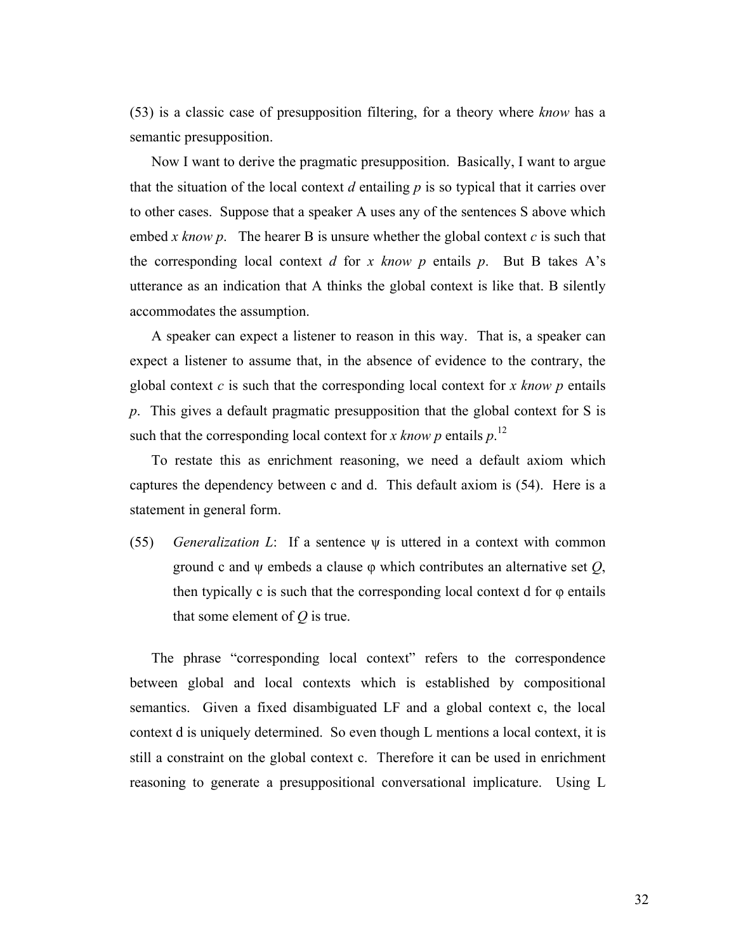(53) is a classic case of presupposition filtering, for a theory where *know* has a semantic presupposition.

Now I want to derive the pragmatic presupposition. Basically, I want to argue that the situation of the local context  $d$  entailing  $p$  is so typical that it carries over to other cases. Suppose that a speaker A uses any of the sentences S above which embed *x know p*. The hearer B is unsure whether the global context *c* is such that the corresponding local context *d* for *x know p* entails *p*. But B takes A's utterance as an indication that A thinks the global context is like that. B silently accommodates the assumption.

A speaker can expect a listener to reason in this way. That is, a speaker can expect a listener to assume that, in the absence of evidence to the contrary, the global context *c* is such that the corresponding local context for *x know p* entails *p*. This gives a default pragmatic presupposition that the global context for S is such that the corresponding local context for *x know p* entails  $p$ <sup>12</sup>

To restate this as enrichment reasoning, we need a default axiom which captures the dependency between c and d. This default axiom is (54). Here is a statement in general form.

(55) *Generalization L*: If a sentence ψ is uttered in a context with common ground c and ψ embeds a clause φ which contributes an alternative set *Q*, then typically c is such that the corresponding local context d for  $\varphi$  entails that some element of *Q* is true.

The phrase "corresponding local context" refers to the correspondence between global and local contexts which is established by compositional semantics. Given a fixed disambiguated LF and a global context c, the local context d is uniquely determined. So even though L mentions a local context, it is still a constraint on the global context c. Therefore it can be used in enrichment reasoning to generate a presuppositional conversational implicature. Using L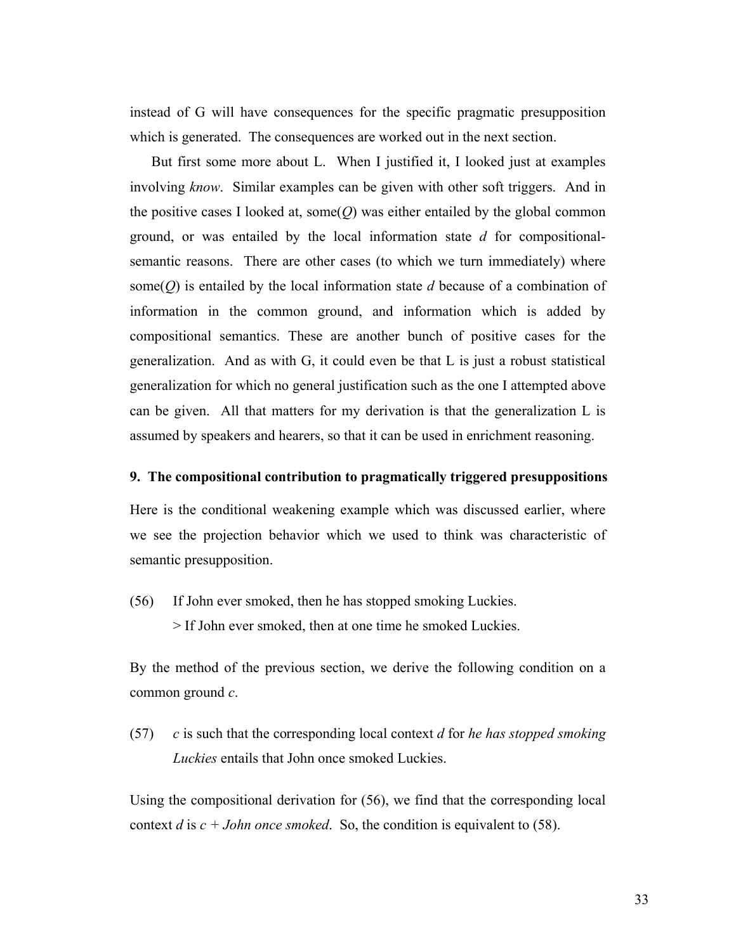instead of G will have consequences for the specific pragmatic presupposition which is generated. The consequences are worked out in the next section.

But first some more about L. When I justified it, I looked just at examples involving *know*. Similar examples can be given with other soft triggers. And in the positive cases I looked at, some $(O)$  was either entailed by the global common ground, or was entailed by the local information state *d* for compositionalsemantic reasons. There are other cases (to which we turn immediately) where some(*Q*) is entailed by the local information state *d* because of a combination of information in the common ground, and information which is added by compositional semantics. These are another bunch of positive cases for the generalization. And as with G, it could even be that L is just a robust statistical generalization for which no general justification such as the one I attempted above can be given. All that matters for my derivation is that the generalization L is assumed by speakers and hearers, so that it can be used in enrichment reasoning.

### **9. The compositional contribution to pragmatically triggered presuppositions**

Here is the conditional weakening example which was discussed earlier, where we see the projection behavior which we used to think was characteristic of semantic presupposition.

(56) If John ever smoked, then he has stopped smoking Luckies.

> If John ever smoked, then at one time he smoked Luckies.

By the method of the previous section, we derive the following condition on a common ground *c*.

(57) *c* is such that the corresponding local context *d* for *he has stopped smoking Luckies* entails that John once smoked Luckies.

Using the compositional derivation for (56), we find that the corresponding local context *d* is  $c + John$  *once smoked*. So, the condition is equivalent to (58).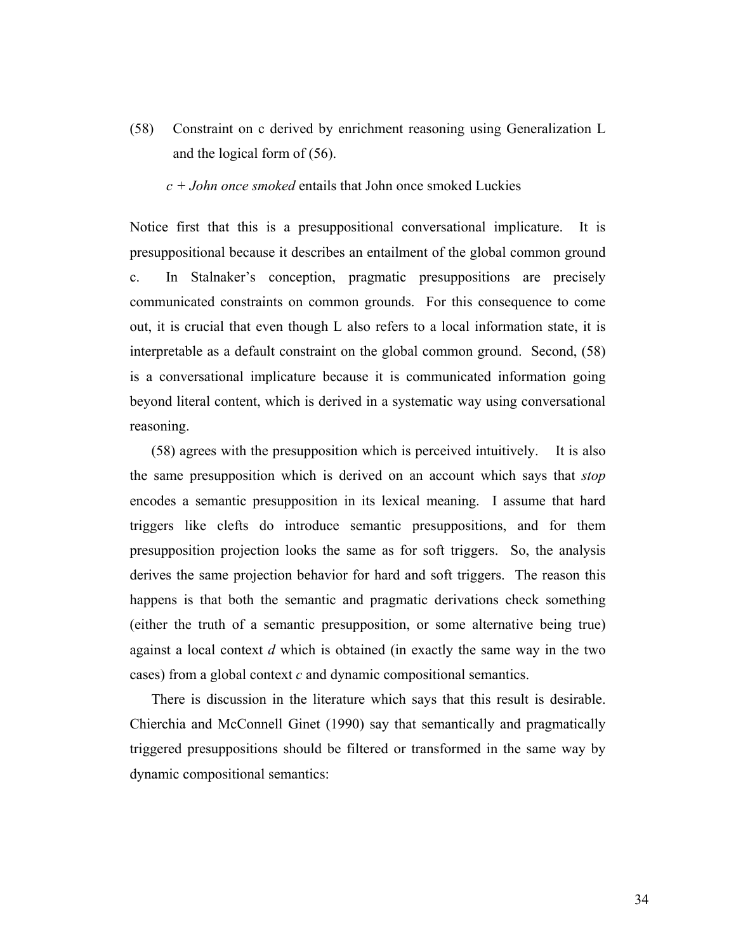(58) Constraint on c derived by enrichment reasoning using Generalization L and the logical form of (56).

*c + John once smoked* entails that John once smoked Luckies

Notice first that this is a presuppositional conversational implicature. It is presuppositional because it describes an entailment of the global common ground c. In Stalnaker's conception, pragmatic presuppositions are precisely communicated constraints on common grounds. For this consequence to come out, it is crucial that even though L also refers to a local information state, it is interpretable as a default constraint on the global common ground. Second, (58) is a conversational implicature because it is communicated information going beyond literal content, which is derived in a systematic way using conversational reasoning.

(58) agrees with the presupposition which is perceived intuitively. It is also the same presupposition which is derived on an account which says that *stop* encodes a semantic presupposition in its lexical meaning. I assume that hard triggers like clefts do introduce semantic presuppositions, and for them presupposition projection looks the same as for soft triggers. So, the analysis derives the same projection behavior for hard and soft triggers. The reason this happens is that both the semantic and pragmatic derivations check something (either the truth of a semantic presupposition, or some alternative being true) against a local context *d* which is obtained (in exactly the same way in the two cases) from a global context *c* and dynamic compositional semantics.

There is discussion in the literature which says that this result is desirable. Chierchia and McConnell Ginet (1990) say that semantically and pragmatically triggered presuppositions should be filtered or transformed in the same way by dynamic compositional semantics: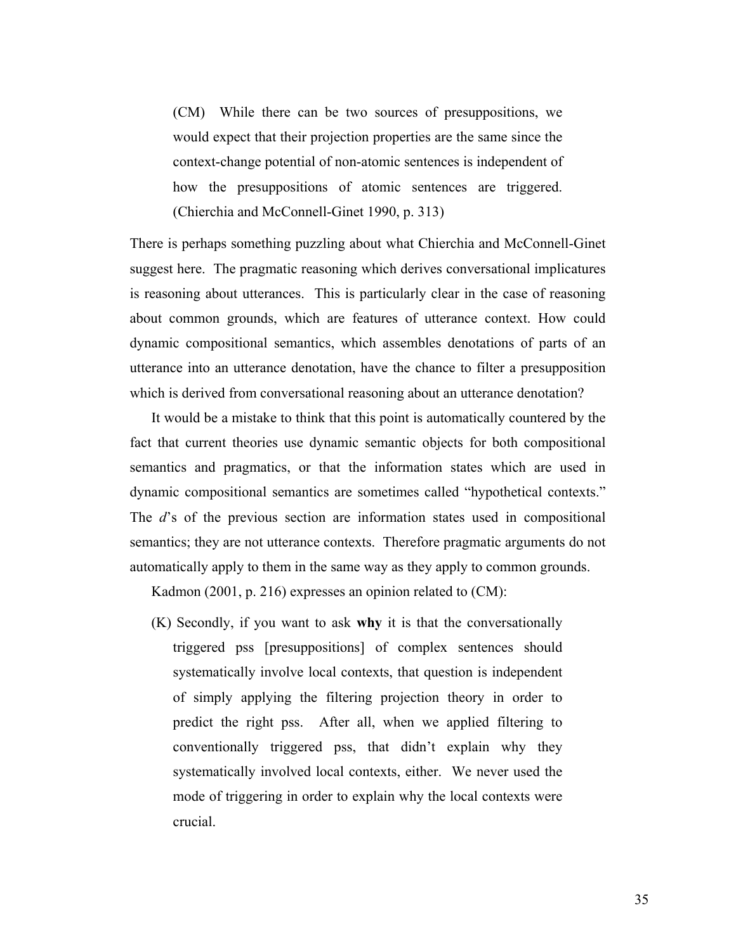(CM) While there can be two sources of presuppositions, we would expect that their projection properties are the same since the context-change potential of non-atomic sentences is independent of how the presuppositions of atomic sentences are triggered. (Chierchia and McConnell-Ginet 1990, p. 313)

There is perhaps something puzzling about what Chierchia and McConnell-Ginet suggest here. The pragmatic reasoning which derives conversational implicatures is reasoning about utterances. This is particularly clear in the case of reasoning about common grounds, which are features of utterance context. How could dynamic compositional semantics, which assembles denotations of parts of an utterance into an utterance denotation, have the chance to filter a presupposition which is derived from conversational reasoning about an utterance denotation?

It would be a mistake to think that this point is automatically countered by the fact that current theories use dynamic semantic objects for both compositional semantics and pragmatics, or that the information states which are used in dynamic compositional semantics are sometimes called "hypothetical contexts." The *d*'s of the previous section are information states used in compositional semantics; they are not utterance contexts. Therefore pragmatic arguments do not automatically apply to them in the same way as they apply to common grounds.

Kadmon (2001, p. 216) expresses an opinion related to (CM):

(K) Secondly, if you want to ask **why** it is that the conversationally triggered pss [presuppositions] of complex sentences should systematically involve local contexts, that question is independent of simply applying the filtering projection theory in order to predict the right pss. After all, when we applied filtering to conventionally triggered pss, that didn't explain why they systematically involved local contexts, either. We never used the mode of triggering in order to explain why the local contexts were crucial.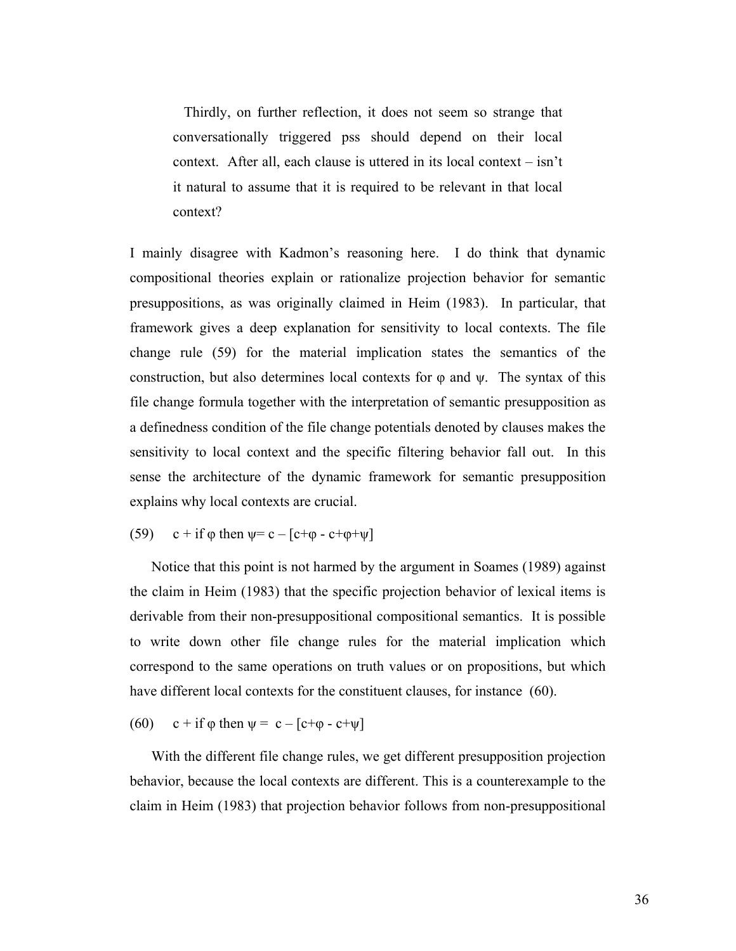Thirdly, on further reflection, it does not seem so strange that conversationally triggered pss should depend on their local context. After all, each clause is uttered in its local context – isn't it natural to assume that it is required to be relevant in that local context?

I mainly disagree with Kadmon's reasoning here. I do think that dynamic compositional theories explain or rationalize projection behavior for semantic presuppositions, as was originally claimed in Heim (1983). In particular, that framework gives a deep explanation for sensitivity to local contexts. The file change rule (59) for the material implication states the semantics of the construction, but also determines local contexts for  $\varphi$  and  $\psi$ . The syntax of this file change formula together with the interpretation of semantic presupposition as a definedness condition of the file change potentials denoted by clauses makes the sensitivity to local context and the specific filtering behavior fall out. In this sense the architecture of the dynamic framework for semantic presupposition explains why local contexts are crucial.

(59) c + if  $\varphi$  then  $\psi = c - [c + \varphi - c + \varphi + \psi]$ 

Notice that this point is not harmed by the argument in Soames (1989) against the claim in Heim (1983) that the specific projection behavior of lexical items is derivable from their non-presuppositional compositional semantics. It is possible to write down other file change rules for the material implication which correspond to the same operations on truth values or on propositions, but which have different local contexts for the constituent clauses, for instance (60).

(60) c + if  $\varphi$  then  $\psi = c - [c + \varphi - c + \psi]$ 

With the different file change rules, we get different presupposition projection behavior, because the local contexts are different. This is a counterexample to the claim in Heim (1983) that projection behavior follows from non-presuppositional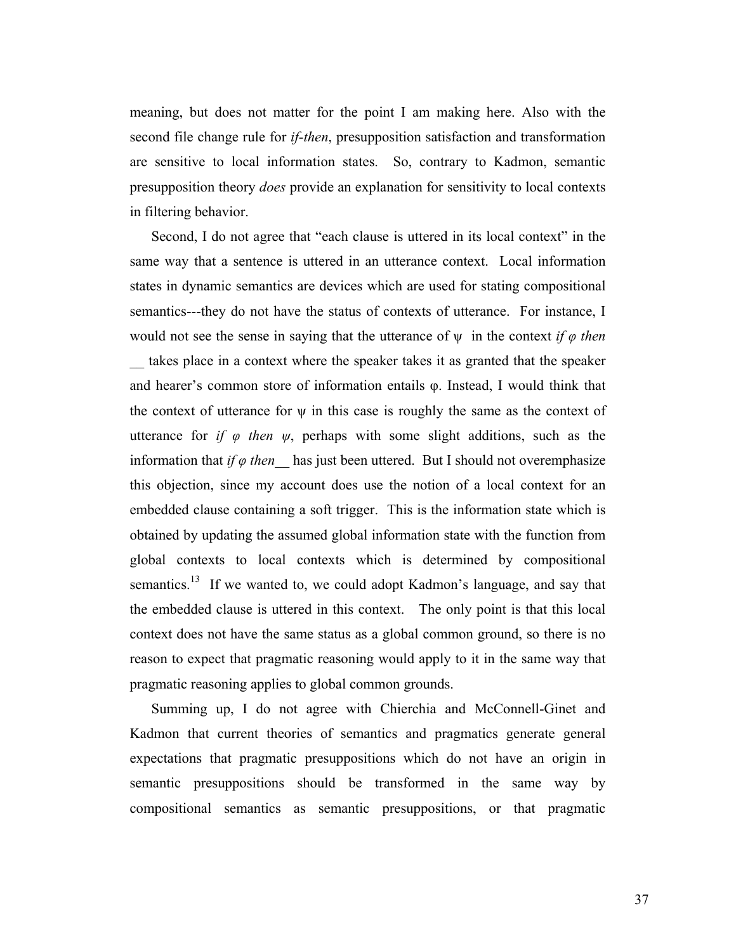meaning, but does not matter for the point I am making here. Also with the second file change rule for *if*-*then*, presupposition satisfaction and transformation are sensitive to local information states. So, contrary to Kadmon, semantic presupposition theory *does* provide an explanation for sensitivity to local contexts in filtering behavior.

Second, I do not agree that "each clause is uttered in its local context" in the same way that a sentence is uttered in an utterance context. Local information states in dynamic semantics are devices which are used for stating compositional semantics---they do not have the status of contexts of utterance. For instance, I would not see the sense in saying that the utterance of ψ in the context *if φ then*  takes place in a context where the speaker takes it as granted that the speaker and hearer's common store of information entails φ. Instead, I would think that the context of utterance for  $\psi$  in this case is roughly the same as the context of utterance for *if*  $\varphi$  *then*  $\psi$ , perhaps with some slight additions, such as the information that *if*  $\varphi$  *then* has just been uttered. But I should not overemphasize this objection, since my account does use the notion of a local context for an embedded clause containing a soft trigger. This is the information state which is obtained by updating the assumed global information state with the function from global contexts to local contexts which is determined by compositional semantics.<sup>13</sup> If we wanted to, we could adopt Kadmon's language, and say that the embedded clause is uttered in this context. The only point is that this local context does not have the same status as a global common ground, so there is no reason to expect that pragmatic reasoning would apply to it in the same way that pragmatic reasoning applies to global common grounds.

Summing up, I do not agree with Chierchia and McConnell-Ginet and Kadmon that current theories of semantics and pragmatics generate general expectations that pragmatic presuppositions which do not have an origin in semantic presuppositions should be transformed in the same way by compositional semantics as semantic presuppositions, or that pragmatic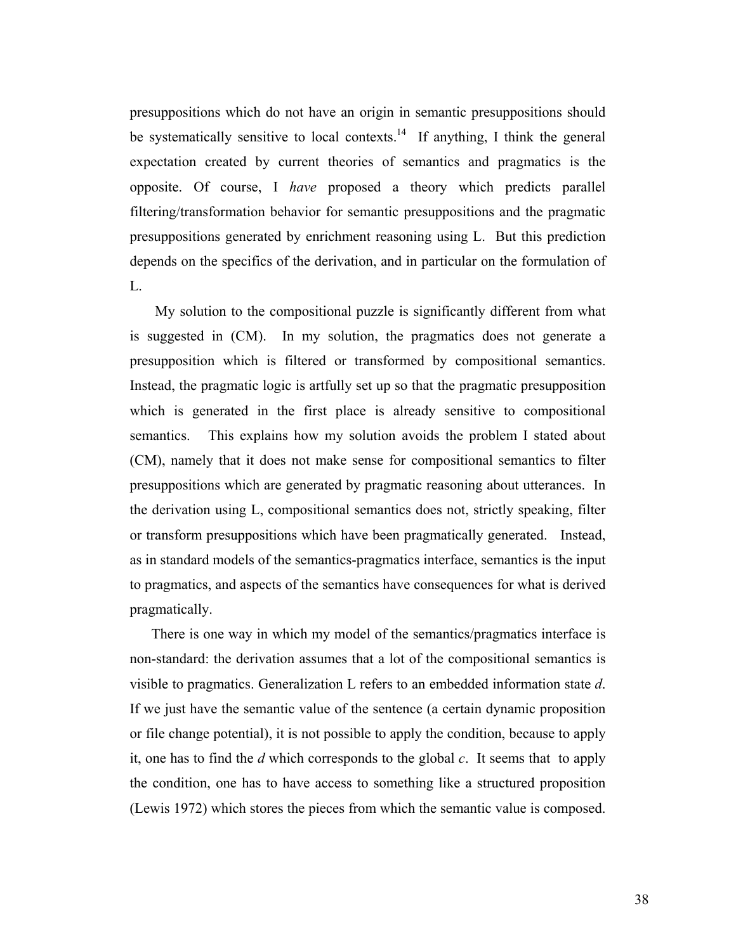presuppositions which do not have an origin in semantic presuppositions should be systematically sensitive to local contexts.<sup>14</sup> If anything, I think the general expectation created by current theories of semantics and pragmatics is the opposite. Of course, I *have* proposed a theory which predicts parallel filtering/transformation behavior for semantic presuppositions and the pragmatic presuppositions generated by enrichment reasoning using L. But this prediction depends on the specifics of the derivation, and in particular on the formulation of L.

 My solution to the compositional puzzle is significantly different from what is suggested in (CM). In my solution, the pragmatics does not generate a presupposition which is filtered or transformed by compositional semantics. Instead, the pragmatic logic is artfully set up so that the pragmatic presupposition which is generated in the first place is already sensitive to compositional semantics. This explains how my solution avoids the problem I stated about (CM), namely that it does not make sense for compositional semantics to filter presuppositions which are generated by pragmatic reasoning about utterances. In the derivation using L, compositional semantics does not, strictly speaking, filter or transform presuppositions which have been pragmatically generated. Instead, as in standard models of the semantics-pragmatics interface, semantics is the input to pragmatics, and aspects of the semantics have consequences for what is derived pragmatically.

There is one way in which my model of the semantics/pragmatics interface is non-standard: the derivation assumes that a lot of the compositional semantics is visible to pragmatics. Generalization L refers to an embedded information state *d*. If we just have the semantic value of the sentence (a certain dynamic proposition or file change potential), it is not possible to apply the condition, because to apply it, one has to find the *d* which corresponds to the global *c*. It seems that to apply the condition, one has to have access to something like a structured proposition (Lewis 1972) which stores the pieces from which the semantic value is composed.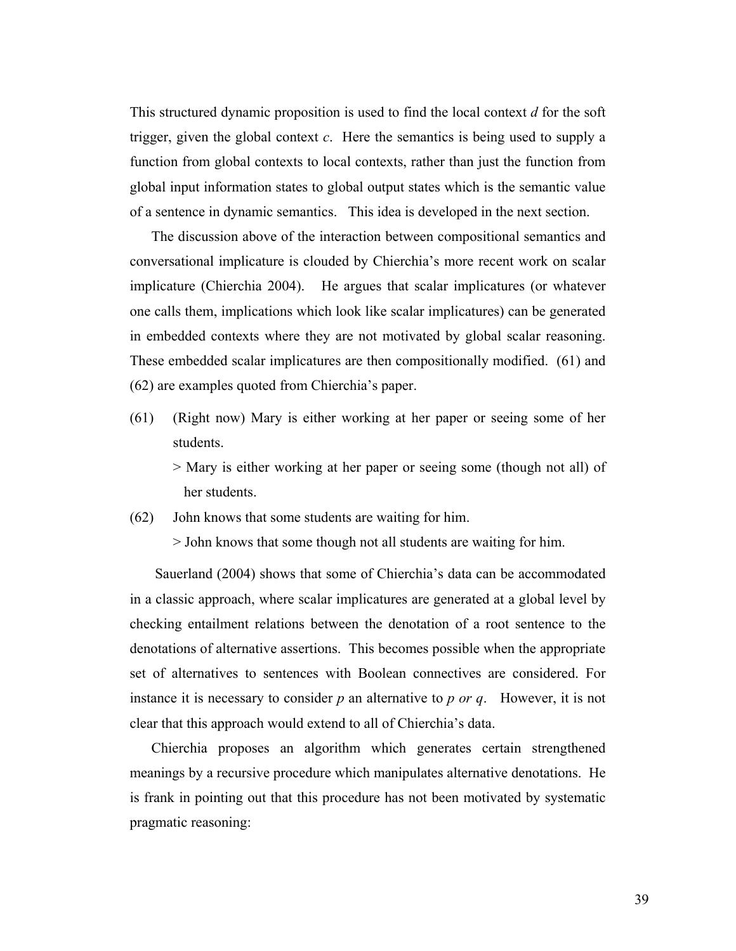This structured dynamic proposition is used to find the local context *d* for the soft trigger, given the global context *c*. Here the semantics is being used to supply a function from global contexts to local contexts, rather than just the function from global input information states to global output states which is the semantic value of a sentence in dynamic semantics. This idea is developed in the next section.

The discussion above of the interaction between compositional semantics and conversational implicature is clouded by Chierchia's more recent work on scalar implicature (Chierchia 2004). He argues that scalar implicatures (or whatever one calls them, implications which look like scalar implicatures) can be generated in embedded contexts where they are not motivated by global scalar reasoning. These embedded scalar implicatures are then compositionally modified. (61) and (62) are examples quoted from Chierchia's paper.

(61) (Right now) Mary is either working at her paper or seeing some of her students.

> Mary is either working at her paper or seeing some (though not all) of her students.

(62) John knows that some students are waiting for him.

> John knows that some though not all students are waiting for him.

 Sauerland (2004) shows that some of Chierchia's data can be accommodated in a classic approach, where scalar implicatures are generated at a global level by checking entailment relations between the denotation of a root sentence to the denotations of alternative assertions. This becomes possible when the appropriate set of alternatives to sentences with Boolean connectives are considered. For instance it is necessary to consider *p* an alternative to *p or q*. However, it is not clear that this approach would extend to all of Chierchia's data.

Chierchia proposes an algorithm which generates certain strengthened meanings by a recursive procedure which manipulates alternative denotations. He is frank in pointing out that this procedure has not been motivated by systematic pragmatic reasoning: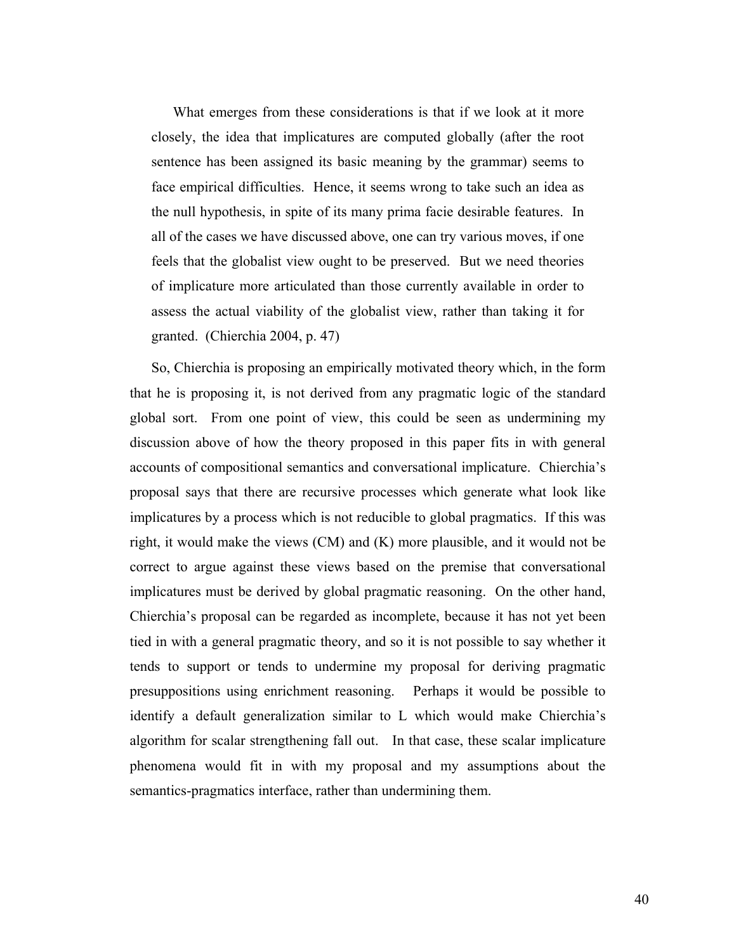What emerges from these considerations is that if we look at it more closely, the idea that implicatures are computed globally (after the root sentence has been assigned its basic meaning by the grammar) seems to face empirical difficulties. Hence, it seems wrong to take such an idea as the null hypothesis, in spite of its many prima facie desirable features. In all of the cases we have discussed above, one can try various moves, if one feels that the globalist view ought to be preserved. But we need theories of implicature more articulated than those currently available in order to assess the actual viability of the globalist view, rather than taking it for granted. (Chierchia 2004, p. 47)

So, Chierchia is proposing an empirically motivated theory which, in the form that he is proposing it, is not derived from any pragmatic logic of the standard global sort. From one point of view, this could be seen as undermining my discussion above of how the theory proposed in this paper fits in with general accounts of compositional semantics and conversational implicature. Chierchia's proposal says that there are recursive processes which generate what look like implicatures by a process which is not reducible to global pragmatics. If this was right, it would make the views (CM) and (K) more plausible, and it would not be correct to argue against these views based on the premise that conversational implicatures must be derived by global pragmatic reasoning. On the other hand, Chierchia's proposal can be regarded as incomplete, because it has not yet been tied in with a general pragmatic theory, and so it is not possible to say whether it tends to support or tends to undermine my proposal for deriving pragmatic presuppositions using enrichment reasoning. Perhaps it would be possible to identify a default generalization similar to L which would make Chierchia's algorithm for scalar strengthening fall out. In that case, these scalar implicature phenomena would fit in with my proposal and my assumptions about the semantics-pragmatics interface, rather than undermining them.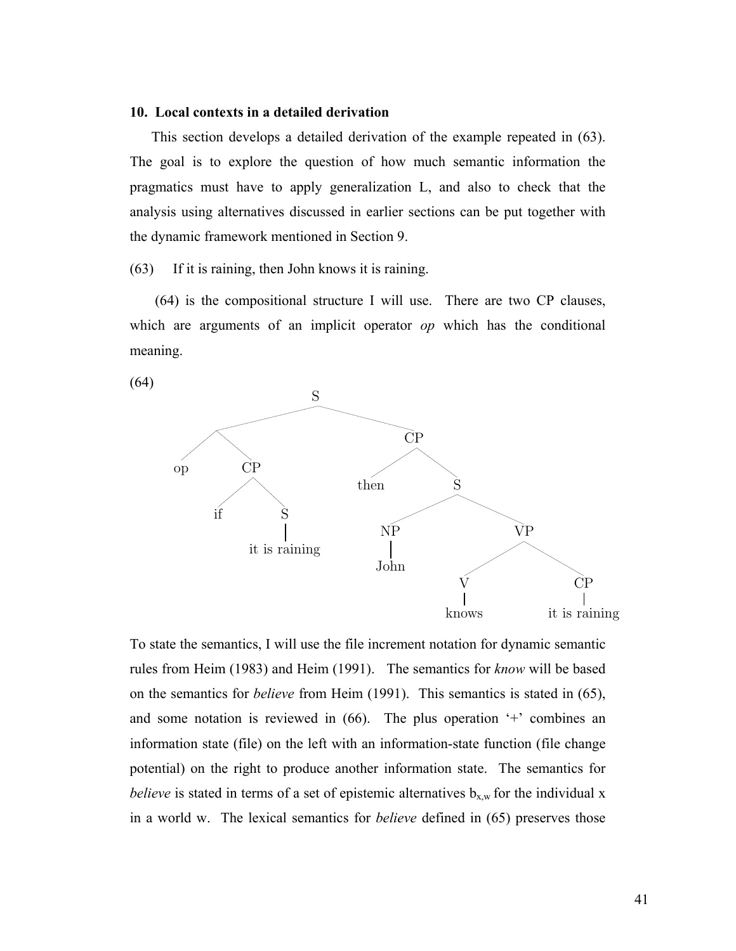### **10. Local contexts in a detailed derivation**

This section develops a detailed derivation of the example repeated in (63). The goal is to explore the question of how much semantic information the pragmatics must have to apply generalization L, and also to check that the analysis using alternatives discussed in earlier sections can be put together with the dynamic framework mentioned in Section 9.

(63) If it is raining, then John knows it is raining.

 (64) is the compositional structure I will use. There are two CP clauses, which are arguments of an implicit operator *op* which has the conditional meaning.



To state the semantics, I will use the file increment notation for dynamic semantic rules from Heim (1983) and Heim (1991). The semantics for *know* will be based on the semantics for *believe* from Heim (1991). This semantics is stated in (65), and some notation is reviewed in (66). The plus operation '+' combines an information state (file) on the left with an information-state function (file change potential) on the right to produce another information state. The semantics for *believe* is stated in terms of a set of epistemic alternatives  $b_{x,w}$  for the individual x in a world w. The lexical semantics for *believe* defined in (65) preserves those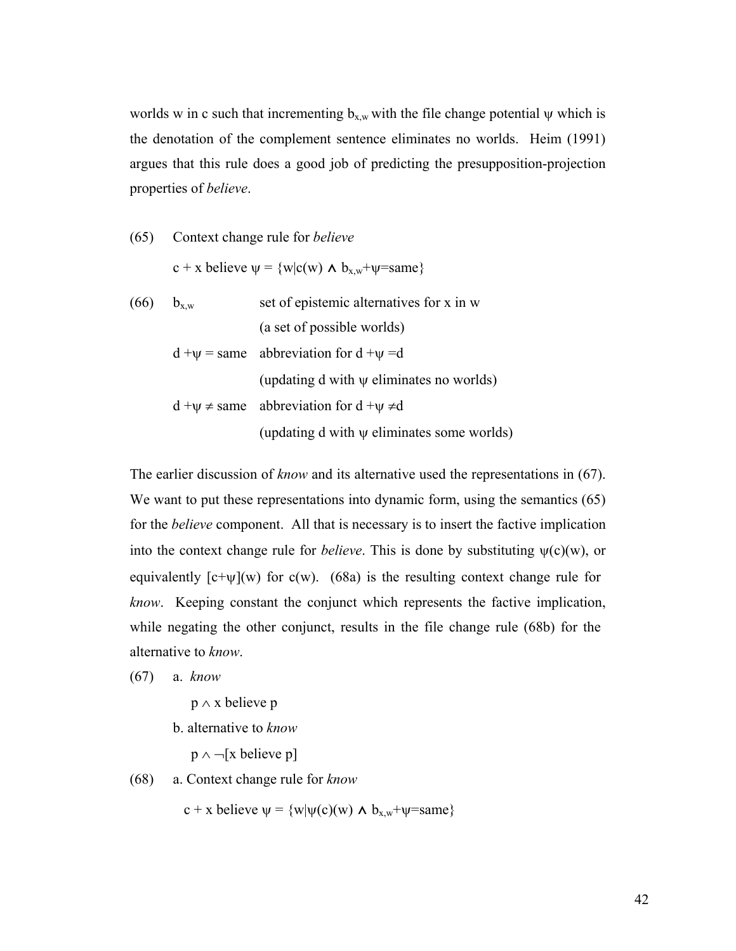worlds w in c such that incrementing  $b_{x,w}$  with the file change potential  $\psi$  which is the denotation of the complement sentence eliminates no worlds. Heim (1991) argues that this rule does a good job of predicting the presupposition-projection properties of *believe*.

\n- (65) Context change rule for *believe*
\n- $$
c + x
$$
 believe  $\psi = \{w | c(w) \land b_{x,w} + \psi = \text{same}\}$
\n- (66)  $b_{x,w}$  set of epistemic alternatives for x in w\n
	\n- (a set of possible worlds)
	\n- $d + \psi = \text{same}$  abbreviation for  $d + \psi = d$
	\n- (up dating d with  $\psi$  eliminates no worlds)
	\n- $d + \psi \neq \text{same}$  abbreviation for  $d + \psi \neq d$
	\n- (up dating d with  $\psi$  eliminates some worlds)
	\n\n
\n

The earlier discussion of *know* and its alternative used the representations in (67). We want to put these representations into dynamic form, using the semantics  $(65)$ for the *believe* component. All that is necessary is to insert the factive implication into the context change rule for *believe*. This is done by substituting  $\psi(c)(w)$ , or equivalently  $[c+\psi](w)$  for  $c(w)$ . (68a) is the resulting context change rule for *know*. Keeping constant the conjunct which represents the factive implication, while negating the other conjunct, results in the file change rule (68b) for the alternative to *know*.

(67) a. *know*

p ∧ x believe p

b. alternative to *know*

p ∧ ¬[x believe p]

(68) a. Context change rule for *know*

c + x believe  $\psi$  = {w| $\psi$ (c)(w)  $\land$  b<sub>x,w</sub>+ $\psi$ =same}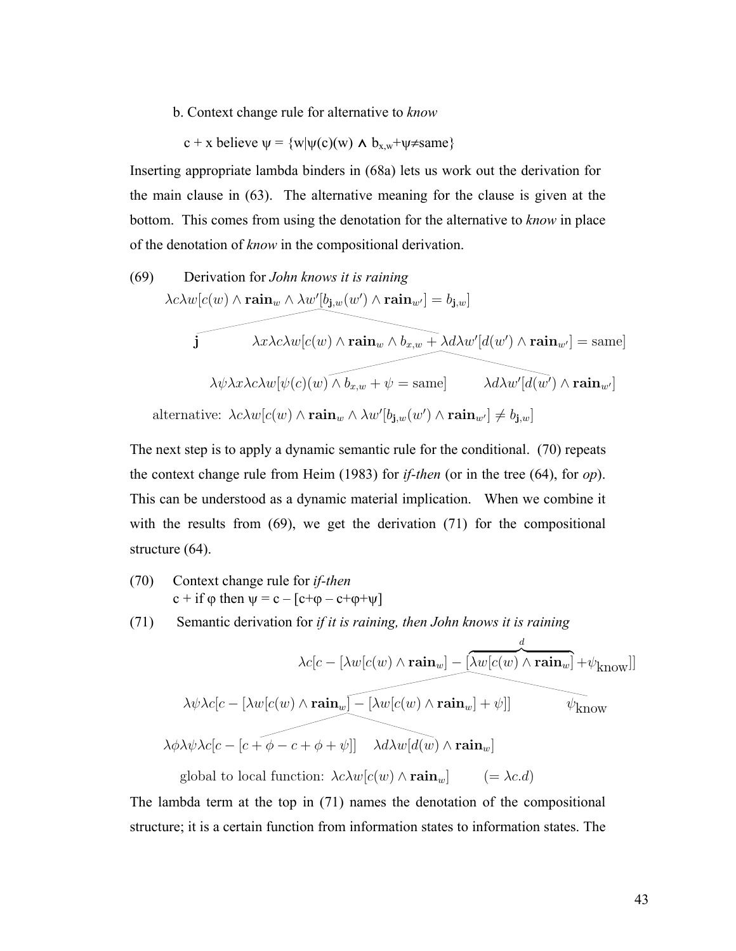b. Context change rule for alternative to *know*

$$
c + x \text{ believe } \psi = \{w | \psi(c)(w) \land b_{x,w} + \psi \neq same \}
$$

Inserting appropriate lambda binders in (68a) lets us work out the derivation for the main clause in (63). The alternative meaning for the clause is given at the bottom. This comes from using the denotation for the alternative to *know* in place of the denotation of *know* in the compositional derivation.

(69) Derivation for *John knows it is raining*  
\n
$$
\lambda c\lambda w[c(w) \land \mathbf{rain}_w \land \lambda w'[b_{\mathbf{j},w}(w') \land \mathbf{rain}_{w'}] = b_{\mathbf{j},w}]
$$
\n
$$
\mathbf{j} \qquad \lambda x\lambda c\lambda w[c(w) \land \mathbf{rain}_w \land b_{x,w} + \lambda d\lambda w'[d(w') \land \mathbf{rain}_{w'}] = \text{same}]
$$
\n
$$
\lambda \psi \lambda x\lambda c\lambda w[\psi(c)(w) \land b_{x,w} + \psi = \text{same}] \qquad \lambda d\lambda w'[d(w') \land \mathbf{rain}_{w'}]
$$
\n\nalternative:  $\lambda c\lambda w[c(w) \land \mathbf{rain}_\lambda \land \lambda w'[b, (w') \land \mathbf{rain}_\lambda] \neq b, 1]$ 

alternative:  $\lambda c \lambda w[c(w) \wedge \text{rain}_w \wedge \lambda w'[b_{\textbf{j},w}(w') \wedge \text{rain}_{w'}] \neq b_{\textbf{j},w}]$ 

The next step is to apply a dynamic semantic rule for the conditional. (70) repeats the context change rule from Heim (1983) for *if-then* (or in the tree (64), for *op*). This can be understood as a dynamic material implication. When we combine it with the results from (69), we get the derivation (71) for the compositional structure (64).

- (70) Context change rule for *if-then*  $c + if \varphi$  then  $\psi = c - [c + \varphi - c + \varphi + \psi]$
- (71) Semantic derivation for *if it is raining, then John knows it is raining*

$$
\lambda c[c - [\lambda w[c(w) \land \mathbf{rain}_w] - [\lambda w[c(w) \land \mathbf{rain}_w] + \psi_{\text{know}}]]
$$
  

$$
\lambda \psi \lambda c[c - [\lambda w[c(w) \land \mathbf{rain}_w] - [\lambda w[c(w) \land \mathbf{rain}_w] + \psi]]
$$
  

$$
\lambda \phi \lambda \psi \lambda c[c - [c + \phi - c + \phi + \psi]]
$$

$$
\lambda d\lambda w[d(w) \land \mathbf{rain}_w]
$$
  
global to local function:  $\lambda c\lambda w[c(w) \land \mathbf{rain}_w]$  (=  $\lambda c.d$ )

The lambda term at the top in (71) names the denotation of the compositional structure; it is a certain function from information states to information states. The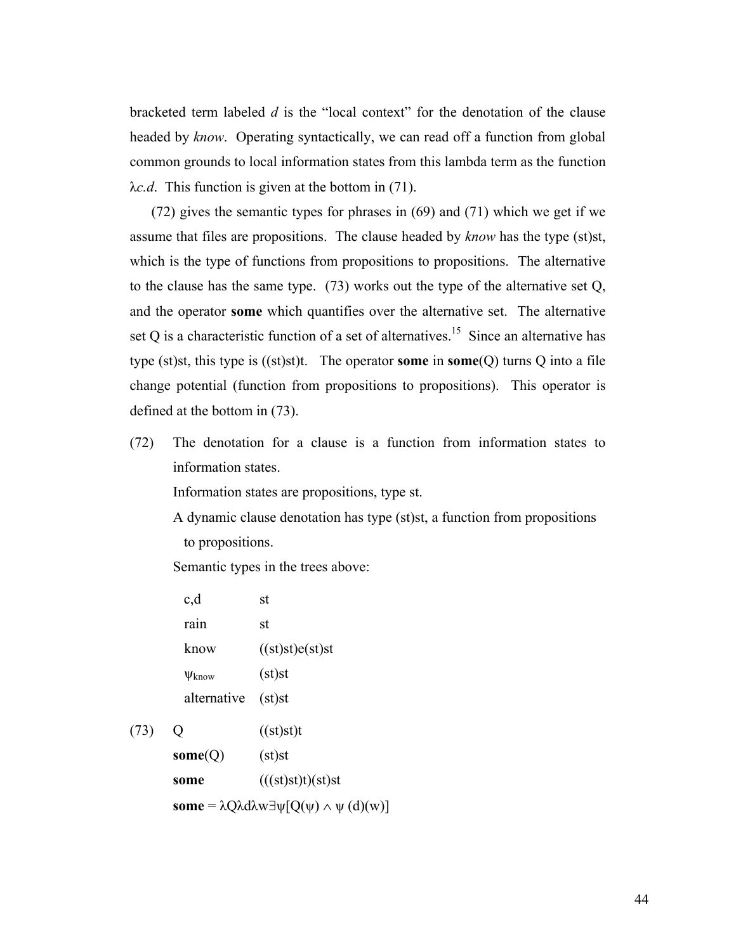bracketed term labeled *d* is the "local context" for the denotation of the clause headed by *know*. Operating syntactically, we can read off a function from global common grounds to local information states from this lambda term as the function λ*c.d*. This function is given at the bottom in (71).

(72) gives the semantic types for phrases in (69) and (71) which we get if we assume that files are propositions. The clause headed by *know* has the type (st)st, which is the type of functions from propositions to propositions. The alternative to the clause has the same type. (73) works out the type of the alternative set Q, and the operator **some** which quantifies over the alternative set. The alternative set Q is a characteristic function of a set of alternatives.<sup>15</sup> Since an alternative has type (st)st, this type is ((st)st)t. The operator **some** in **some**(Q) turns Q into a file change potential (function from propositions to propositions). This operator is defined at the bottom in (73).

(72) The denotation for a clause is a function from information states to information states.

Information states are propositions, type st.

A dynamic clause denotation has type (st)st, a function from propositions to propositions.

Semantic types in the trees above:

| c,d               | st              |
|-------------------|-----------------|
| rain              | st              |
| know              | ((st)st)e(st)st |
| $\Psi_{\rm know}$ | $(st)$ st       |
| alternative       | $(st)$ st       |
|                   | $(6 - 1) - 11$  |

(73)  $Q$  ((st)st)t **some**(Q) (st)st **some**  $(((st)st)t)(st)st$ **some** = λQλdλw∃ψ[Q(ψ) ∧ ψ (d)(w)]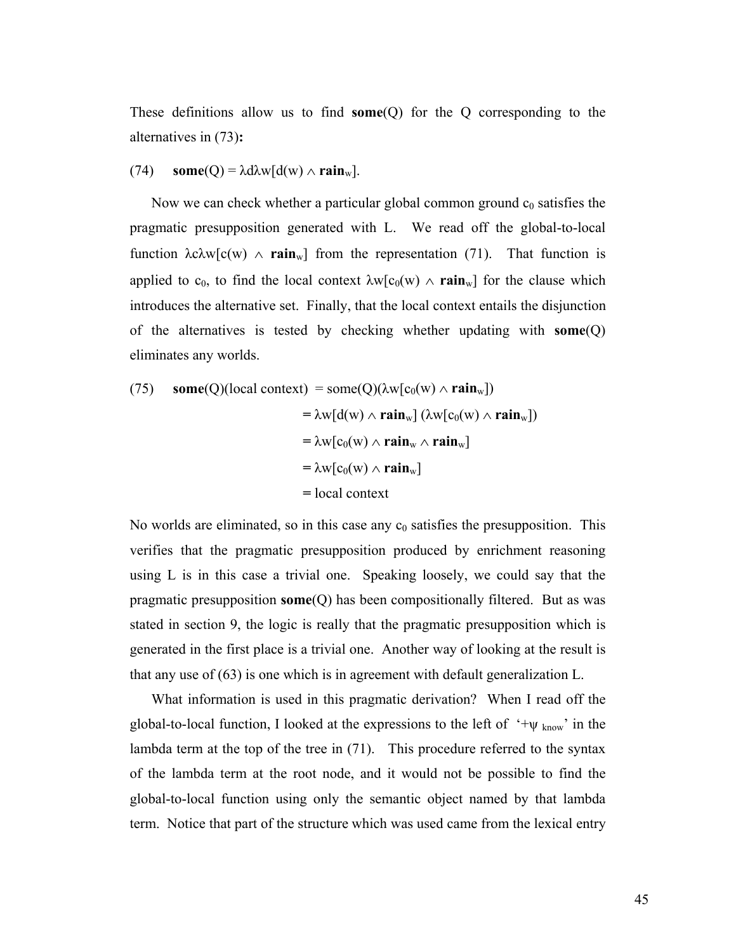These definitions allow us to find **some**(Q) for the Q corresponding to the alternatives in (73)**:**

## (74) **some**(Q) =  $\lambda$ d $\lambda$ w[d(w)  $\wedge$  **rain**<sub>w</sub>].

Now we can check whether a particular global common ground  $c_0$  satisfies the pragmatic presupposition generated with L. We read off the global-to-local function  $\lambda c \lambda w[c(w) \land \mathbf{rain}_w]$  from the representation (71). That function is applied to c<sub>0</sub>, to find the local context  $\lambda w[c_0(w) \wedge \text{rain}_w]$  for the clause which introduces the alternative set. Finally, that the local context entails the disjunction of the alternatives is tested by checking whether updating with **some**(Q) eliminates any worlds.

(75) **some**(Q)(local context) = some(Q)(
$$
\lambda w[c_0(w) \wedge \mathbf{rain}_w]
$$
)  
\n
$$
= \lambda w[d(w) \wedge \mathbf{rain}_w] (\lambda w[c_0(w) \wedge \mathbf{rain}_w])
$$
\n
$$
= \lambda w[c_0(w) \wedge \mathbf{rain}_w \wedge \mathbf{rain}_w]
$$
\n
$$
= \lambda w[c_0(w) \wedge \mathbf{rain}_w]
$$
\n
$$
= local context
$$

No worlds are eliminated, so in this case any  $c_0$  satisfies the presupposition. This verifies that the pragmatic presupposition produced by enrichment reasoning using L is in this case a trivial one. Speaking loosely, we could say that the pragmatic presupposition **some**(Q) has been compositionally filtered. But as was stated in section 9, the logic is really that the pragmatic presupposition which is generated in the first place is a trivial one. Another way of looking at the result is that any use of (63) is one which is in agreement with default generalization L.

What information is used in this pragmatic derivation? When I read off the global-to-local function, I looked at the expressions to the left of  $4\psi_{\text{know}}$  in the lambda term at the top of the tree in (71). This procedure referred to the syntax of the lambda term at the root node, and it would not be possible to find the global-to-local function using only the semantic object named by that lambda term. Notice that part of the structure which was used came from the lexical entry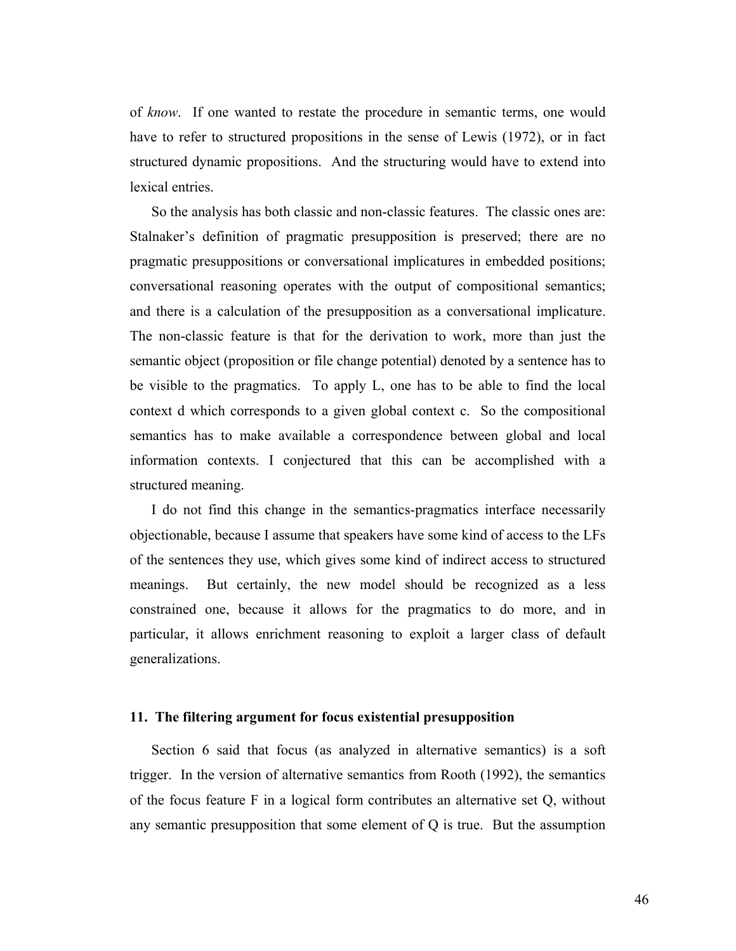of *know*. If one wanted to restate the procedure in semantic terms, one would have to refer to structured propositions in the sense of Lewis (1972), or in fact structured dynamic propositions. And the structuring would have to extend into lexical entries.

So the analysis has both classic and non-classic features. The classic ones are: Stalnaker's definition of pragmatic presupposition is preserved; there are no pragmatic presuppositions or conversational implicatures in embedded positions; conversational reasoning operates with the output of compositional semantics; and there is a calculation of the presupposition as a conversational implicature. The non-classic feature is that for the derivation to work, more than just the semantic object (proposition or file change potential) denoted by a sentence has to be visible to the pragmatics. To apply L, one has to be able to find the local context d which corresponds to a given global context c. So the compositional semantics has to make available a correspondence between global and local information contexts. I conjectured that this can be accomplished with a structured meaning.

I do not find this change in the semantics-pragmatics interface necessarily objectionable, because I assume that speakers have some kind of access to the LFs of the sentences they use, which gives some kind of indirect access to structured meanings. But certainly, the new model should be recognized as a less constrained one, because it allows for the pragmatics to do more, and in particular, it allows enrichment reasoning to exploit a larger class of default generalizations.

### **11. The filtering argument for focus existential presupposition**

Section 6 said that focus (as analyzed in alternative semantics) is a soft trigger. In the version of alternative semantics from Rooth (1992), the semantics of the focus feature F in a logical form contributes an alternative set Q, without any semantic presupposition that some element of Q is true. But the assumption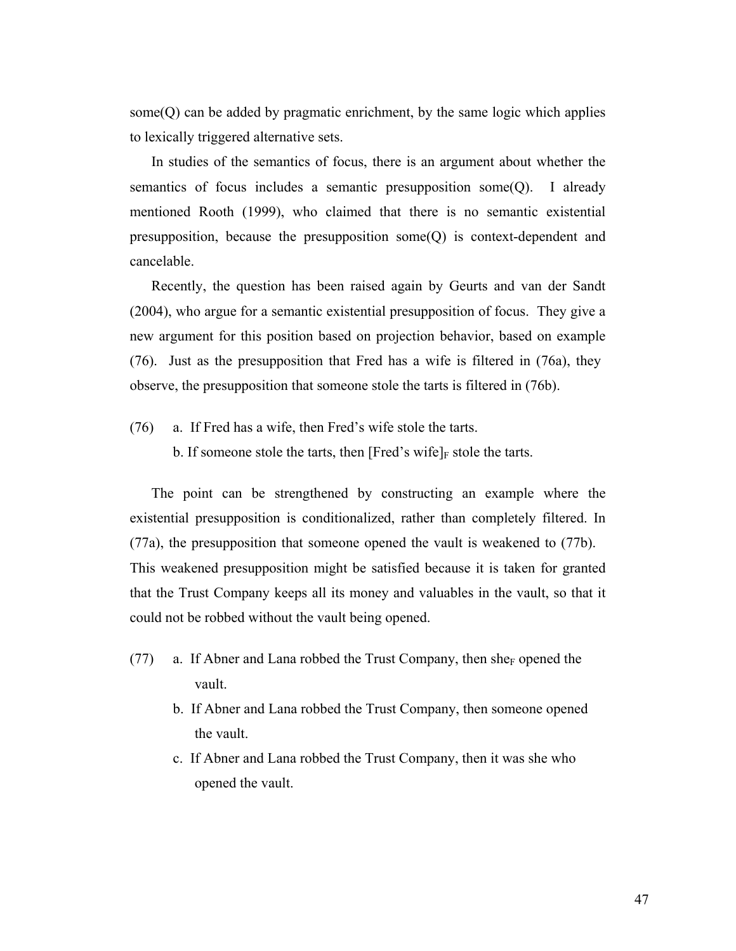some $(Q)$  can be added by pragmatic enrichment, by the same logic which applies to lexically triggered alternative sets.

In studies of the semantics of focus, there is an argument about whether the semantics of focus includes a semantic presupposition some $(Q)$ . I already mentioned Rooth (1999), who claimed that there is no semantic existential presupposition, because the presupposition some(Q) is context-dependent and cancelable.

Recently, the question has been raised again by Geurts and van der Sandt (2004), who argue for a semantic existential presupposition of focus. They give a new argument for this position based on projection behavior, based on example (76). Just as the presupposition that Fred has a wife is filtered in (76a), they observe, the presupposition that someone stole the tarts is filtered in (76b).

- (76) a. If Fred has a wife, then Fred's wife stole the tarts.
	- b. If someone stole the tarts, then [Fred's wife] $_F$  stole the tarts.

The point can be strengthened by constructing an example where the existential presupposition is conditionalized, rather than completely filtered. In (77a), the presupposition that someone opened the vault is weakened to (77b). This weakened presupposition might be satisfied because it is taken for granted that the Trust Company keeps all its money and valuables in the vault, so that it could not be robbed without the vault being opened.

- (77) a. If Abner and Lana robbed the Trust Company, then she<sub>F</sub> opened the vault.
	- b. If Abner and Lana robbed the Trust Company, then someone opened the vault.
	- c. If Abner and Lana robbed the Trust Company, then it was she who opened the vault.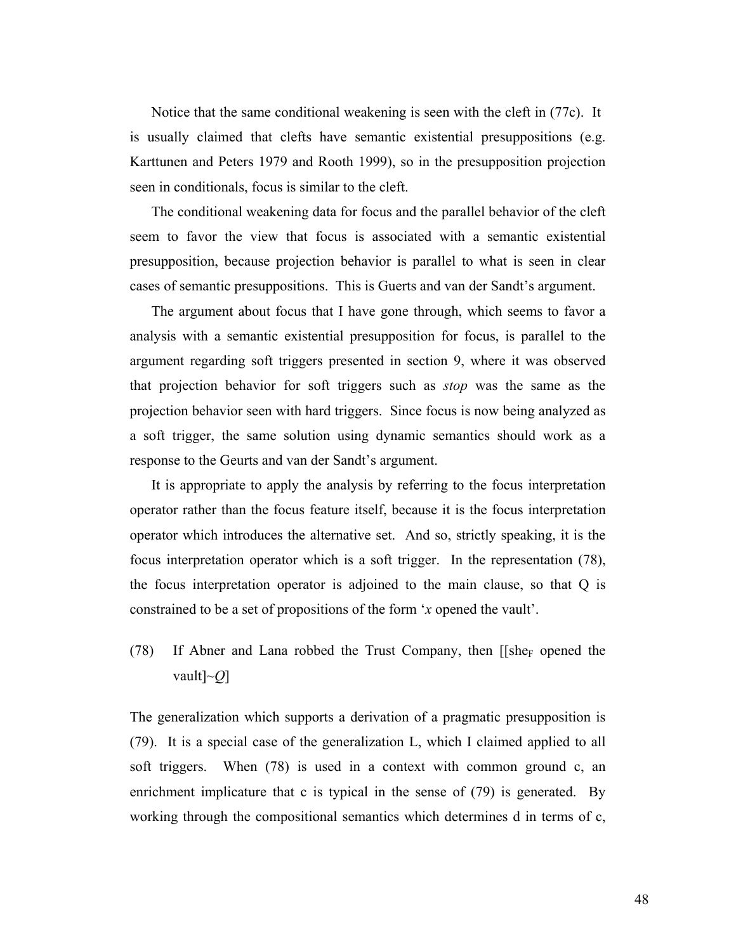Notice that the same conditional weakening is seen with the cleft in (77c). It is usually claimed that clefts have semantic existential presuppositions (e.g. Karttunen and Peters 1979 and Rooth 1999), so in the presupposition projection seen in conditionals, focus is similar to the cleft.

The conditional weakening data for focus and the parallel behavior of the cleft seem to favor the view that focus is associated with a semantic existential presupposition, because projection behavior is parallel to what is seen in clear cases of semantic presuppositions. This is Guerts and van der Sandt's argument.

The argument about focus that I have gone through, which seems to favor a analysis with a semantic existential presupposition for focus, is parallel to the argument regarding soft triggers presented in section 9, where it was observed that projection behavior for soft triggers such as *stop* was the same as the projection behavior seen with hard triggers. Since focus is now being analyzed as a soft trigger, the same solution using dynamic semantics should work as a response to the Geurts and van der Sandt's argument.

It is appropriate to apply the analysis by referring to the focus interpretation operator rather than the focus feature itself, because it is the focus interpretation operator which introduces the alternative set. And so, strictly speaking, it is the focus interpretation operator which is a soft trigger. In the representation (78), the focus interpretation operator is adjoined to the main clause, so that Q is constrained to be a set of propositions of the form '*x* opened the vault'.

(78) If Abner and Lana robbed the Trust Company, then  $\iint \text{She}_F$  opened the vault]~*Q*]

The generalization which supports a derivation of a pragmatic presupposition is (79). It is a special case of the generalization L, which I claimed applied to all soft triggers. When (78) is used in a context with common ground c, an enrichment implicature that c is typical in the sense of (79) is generated. By working through the compositional semantics which determines d in terms of c,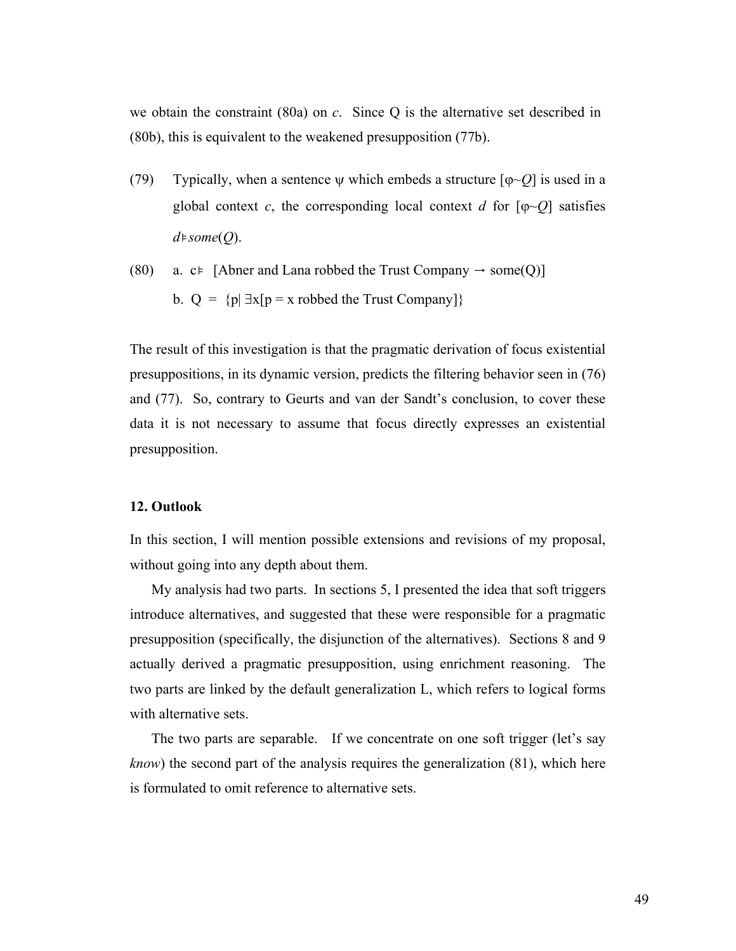we obtain the constraint (80a) on *c*. Since Q is the alternative set described in (80b), this is equivalent to the weakened presupposition (77b).

- (79) Typically, when a sentence  $\psi$  which embeds a structure  $[\varphi \sim Q]$  is used in a global context *c*, the corresponding local context *d* for  $[\phi \sim Q]$  satisfies *d*⊧*some*(*Q*).
- (80) a. c⊧ [Abner and Lana robbed the Trust Company  $\rightarrow$  some(Q)] b.  $Q = {p | \exists x [p = x \text{ ro}}$  the Trust Company

The result of this investigation is that the pragmatic derivation of focus existential presuppositions, in its dynamic version, predicts the filtering behavior seen in (76) and (77). So, contrary to Geurts and van der Sandt's conclusion, to cover these data it is not necessary to assume that focus directly expresses an existential presupposition.

#### **12. Outlook**

In this section, I will mention possible extensions and revisions of my proposal, without going into any depth about them.

My analysis had two parts. In sections 5, I presented the idea that soft triggers introduce alternatives, and suggested that these were responsible for a pragmatic presupposition (specifically, the disjunction of the alternatives). Sections 8 and 9 actually derived a pragmatic presupposition, using enrichment reasoning. The two parts are linked by the default generalization L, which refers to logical forms with alternative sets.

The two parts are separable. If we concentrate on one soft trigger (let's say *know*) the second part of the analysis requires the generalization (81), which here is formulated to omit reference to alternative sets.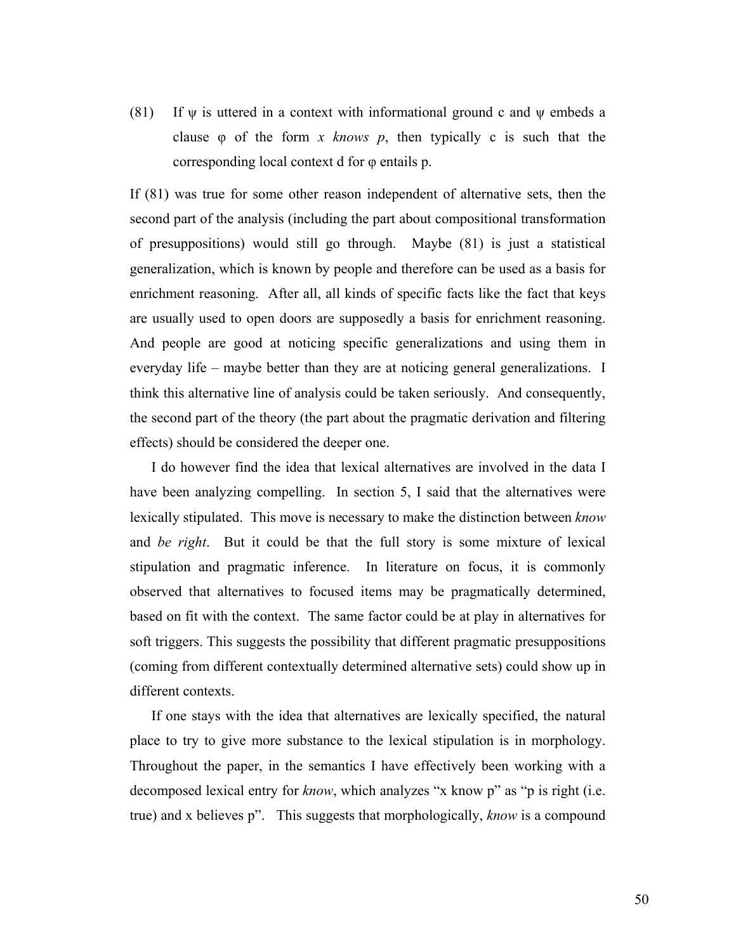(81) If  $\psi$  is uttered in a context with informational ground c and  $\psi$  embeds a clause φ of the form *x knows p*, then typically c is such that the corresponding local context d for φ entails p.

If (81) was true for some other reason independent of alternative sets, then the second part of the analysis (including the part about compositional transformation of presuppositions) would still go through. Maybe (81) is just a statistical generalization, which is known by people and therefore can be used as a basis for enrichment reasoning. After all, all kinds of specific facts like the fact that keys are usually used to open doors are supposedly a basis for enrichment reasoning. And people are good at noticing specific generalizations and using them in everyday life – maybe better than they are at noticing general generalizations. I think this alternative line of analysis could be taken seriously. And consequently, the second part of the theory (the part about the pragmatic derivation and filtering effects) should be considered the deeper one.

I do however find the idea that lexical alternatives are involved in the data I have been analyzing compelling. In section 5, I said that the alternatives were lexically stipulated. This move is necessary to make the distinction between *know* and *be right*. But it could be that the full story is some mixture of lexical stipulation and pragmatic inference. In literature on focus, it is commonly observed that alternatives to focused items may be pragmatically determined, based on fit with the context. The same factor could be at play in alternatives for soft triggers. This suggests the possibility that different pragmatic presuppositions (coming from different contextually determined alternative sets) could show up in different contexts.

If one stays with the idea that alternatives are lexically specified, the natural place to try to give more substance to the lexical stipulation is in morphology. Throughout the paper, in the semantics I have effectively been working with a decomposed lexical entry for *know*, which analyzes "x know p" as "p is right (i.e. true) and x believes p". This suggests that morphologically, *know* is a compound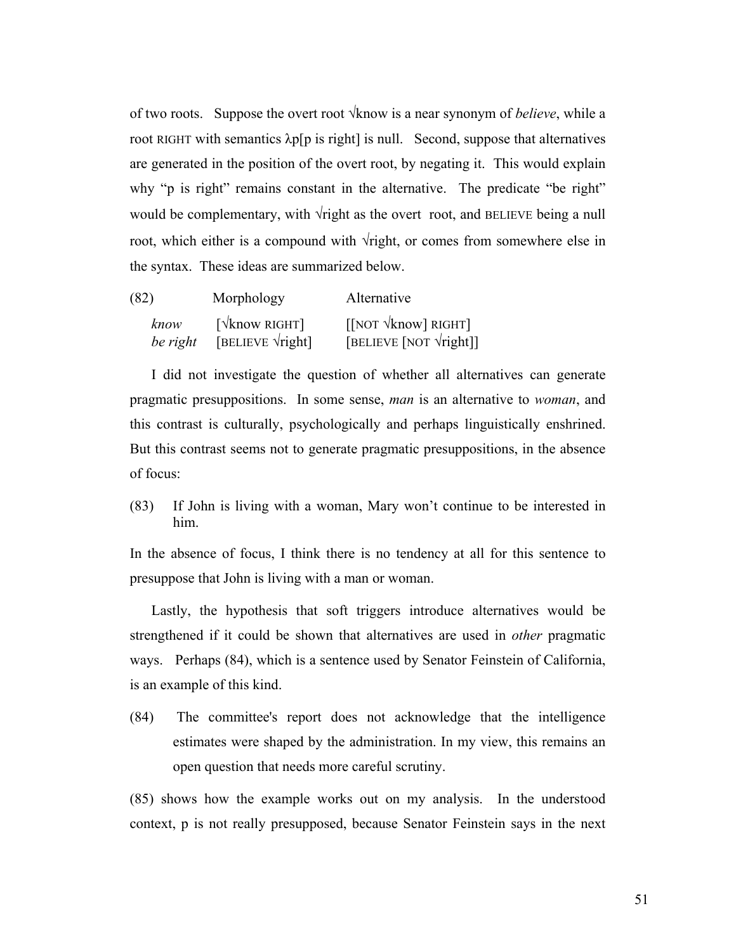of two roots. Suppose the overt root √know is a near synonym of *believe*, while a root RIGHT with semantics  $\lambda p[p]$  is right] is null. Second, suppose that alternatives are generated in the position of the overt root, by negating it. This would explain why "p is right" remains constant in the alternative. The predicate "be right" would be complementary, with √right as the overt root, and BELIEVE being a null root, which either is a compound with  $\sqrt{\text{right}}$ , or comes from somewhere else in the syntax. These ideas are summarized below.

| (82)     | Morphology                               | Alternative                                    |
|----------|------------------------------------------|------------------------------------------------|
| know     | $\lceil \sqrt{\text{know RIGHT}} \rceil$ | $\left[\right]$ NOT $\sqrt{\text{know}}$ RIGHT |
| be right | [BELIEVE $\forall$ right]                | [BELIEVE [NOT $\forall$ right]]                |

I did not investigate the question of whether all alternatives can generate pragmatic presuppositions. In some sense, *man* is an alternative to *woman*, and this contrast is culturally, psychologically and perhaps linguistically enshrined. But this contrast seems not to generate pragmatic presuppositions, in the absence of focus:

(83) If John is living with a woman, Mary won't continue to be interested in him.

In the absence of focus, I think there is no tendency at all for this sentence to presuppose that John is living with a man or woman.

Lastly, the hypothesis that soft triggers introduce alternatives would be strengthened if it could be shown that alternatives are used in *other* pragmatic ways. Perhaps (84), which is a sentence used by Senator Feinstein of California, is an example of this kind.

(84) The committee's report does not acknowledge that the intelligence estimates were shaped by the administration. In my view, this remains an open question that needs more careful scrutiny.

(85) shows how the example works out on my analysis. In the understood context, p is not really presupposed, because Senator Feinstein says in the next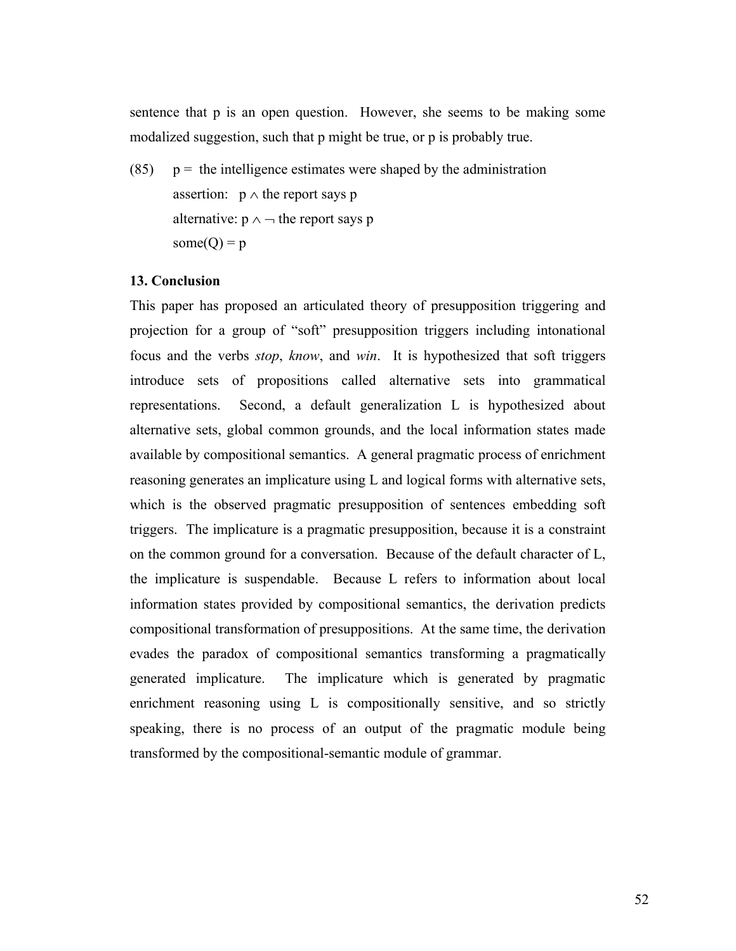sentence that p is an open question. However, she seems to be making some modalized suggestion, such that p might be true, or p is probably true.

(85)  $p =$  the intelligence estimates were shaped by the administration assertion:  $p \wedge$  the report says p alternative:  $p \land \neg$  the report says p some $(Q) = p$ 

# **13. Conclusion**

This paper has proposed an articulated theory of presupposition triggering and projection for a group of "soft" presupposition triggers including intonational focus and the verbs *stop*, *know*, and *win*. It is hypothesized that soft triggers introduce sets of propositions called alternative sets into grammatical representations. Second, a default generalization L is hypothesized about alternative sets, global common grounds, and the local information states made available by compositional semantics. A general pragmatic process of enrichment reasoning generates an implicature using L and logical forms with alternative sets, which is the observed pragmatic presupposition of sentences embedding soft triggers. The implicature is a pragmatic presupposition, because it is a constraint on the common ground for a conversation. Because of the default character of L, the implicature is suspendable. Because L refers to information about local information states provided by compositional semantics, the derivation predicts compositional transformation of presuppositions. At the same time, the derivation evades the paradox of compositional semantics transforming a pragmatically generated implicature. The implicature which is generated by pragmatic enrichment reasoning using L is compositionally sensitive, and so strictly speaking, there is no process of an output of the pragmatic module being transformed by the compositional-semantic module of grammar.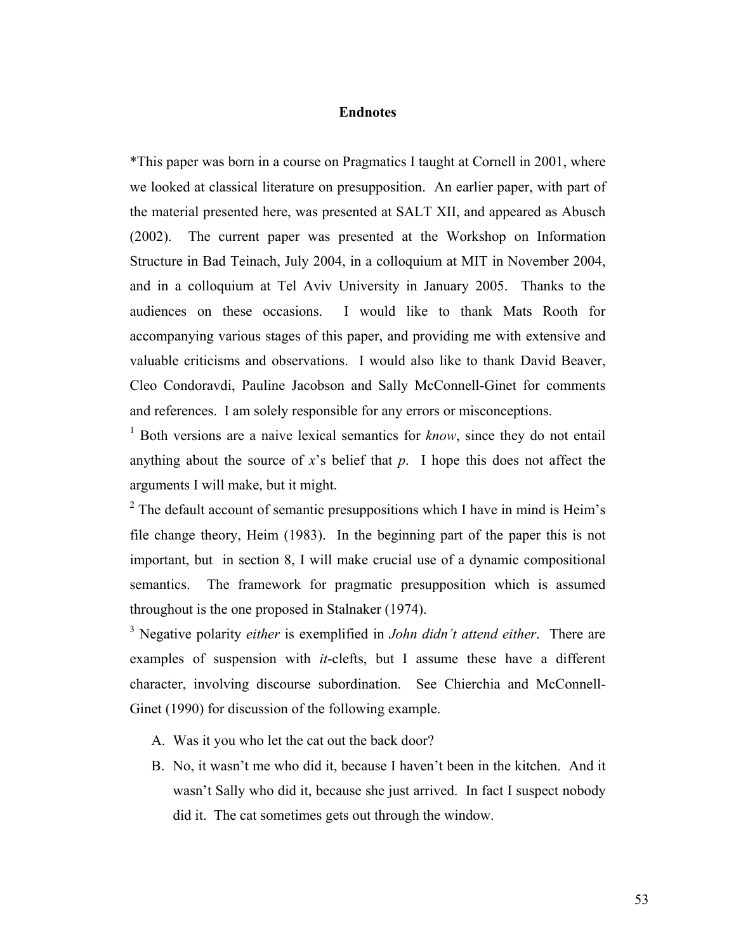### **Endnotes**

\*This paper was born in a course on Pragmatics I taught at Cornell in 2001, where we looked at classical literature on presupposition. An earlier paper, with part of the material presented here, was presented at SALT XII, and appeared as Abusch (2002). The current paper was presented at the Workshop on Information Structure in Bad Teinach, July 2004, in a colloquium at MIT in November 2004, and in a colloquium at Tel Aviv University in January 2005. Thanks to the audiences on these occasions. I would like to thank Mats Rooth for accompanying various stages of this paper, and providing me with extensive and valuable criticisms and observations. I would also like to thank David Beaver, Cleo Condoravdi, Pauline Jacobson and Sally McConnell-Ginet for comments and references. I am solely responsible for any errors or misconceptions.

<sup>1</sup> Both versions are a naive lexical semantics for *know*, since they do not entail anything about the source of *x*'s belief that *p*. I hope this does not affect the arguments I will make, but it might.

<sup>2</sup> The default account of semantic presuppositions which I have in mind is Heim's file change theory, Heim (1983). In the beginning part of the paper this is not important, but in section 8, I will make crucial use of a dynamic compositional semantics. The framework for pragmatic presupposition which is assumed throughout is the one proposed in Stalnaker (1974).

3 Negative polarity *either* is exemplified in *John didn't attend either*. There are examples of suspension with *it*-clefts, but I assume these have a different character, involving discourse subordination. See Chierchia and McConnell-Ginet (1990) for discussion of the following example.

- A. Was it you who let the cat out the back door?
- B. No, it wasn't me who did it, because I haven't been in the kitchen. And it wasn't Sally who did it, because she just arrived. In fact I suspect nobody did it. The cat sometimes gets out through the window.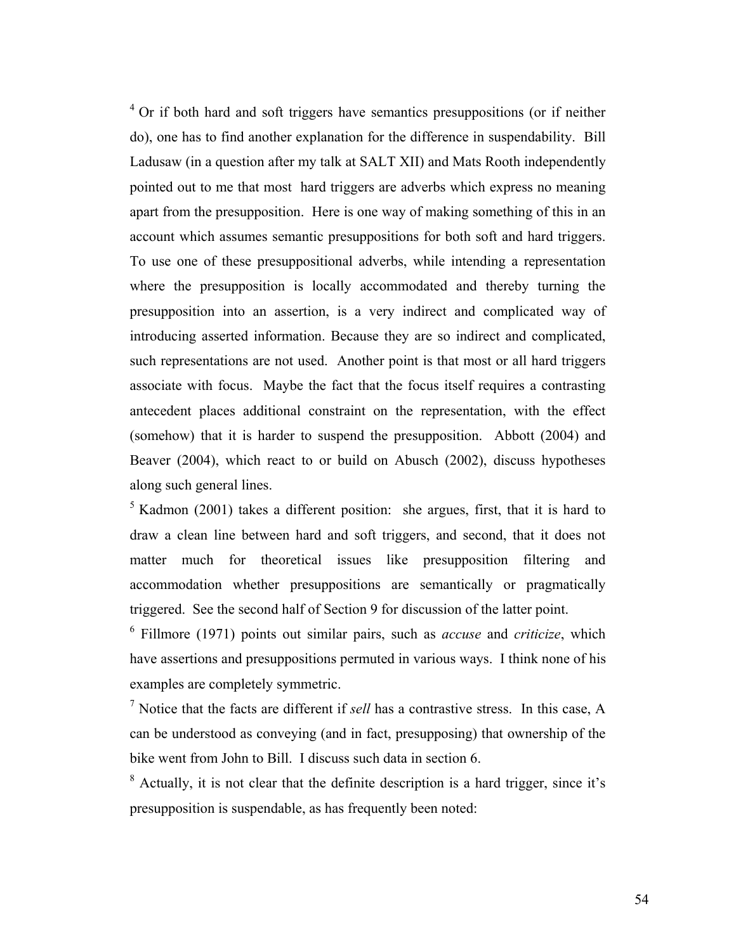$4$  Or if both hard and soft triggers have semantics presuppositions (or if neither do), one has to find another explanation for the difference in suspendability. Bill Ladusaw (in a question after my talk at SALT XII) and Mats Rooth independently pointed out to me that most hard triggers are adverbs which express no meaning apart from the presupposition. Here is one way of making something of this in an account which assumes semantic presuppositions for both soft and hard triggers. To use one of these presuppositional adverbs, while intending a representation where the presupposition is locally accommodated and thereby turning the presupposition into an assertion, is a very indirect and complicated way of introducing asserted information. Because they are so indirect and complicated, such representations are not used. Another point is that most or all hard triggers associate with focus. Maybe the fact that the focus itself requires a contrasting antecedent places additional constraint on the representation, with the effect (somehow) that it is harder to suspend the presupposition. Abbott (2004) and Beaver (2004), which react to or build on Abusch (2002), discuss hypotheses along such general lines.

 $5$  Kadmon (2001) takes a different position: she argues, first, that it is hard to draw a clean line between hard and soft triggers, and second, that it does not matter much for theoretical issues like presupposition filtering and accommodation whether presuppositions are semantically or pragmatically triggered. See the second half of Section 9 for discussion of the latter point.

6 Fillmore (1971) points out similar pairs, such as *accuse* and *criticize*, which have assertions and presuppositions permuted in various ways. I think none of his examples are completely symmetric.

7 Notice that the facts are different if *sell* has a contrastive stress. In this case, A can be understood as conveying (and in fact, presupposing) that ownership of the bike went from John to Bill. I discuss such data in section 6.

 $8$  Actually, it is not clear that the definite description is a hard trigger, since it's presupposition is suspendable, as has frequently been noted: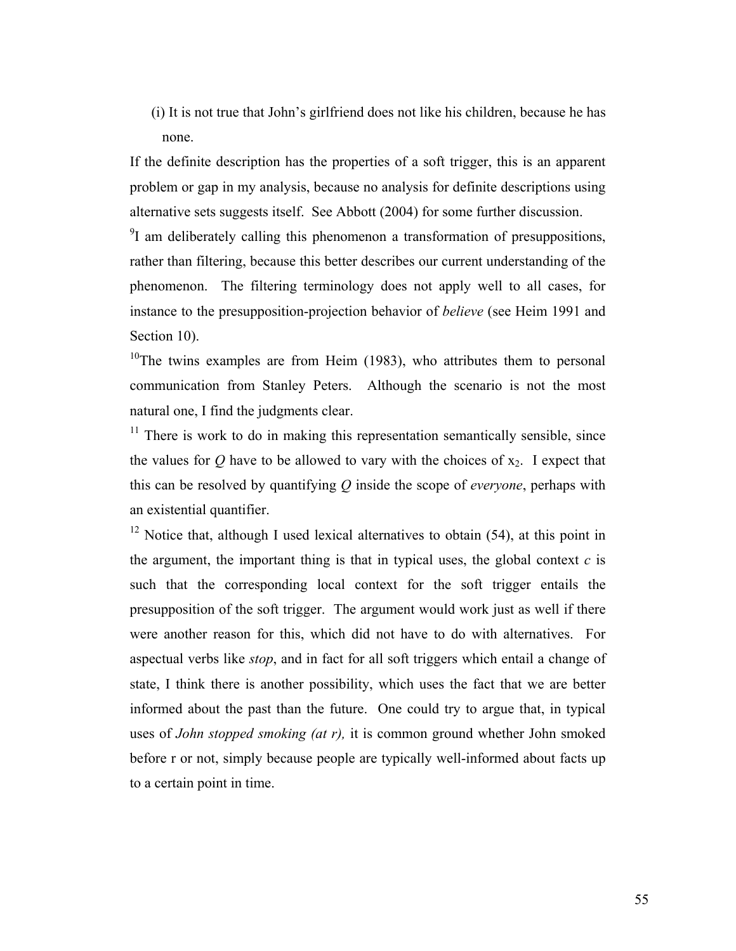(i) It is not true that John's girlfriend does not like his children, because he has none.

If the definite description has the properties of a soft trigger, this is an apparent problem or gap in my analysis, because no analysis for definite descriptions using alternative sets suggests itself. See Abbott (2004) for some further discussion.

 $9^9$ I am deliberately calling this phenomenon a transformation of presuppositions, rather than filtering, because this better describes our current understanding of the phenomenon. The filtering terminology does not apply well to all cases, for instance to the presupposition-projection behavior of *believe* (see Heim 1991 and Section 10).

<sup>10</sup>The twins examples are from Heim (1983), who attributes them to personal communication from Stanley Peters. Although the scenario is not the most natural one, I find the judgments clear.

 $11$  There is work to do in making this representation semantically sensible, since the values for  $Q$  have to be allowed to vary with the choices of  $x_2$ . I expect that this can be resolved by quantifying *Q* inside the scope of *everyone*, perhaps with an existential quantifier.

 $12$  Notice that, although I used lexical alternatives to obtain (54), at this point in the argument, the important thing is that in typical uses, the global context  $c$  is such that the corresponding local context for the soft trigger entails the presupposition of the soft trigger. The argument would work just as well if there were another reason for this, which did not have to do with alternatives. For aspectual verbs like *stop*, and in fact for all soft triggers which entail a change of state, I think there is another possibility, which uses the fact that we are better informed about the past than the future. One could try to argue that, in typical uses of *John stopped smoking (at r),* it is common ground whether John smoked before r or not, simply because people are typically well-informed about facts up to a certain point in time.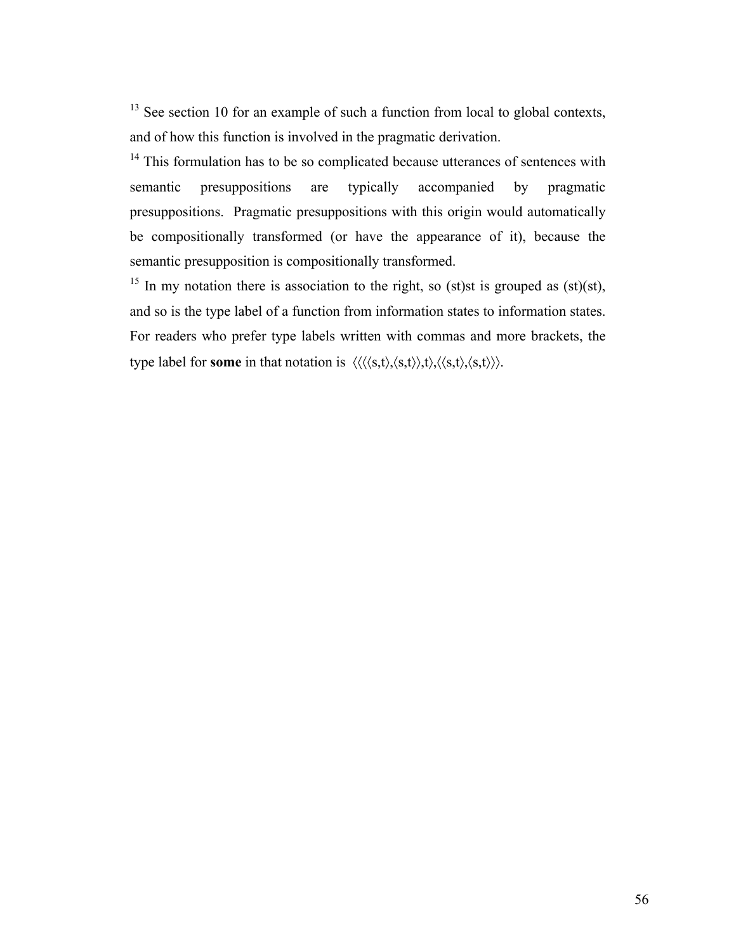$13$  See section 10 for an example of such a function from local to global contexts, and of how this function is involved in the pragmatic derivation.

<sup>14</sup> This formulation has to be so complicated because utterances of sentences with semantic presuppositions are typically accompanied by pragmatic presuppositions. Pragmatic presuppositions with this origin would automatically be compositionally transformed (or have the appearance of it), because the semantic presupposition is compositionally transformed.

<sup>15</sup> In my notation there is association to the right, so (st)st is grouped as (st)(st), and so is the type label of a function from information states to information states. For readers who prefer type labels written with commas and more brackets, the type label for **some** in that notation is  $\langle \langle \langle s,t \rangle, \langle s,t \rangle \rangle, \langle s,t \rangle, \langle s,t \rangle \rangle$ .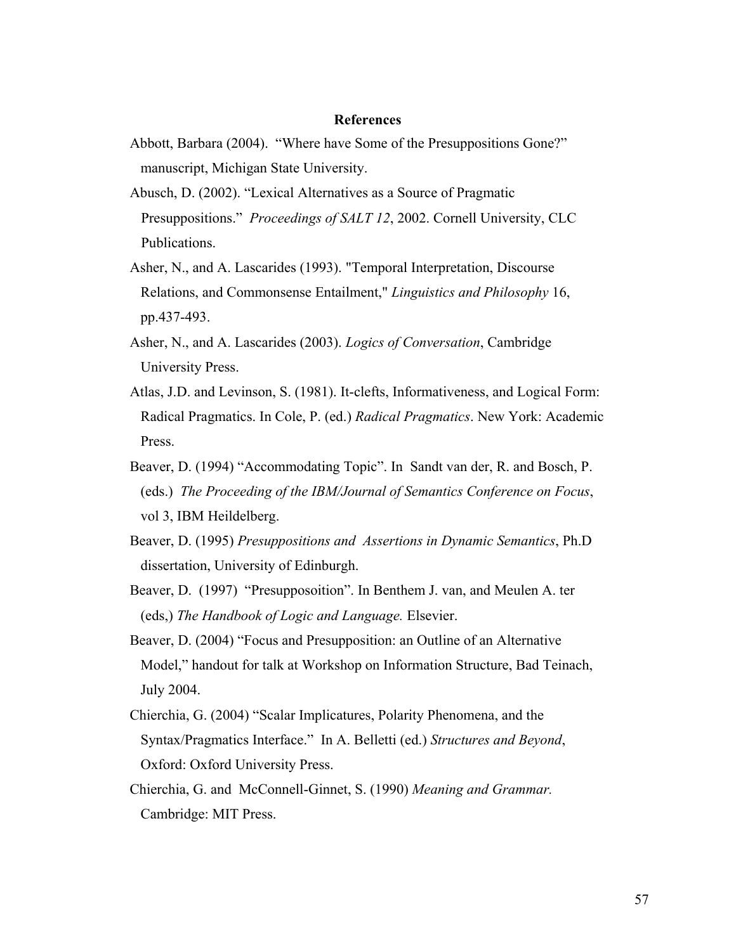### **References**

- Abbott, Barbara (2004). "Where have Some of the Presuppositions Gone?" manuscript, Michigan State University.
- Abusch, D. (2002). "Lexical Alternatives as a Source of Pragmatic Presuppositions." *Proceedings of SALT 12*, 2002. Cornell University, CLC Publications.
- Asher, N., and A. Lascarides (1993). "Temporal Interpretation, Discourse Relations, and Commonsense Entailment," *Linguistics and Philosophy* 16, pp.437-493.
- Asher, N., and A. Lascarides (2003). *Logics of Conversation*, Cambridge University Press.
- Atlas, J.D. and Levinson, S. (1981). It-clefts, Informativeness, and Logical Form: Radical Pragmatics. In Cole, P. (ed.) *Radical Pragmatics*. New York: Academic Press.
- Beaver, D. (1994) "Accommodating Topic". In Sandt van der, R. and Bosch, P. (eds.) *The Proceeding of the IBM/Journal of Semantics Conference on Focus*, vol 3, IBM Heildelberg.
- Beaver, D. (1995) *Presuppositions and Assertions in Dynamic Semantics*, Ph.D dissertation, University of Edinburgh.
- Beaver, D. (1997) "Presupposoition". In Benthem J. van, and Meulen A. ter (eds,) *The Handbook of Logic and Language.* Elsevier.
- Beaver, D. (2004) "Focus and Presupposition: an Outline of an Alternative Model," handout for talk at Workshop on Information Structure, Bad Teinach, July 2004.
- Chierchia, G. (2004) "Scalar Implicatures, Polarity Phenomena, and the Syntax/Pragmatics Interface." In A. Belletti (ed.) *Structures and Beyond*, Oxford: Oxford University Press.
- Chierchia, G. and McConnell-Ginnet, S. (1990) *Meaning and Grammar.* Cambridge: MIT Press.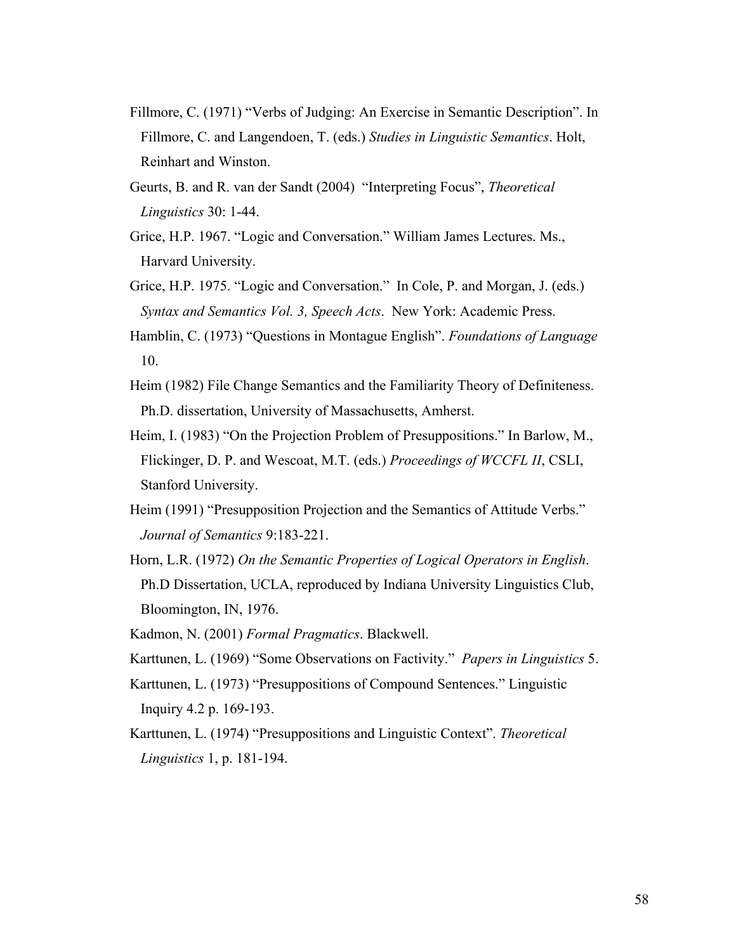- Fillmore, C. (1971) "Verbs of Judging: An Exercise in Semantic Description". In Fillmore, C. and Langendoen, T. (eds.) *Studies in Linguistic Semantics*. Holt, Reinhart and Winston.
- Geurts, B. and R. van der Sandt (2004) "Interpreting Focus", *Theoretical Linguistics* 30: 1-44.
- Grice, H.P. 1967. "Logic and Conversation." William James Lectures. Ms., Harvard University.
- Grice, H.P. 1975. "Logic and Conversation." In Cole, P. and Morgan, J. (eds.) *Syntax and Semantics Vol. 3, Speech Acts*. New York: Academic Press.
- Hamblin, C. (1973) "Questions in Montague English". *Foundations of Language* 10.
- Heim (1982) File Change Semantics and the Familiarity Theory of Definiteness. Ph.D. dissertation, University of Massachusetts, Amherst.
- Heim, I. (1983) "On the Projection Problem of Presuppositions." In Barlow, M., Flickinger, D. P. and Wescoat, M.T. (eds.) *Proceedings of WCCFL II*, CSLI, Stanford University.
- Heim (1991) "Presupposition Projection and the Semantics of Attitude Verbs." *Journal of Semantics* 9:183-221.
- Horn, L.R. (1972) *On the Semantic Properties of Logical Operators in English*. Ph.D Dissertation, UCLA, reproduced by Indiana University Linguistics Club, Bloomington, IN, 1976.
- Kadmon, N. (2001) *Formal Pragmatics*. Blackwell.
- Karttunen, L. (1969) "Some Observations on Factivity." *Papers in Linguistics* 5.
- Karttunen, L. (1973) "Presuppositions of Compound Sentences." Linguistic Inquiry 4.2 p. 169-193.
- Karttunen, L. (1974) "Presuppositions and Linguistic Context". *Theoretical Linguistics* 1, p. 181-194.